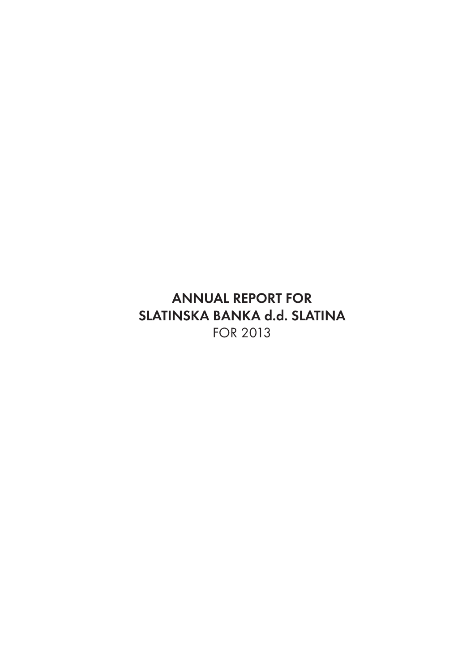**ANNUAL REPORT FOR SLATINSKA BANKA d.d. SLATINA**  FOR 2013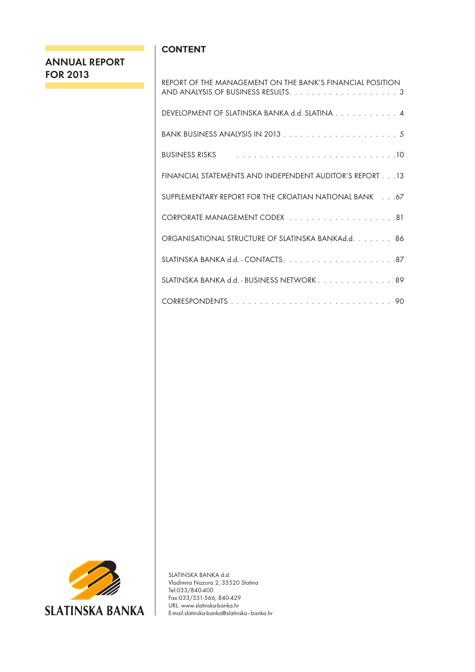# **ANNUAL REPORT FOR 2013**

# **CONTENT**

| REPORT OF THE MANAGEMENT ON THE BANK'S FINANCIAL POSITION                                                                                                                                                                      |
|--------------------------------------------------------------------------------------------------------------------------------------------------------------------------------------------------------------------------------|
| DEVELOPMENT OF SLATINSKA BANKA d.d. SLATINA 4                                                                                                                                                                                  |
|                                                                                                                                                                                                                                |
| BUSINESS RISKS All Albert Albert Linds and Albert Albert Albert Albert Albert Albert Albert Albert Albert Albert Albert Albert Albert Albert Albert Albert Albert Albert Albert Albert Albert Albert Albert Albert Albert Albe |
| FINANCIAL STATEMENTS AND INDEPENDENT AUDITOR'S REPORT 13                                                                                                                                                                       |
| SUPPLEMENTARY REPORT FOR THE CROATIAN NATIONAL BANK 67                                                                                                                                                                         |
|                                                                                                                                                                                                                                |
| ORGANISATIONAL STRUCTURE OF SLATINSKA BANKAd.d. 86                                                                                                                                                                             |
|                                                                                                                                                                                                                                |
| SLATINSKA BANKA d.d. - BUSINESS NETWORK 89                                                                                                                                                                                     |
|                                                                                                                                                                                                                                |



SLATINSKA BANKA d.d. Vladimira Nazora 2, 33520 Slatina Tel:033/840-400 Fax:033/551-566, 840-429 URL: www.slatinska-banka.hr E-mail:slatinska-banka@slatinska–banka.hr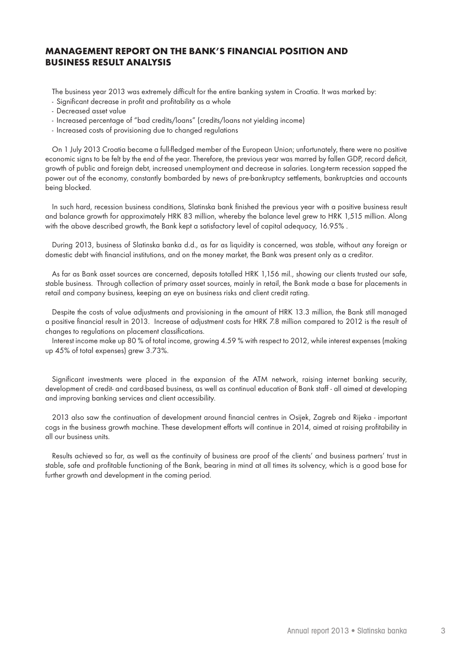# **MANAGEMENT REPORT ON THE BANK'S FINANCIAL POSITION AND BUSINESS RESULT ANALYSIS**

The business year 2013 was extremely difficult for the entire banking system in Croatia. It was marked by:

- Significant decrease in profit and profitability as a whole
- Decreased asset value
- Increased percentage of "bad credits/loans" (credits/loans not yielding income)
- Increased costs of provisioning due to changed regulations

On 1 July 2013 Croatia became a full-fledged member of the European Union; unfortunately, there were no positive economic signs to be felt by the end of the year. Therefore, the previous year was marred by fallen GDP, record deficit, growth of public and foreign debt, increased unemployment and decrease in salaries. Long-term recession sapped the power out of the economy, constantly bombarded by news of pre-bankruptcy settlements, bankruptcies and accounts being blocked.

In such hard, recession business conditions, Slatinska bank finished the previous year with a positive business result and balance growth for approximately HRK 83 million, whereby the balance level grew to HRK 1,515 million. Along with the above described growth, the Bank kept a satisfactory level of capital adequacy, 16.95% .

During 2013, business of Slatinska banka d.d., as far as liquidity is concerned, was stable, without any foreign or domestic debt with financial institutions, and on the money market, the Bank was present only as a creditor.

As far as Bank asset sources are concerned, deposits totalled HRK 1,156 mil., showing our clients trusted our safe, stable business. Through collection of primary asset sources, mainly in retail, the Bank made a base for placements in retail and company business, keeping an eye on business risks and client credit rating.

Despite the costs of value adjustments and provisioning in the amount of HRK 13.3 million, the Bank still managed a positive financial result in 2013. Increase of adjustment costs for HRK 7.8 million compared to 2012 is the result of changes to regulations on placement classifications.

Interest income make up 80 % of total income, growing 4.59 % with respect to 2012, while interest expenses (making up 45% of total expenses) grew 3.73%.

Significant investments were placed in the expansion of the ATM network, raising internet banking security, development of credit- and card-based business, as well as continual education of Bank staff - all aimed at developing and improving banking services and client accessibility.

2013 also saw the continuation of development around financial centres in Osijek, Zagreb and Rijeka - important cogs in the business growth machine. These development efforts will continue in 2014, aimed at raising profitability in all our business units.

Results achieved so far, as well as the continuity of business are proof of the clients' and business partners' trust in stable, safe and profitable functioning of the Bank, bearing in mind at all times its solvency, which is a good base for further growth and development in the coming period.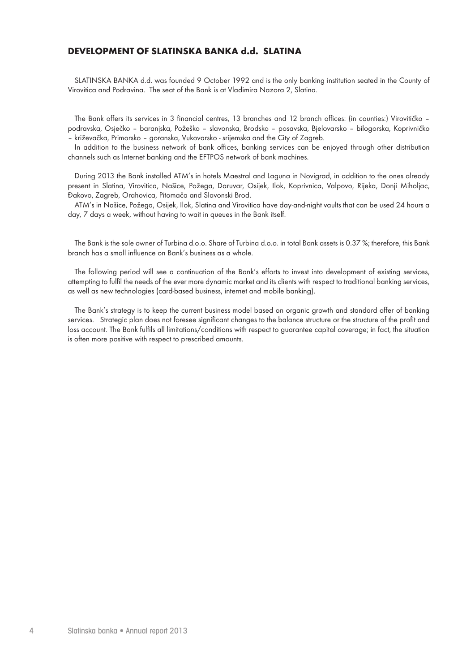# **DEVELOPMENT OF SLATINSKA BANKA d.d. SLATINA**

SLATINSKA BANKA d.d. was founded 9 October 1992 and is the only banking institution seated in the County of Virovitica and Podravina. The seat of the Bank is at Vladimira Nazora 2, Slatina.

The Bank offers its services in 3 financial centres, 13 branches and 12 branch offices: (in counties:) Virovitičko – podravska, Osječko – baranjska, Požeško – slavonska, Brodsko – posavska, Bjelovarsko – bilogorska, Koprivničko – križevačka, Primorsko – goranska, Vukovarsko - srijemska and the City of Zagreb.

In addition to the business network of bank offices, banking services can be enjoyed through other distribution channels such as Internet banking and the EFTPOS network of bank machines.

During 2013 the Bank installed ATM's in hotels Maestral and Laguna in Novigrad, in addition to the ones already present in Slatina, Virovitica, Našice, Požega, Daruvar, Osijek, Ilok, Koprivnica, Valpovo, Rijeka, Donji Miholjac, Đakovo, Zagreb, Orahovica, Pitomača and Slavonski Brod.

ATM's in Našice, Požega, Osijek, Ilok, Slatina and Virovitica have day-and-night vaults that can be used 24 hours a day, 7 days a week, without having to wait in queues in the Bank itself.

The Bank is the sole owner of Turbina d.o.o. Share of Turbina d.o.o. in total Bank assets is 0.37 %; therefore, this Bank branch has a small influence on Bank's business as a whole.

The following period will see a continuation of the Bank's efforts to invest into development of existing services, attempting to fulfil the needs of the ever more dynamic market and its clients with respect to traditional banking services, as well as new technologies (card-based business, internet and mobile banking).

The Bank's strategy is to keep the current business model based on organic growth and standard offer of banking services. Strategic plan does not foresee significant changes to the balance structure or the structure of the profit and loss account. The Bank fulfils all limitations/conditions with respect to guarantee capital coverage; in fact, the situation is often more positive with respect to prescribed amounts.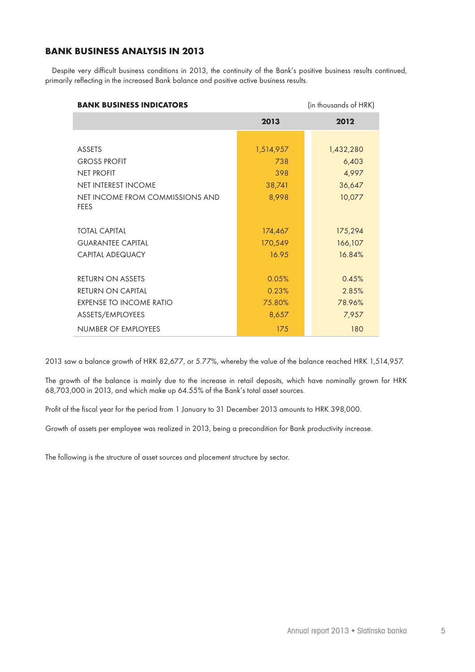# **BANK BUSINESS ANALYSIS IN 2013**

Despite very difficult business conditions in 2013, the continuity of the Bank's positive business results continued, primarily reflecting in the increased Bank balance and positive active business results.

| <b>BANK BUSINESS INDICATORS</b>                |           | (in thousands of HRK) |
|------------------------------------------------|-----------|-----------------------|
|                                                | 2013      | 2012                  |
|                                                |           |                       |
| ASSETS                                         | 1,514,957 | 1,432,280             |
| <b>GROSS PROFIT</b>                            | 738       | 6,403                 |
| <b>NET PROFIT</b>                              | 398       | 4,997                 |
| NET INTEREST INCOME                            | 38,741    | 36,647                |
| NET INCOME FROM COMMISSIONS AND<br><b>FEES</b> | 8,998     | 10,077                |
| <b>TOTAL CAPITAL</b>                           | 174,467   | 175,294               |
| <b>GUARANTEE CAPITAL</b>                       | 170,549   | 166,107               |
| <b>CAPITAL ADEQUACY</b>                        | 16.95     | 16.84%                |
| <b>RETURN ON ASSETS</b>                        | 0.05%     | 0.45%                 |
| <b>RETURN ON CAPITAL</b>                       | 0.23%     | 2.85%                 |
| EXPENSE TO INCOME RATIO                        | 75.80%    | 78.96%                |
| ASSETS/EMPLOYEES                               | 8,657     | 7,957                 |
| NUMBER OF EMPLOYEES                            | 175       | 180                   |

2013 saw a balance growth of HRK 82,677, or 5.77%, whereby the value of the balance reached HRK 1,514,957.

The growth of the balance is mainly due to the increase in retail deposits, which have nominally grown for HRK 68,703,000 in 2013, and which make up 64.55% of the Bank's total asset sources.

Profit of the fiscal year for the period from 1 January to 31 December 2013 amounts to HRK 398,000.

Growth of assets per employee was realized in 2013, being a precondition for Bank productivity increase.

The following is the structure of asset sources and placement structure by sector.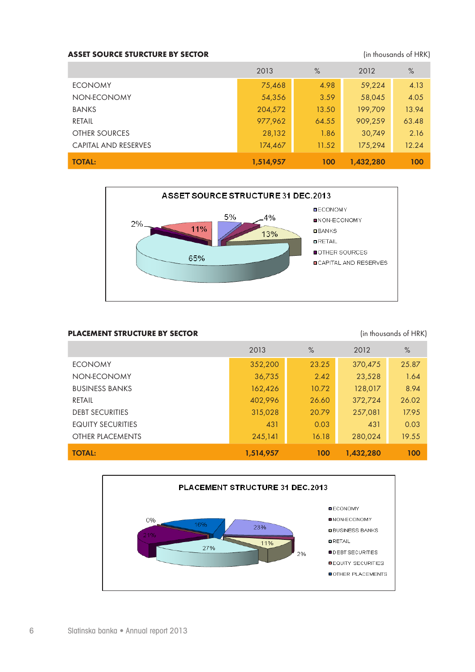# ASSET SOURCE STURCTURE BY SECTOR (in thousands of HRK)

|                             | 2013      | $\%$  | 2012      | $\%$  |
|-----------------------------|-----------|-------|-----------|-------|
| <b>ECONOMY</b>              | 75,468    | 4.98  | 59,224    | 4.13  |
| NON-ECONOMY                 | 54,356    | 3.59  | 58,045    | 4.05  |
| <b>BANKS</b>                | 204,572   | 13.50 | 199,709   | 13.94 |
| RETAIL                      | 977,962   | 64.55 | 909,259   | 63.48 |
| <b>OTHER SOURCES</b>        | 28,132    | 1.86  | 30,749    | 2.16  |
| <b>CAPITAL AND RESERVES</b> | 174,467   | 11.52 | 175,294   | 12.24 |
| <b>TOTAL:</b>               | 1,514,957 | 100   | 1,432,280 | 100   |



# **PLACEMENT STRUCTURE BY SECTOR EXECTOR** (in thousands of HRK)

|                          | 2013      | $\%$  | 2012      | $\%$  |
|--------------------------|-----------|-------|-----------|-------|
| <b>ECONOMY</b>           | 352,200   | 23.25 | 370,475   | 25.87 |
| NON-ECONOMY              | 36,735    | 2.42  | 23,528    | 1.64  |
| <b>BUSINESS BANKS</b>    | 162,426   | 10.72 | 128,017   | 8.94  |
| RETAIL                   | 402,996   | 26.60 | 372,724   | 26.02 |
| <b>DEBT SECURITIES</b>   | 315,028   | 20.79 | 257,081   | 17.95 |
| <b>EQUITY SECURITIES</b> | 431       | 0.03  | 431       | 0.03  |
| OTHER PLACEMENTS         | 245,141   | 16.18 | 280,024   | 19.55 |
| <b>TOTAL:</b>            | 1,514,957 | 100   | 1,432,280 | 100   |

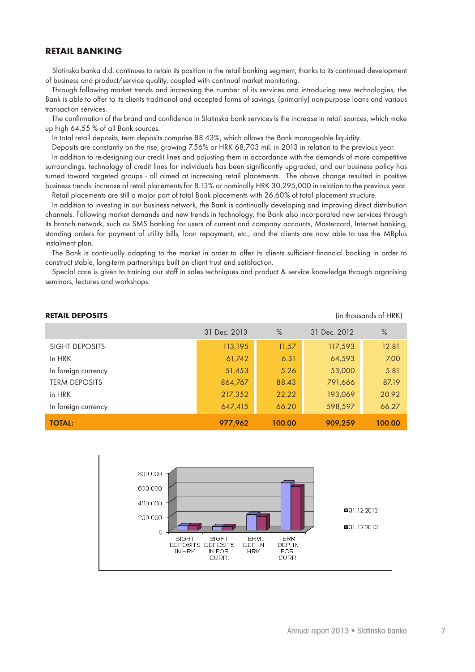# **RETAIL BANKING**

Slatinska banka d.d. continues to retain its position in the retail banking segment, thanks to its continued development of business and product/service quality, coupled with continual market monitoring.

Through following market trends and increasing the number of its services and introducing new technologies, the Bank is able to offer to its clients traditional and accepted forms of savings, (primarily) non-purpose loans and various transaction services.

The confirmation of the brand and confidence in Slatinska bank services is the increase in retail sources, which make up high 64.55 % of all Bank sources.

In total retail deposits, term deposits comprise 88.43%, which allows the Bank manageable liquidity.

Deposits are constantly on the rise, growing 7.56% or HRK 68,703 mil. in 2013 in relation to the previous year.

In addition to re-designing our credit lines and adjusting them in accordance with the demands of more competitive surroundings, technology of credit lines for individuals has been significantly upgraded, and our business policy has turned toward targeted groups - all aimed at increasing retail placements. The above change resulted in positive business trends: increase of retail placements for 8.13% or nominally HRK 30,295,000 in relation to the previous year.

Retail placements are still a major part of total Bank placements with 26.60% of total placement structure.

In addition to investing in our business network, the Bank is continually developing and improving direct distribution channels. Following market demands and new trends in technology, the Bank also incorporated new services through its branch network, such as SMS banking for users of current and company accounts, Mastercard, Internet banking, standing orders for payment of utility bills, loan repayment, etc., and the clients are now able to use the MBplus instalment plan.

The Bank is continually adapting to the market in order to offer its clients sufficient financial backing in order to construct stable, long-term partnerships built on client trust and satisfaction.

Special care is given to training our staff in sales techniques and product & service knowledge through organising seminars, lectures and workshops.

|                      | 31 Dec. 2013 | $\%$   | 31 Dec. 2012 | $\%$   |
|----------------------|--------------|--------|--------------|--------|
| SIGHT DEPOSITS       | 113,195      | 11.57  | 117,593      | 12.81  |
| In HRK               | 61,742       | 6.31   | 64,593       | 7.00   |
| In foreign currency  | 51,453       | 5.26   | 53,000       | 5.81   |
| <b>TERM DEPOSITS</b> | 864,767      | 88.43  | 791,666      | 87.19  |
| in HRK               | 217,352      | 22.22  | 193,069      | 20.92  |
| In foreign currency  | 647,415      | 66.20  | 598,597      | 66.27  |
| <b>TOTAL:</b>        | 977,962      | 100.00 | 909,259      | 100.00 |



**RETAIL DEPOSITS CONSUMING THE CONSUMING SETAIL DEPOSITS (in thousands of HRK)**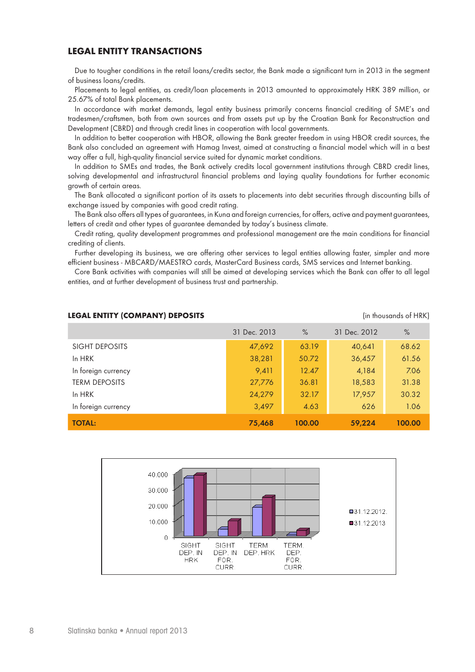# **LEGAL ENTITY TRANSACTIONS**

Due to tougher conditions in the retail loans/credits sector, the Bank made a significant turn in 2013 in the segment of business loans/credits.

Placements to legal entities, as credit/loan placements in 2013 amounted to approximately HRK 389 million, or 25.67% of total Bank placements.

In accordance with market demands, legal entity business primarily concerns financial crediting of SME's and tradesmen/craftsmen, both from own sources and from assets put up by the Croatian Bank for Reconstruction and Development (CBRD) and through credit lines in cooperation with local governments.

In addition to better cooperation with HBOR, allowing the Bank greater freedom in using HBOR credit sources, the Bank also concluded an agreement with Hamag Invest, aimed at constructing a financial model which will in a best way offer a full, high-quality financial service suited for dynamic market conditions.

In addition to SMEs and trades, the Bank actively credits local government institutions through CBRD credit lines, solving developmental and infrastructural financial problems and laying quality foundations for further economic growth of certain areas.

The Bank allocated a significant portion of its assets to placements into debt securities through discounting bills of exchange issued by companies with good credit rating.

The Bank also offers all types of guarantees, in Kuna and foreign currencies, for offers, active and payment guarantees, letters of credit and other types of guarantee demanded by today's business climate.

Credit rating, quality development programmes and professional management are the main conditions for financial crediting of clients.

Further developing its business, we are offering other services to legal entities allowing faster, simpler and more efficient business - MBCARD/MAESTRO cards, MasterCard Business cards, SMS services and Internet banking.

Core Bank activities with companies will still be aimed at developing services which the Bank can offer to all legal entities, and at further development of business trust and partnership.

|                      | 31 Dec. 2013 | $\%$   | 31 Dec. 2012 | $\%$   |
|----------------------|--------------|--------|--------------|--------|
| SIGHT DEPOSITS       | 47,692       | 63.19  | 40,641       | 68.62  |
| In HRK               | 38,281       | 50.72  | 36,457       | 61.56  |
| In foreign currency  | 9,411        | 12.47  | 4,184        | 7.06   |
| <b>TERM DEPOSITS</b> | 27,776       | 36.81  | 18,583       | 31.38  |
| In HRK               | 24,279       | 32.17  | 17,957       | 30.32  |
| In foreign currency  | 3,497        | 4.63   | 626          | 1.06   |
| <b>TOTAL:</b>        | 75,468       | 100.00 | 59,224       | 100.00 |

#### **LEGAL ENTITY (COMPANY) DEPOSITS Example 20 and Second 20 and Second 20 and Second 20 and Second 20 and Second 20 and Second 20 and Second 20 and 20 and 20 and 20 and 20 and 20 and 20 and 20 and 20 and 20 and 20 and 20 a**



8 Slatinska banka • Annual report 2013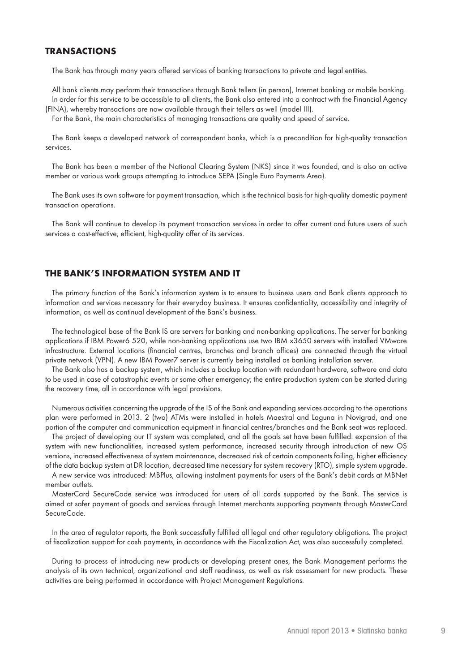# **TRANSACTIONS**

The Bank has through many years offered services of banking transactions to private and legal entities.

All bank clients may perform their transactions through Bank tellers (in person), Internet banking or mobile banking. In order for this service to be accessible to all clients, the Bank also entered into a contract with the Financial Agency (FINA), whereby transactions are now available through their tellers as well (model III).

For the Bank, the main characteristics of managing transactions are quality and speed of service.

The Bank keeps a developed network of correspondent banks, which is a precondition for high-quality transaction services.

The Bank has been a member of the National Clearing System (NKS) since it was founded, and is also an active member or various work groups attempting to introduce SEPA (Single Euro Payments Area).

The Bank uses its own software for payment transaction, which is the technical basis for high-quality domestic payment transaction operations.

The Bank will continue to develop its payment transaction services in order to offer current and future users of such services a cost-effective, efficient, high-quality offer of its services.

# **THE BANK'S INFORMATION SYSTEM AND IT**

The primary function of the Bank's information system is to ensure to business users and Bank clients approach to information and services necessary for their everyday business. It ensures confidentiality, accessibility and integrity of information, as well as continual development of the Bank's business.

The technological base of the Bank IS are servers for banking and non-banking applications. The server for banking applications if IBM Power6 520, while non-banking applications use two IBM x3650 servers with installed VMware infrastructure. External locations (financial centres, branches and branch offices) are connected through the virtual private network (VPN). A new IBM Power7 server is currently being installed as banking installation server.

The Bank also has a backup system, which includes a backup location with redundant hardware, software and data to be used in case of catastrophic events or some other emergency; the entire production system can be started during the recovery time, all in accordance with legal provisions.

Numerous activities concerning the upgrade of the IS of the Bank and expanding services according to the operations plan were performed in 2013. 2 (two) ATMs were installed in hotels Maestral and Laguna in Novigrad, and one portion of the computer and communication equipment in financial centres/branches and the Bank seat was replaced.

The project of developing our IT system was completed, and all the goals set have been fulfilled: expansion of the system with new functionalities, increased system performance, increased security through introduction of new OS versions, increased effectiveness of system maintenance, decreased risk of certain components failing, higher efficiency of the data backup system at DR location, decreased time necessary for system recovery (RTO), simple system upgrade.

A new service was introduced: MBPlus, allowing instalment payments for users of the Bank's debit cards at MBNet member outlets.

MasterCard SecureCode service was introduced for users of all cards supported by the Bank. The service is aimed at safer payment of goods and services through Internet merchants supporting payments through MasterCard SecureCode.

In the area of regulator reports, the Bank successfully fulfilled all legal and other regulatory obligations. The project of fiscalization support for cash payments, in accordance with the Fiscalization Act, was also successfully completed.

During to process of introducing new products or developing present ones, the Bank Management performs the analysis of its own technical, organizational and staff readiness, as well as risk assessment for new products. These activities are being performed in accordance with Project Management Regulations.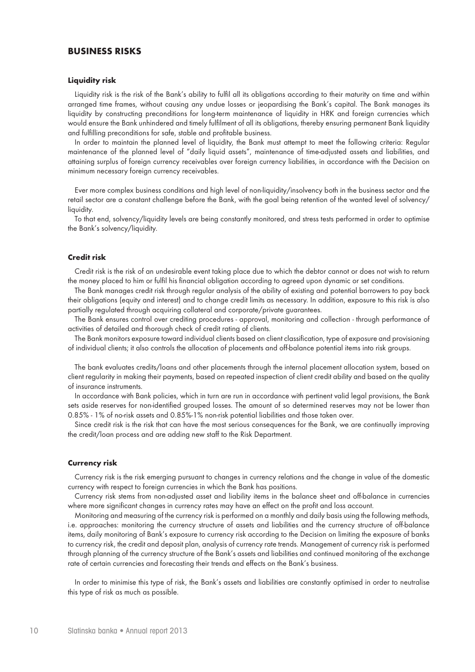# **BUSINESS RISKS**

#### **Liquidity risk**

Liquidity risk is the risk of the Bank's ability to fulfil all its obligations according to their maturity on time and within arranged time frames, without causing any undue losses or jeopardising the Bank's capital. The Bank manages its liquidity by constructing preconditions for long-term maintenance of liquidity in HRK and foreign currencies which would ensure the Bank unhindered and timely fulfilment of all its obligations, thereby ensuring permanent Bank liquidity and fulfilling preconditions for safe, stable and profitable business.

In order to maintain the planned level of liquidity, the Bank must attempt to meet the following criteria: Regular maintenance of the planned level of "daily liquid assets", maintenance of time-adjusted assets and liabilities, and attaining surplus of foreign currency receivables over foreign currency liabilities, in accordance with the Decision on minimum necessary foreign currency receivables.

Ever more complex business conditions and high level of non-liquidity/insolvency both in the business sector and the retail sector are a constant challenge before the Bank, with the goal being retention of the wanted level of solvency/ liquidity.

To that end, solvency/liquidity levels are being constantly monitored, and stress tests performed in order to optimise the Bank's solvency/liquidity.

### **Credit risk**

Credit risk is the risk of an undesirable event taking place due to which the debtor cannot or does not wish to return the money placed to him or fulfil his financial obligation according to agreed upon dynamic or set conditions.

The Bank manages credit risk through regular analysis of the ability of existing and potential borrowers to pay back their obligations (equity and interest) and to change credit limits as necessary. In addition, exposure to this risk is also partially regulated through acquiring collateral and corporate/private guarantees.

The Bank ensures control over crediting procedures - approval, monitoring and collection - through performance of activities of detailed and thorough check of credit rating of clients.

The Bank monitors exposure toward individual clients based on client classification, type of exposure and provisioning of individual clients; it also controls the allocation of placements and off-balance potential items into risk groups.

The bank evaluates credits/loans and other placements through the internal placement allocation system, based on client regularity in making their payments, based on repeated inspection of client credit ability and based on the quality of insurance instruments.

In accordance with Bank policies, which in turn are run in accordance with pertinent valid legal provisions, the Bank sets aside reserves for non-identified grouped losses. The amount of so determined reserves may not be lower than 0.85% - 1% of no-risk assets and 0.85%-1% non-risk potential liabilities and those taken over.

Since credit risk is the risk that can have the most serious consequences for the Bank, we are continually improving the credit/loan process and are adding new staff to the Risk Department.

#### **Currency risk**

Currency risk is the risk emerging pursuant to changes in currency relations and the change in value of the domestic currency with respect to foreign currencies in which the Bank has positions.

Currency risk stems from non-adjusted asset and liability items in the balance sheet and off-balance in currencies where more significant changes in currency rates may have an effect on the profit and loss account.

Monitoring and measuring of the currency risk is performed on a monthly and daily basis using the following methods, i.e. approaches: monitoring the currency structure of assets and liabilities and the currency structure of off-balance items, daily monitoring of Bank's exposure to currency risk according to the Decision on limiting the exposure of banks to currency risk, the credit and deposit plan, analysis of currency rate trends. Management of currency risk is performed through planning of the currency structure of the Bank's assets and liabilities and continued monitoring of the exchange rate of certain currencies and forecasting their trends and effects on the Bank's business.

In order to minimise this type of risk, the Bank's assets and liabilities are constantly optimised in order to neutralise this type of risk as much as possible.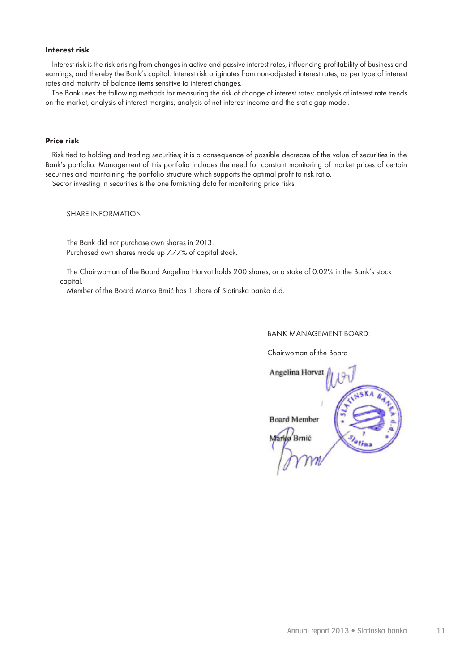### **Interest risk**

Interest risk is the risk arising from changes in active and passive interest rates, influencing profitability of business and earnings, and thereby the Bank's capital. Interest risk originates from non-adjusted interest rates, as per type of interest rates and maturity of balance items sensitive to interest changes.

The Bank uses the following methods for measuring the risk of change of interest rates: analysis of interest rate trends on the market, analysis of interest margins, analysis of net interest income and the static gap model.

### **Price risk**

Risk tied to holding and trading securities; it is a consequence of possible decrease of the value of securities in the Bank's portfolio. Management of this portfolio includes the need for constant monitoring of market prices of certain securities and maintaining the portfolio structure which supports the optimal profit to risk ratio.

Sector investing in securities is the one furnishing data for monitoring price risks.

SHARE INFORMATION

The Bank did not purchase own shares in 2013. Purchased own shares made up 7.77% of capital stock.

 The Chairwoman of the Board Angelina Horvat holds 200 shares, or a stake of 0.02% in the Bank's stock capital.

Member of the Board Marko Brnić has 1 share of Slatinska banka d.d.

#### BANK MANAGEMENT BOARD:

Chairwoman of the Board

Angelina Horvat **Board Member** Marko Brnic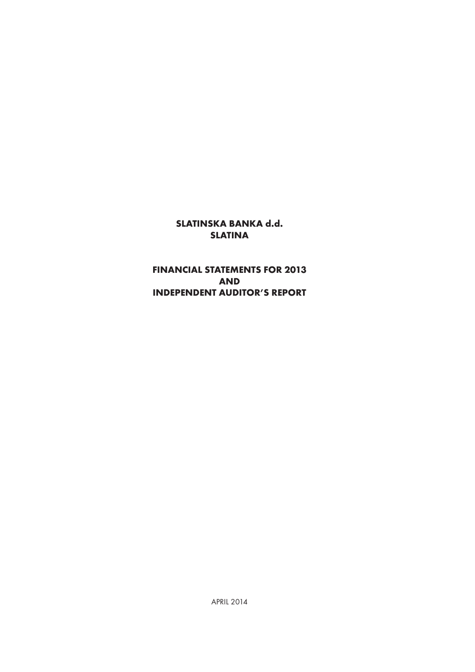# **SLATINSKA BANKA d.d. SLATINA**

# **FINANCIAL STATEMENTS FOR 2013 AND INDEPENDENT AUDITOR'S REPORT**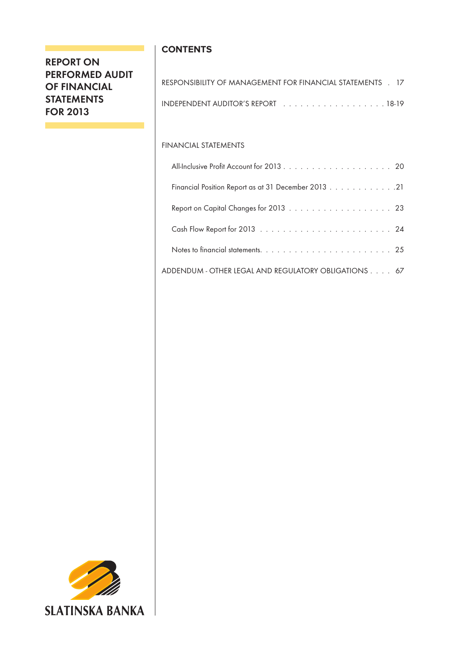# **REPORT ON PERFORMED AUDIT OF FINANCIAL STATEMENTS FOR 2013**

# **CONTENTS**

| RESPONSIBILITY OF MANAGEMENT FOR FINANCIAL STATEMENTS . 17                              |  |
|-----------------------------------------------------------------------------------------|--|
| INDEPENDENT AUDITOR'S REPORT <b>And Constitution</b> of the U.S. Constant of the INS-19 |  |

# FINANCIAL STATEMENTS

| Financial Position Report as at 31 December 2013 21  |  |
|------------------------------------------------------|--|
|                                                      |  |
|                                                      |  |
|                                                      |  |
| ADDENDUM - OTHER LEGAL AND REGULATORY OBLIGATIONS 67 |  |

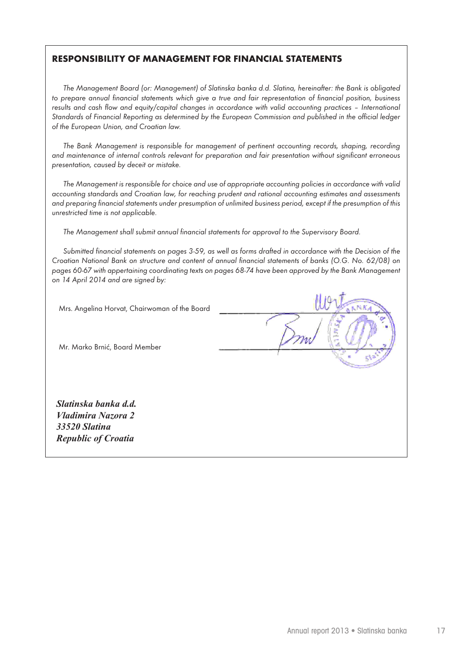# **RESPONSIBILITY OF MANAGEMENT FOR FINANCIAL STATEMENTS**

*The Management Board (or: Management) of Slatinska banka d.d. Slatina, hereinafter: the Bank is obligated to prepare annual financial statements which give a true and fair representation of financial position, business results and cash flow and equity/capital changes in accordance with valid accounting practices - International Standards of Financial Reporting as determined by the European Commission and published in the official ledger of the European Union, and Croatian law.*

The Bank Management is responsible for management of pertinent accounting records, shaping, recording *and maintenance of internal controls relevant for preparation and fair presentation without significant erroneous presentation, caused by deceit or mistake.* 

*The Management is responsible for choice and use of appropriate accounting policies in accordance with valid accounting standards and Croatian law, for reaching prudent and rational accounting estimates and assessments and preparing financial statements under presumption of unlimited business period, except if the presumption of this unrestricted time is not applicable.*

*The Management shall submit annual financial statements for approval to the Supervisory Board.*

*Submitted financial statements on pages 3-59, as well as forms drafted in accordance with the Decision of the Croatian National Bank on structure and content of annual financial statements of banks (O.G. No. 62/08) on pages 60-67 with appertaining coordinating texts on pages 68-74 have been approved by the Bank Management on 14 April 2014 and are signed by:*

| Mrs. Angelina Horvat, Chairwoman of the Board                                             |  |
|-------------------------------------------------------------------------------------------|--|
| Mr. Marko Brnić, Board Member                                                             |  |
| Slatinska banka d.d.<br>Vladimira Nazora 2<br>33520 Slatina<br><b>Republic of Croatia</b> |  |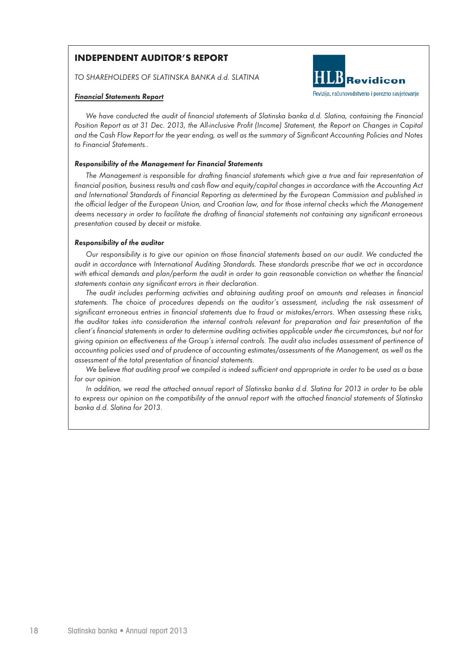# **INDEPENDENT AUDITOR'S REPORT**

*TO SHAREHOLDERS OF SLATINSKA BANKA d.d. SLATINA*

## *Financial Statements Report*



*We have conducted the audit of financial statements of Slatinska banka d.d. Slatina, containing the Financial Position Report as at 31 Dec. 2013, the All-inclusive Profit (Income) Statement, the Report on Changes in Capital and the Cash Flow Report for the year ending, as well as the summary of Significant Accounting Policies and Notes to Financial Statements..*

### *Responsibility of the Management for Financial Statements*

*The Management is responsible for drafting financial statements which give a true and fair representation of financial position, business results and cash flow and equity/capital changes in accordance with the Accounting Act and International Standards of Financial Reporting as determined by the European Commission and published in the official ledger of the European Union, and Croatian law, and for those internal checks which the Management deems necessary in order to facilitate the drafting of financial statements not containing any significant erroneous presentation caused by deceit or mistake.*

### *Responsibility of the auditor*

*Our responsibility is to give our opinion on those financial statements based on our audit. We conducted the audit in accordance with International Auditing Standards. These standards prescribe that we act in accordance*  with ethical demands and plan/perform the audit in order to gain reasonable conviction on whether the financial *statements contain any significant errors in their declaration.*

*The audit includes performing activities and obtaining auditing proof on amounts and releases in financial statements. The choice of procedures depends on the auditor's assessment, including the risk assessment of significant erroneous entries in financial statements due to fraud or mistakes/errors. When assessing these risks, the auditor takes into consideration the internal controls relevant for preparation and fair presentation of the client's financial statements in order to determine auditing activities applicable under the circumstances, but not for giving opinion on effectiveness of the Group's internal controls. The audit also includes assessment of pertinence of accounting policies used and of prudence of accounting estimates/assessments of the Management, as well as the assessment of the total presentation of financial statements.*

*We believe that auditing proof we compiled is indeed sufficient and appropriate in order to be used as a base for our opinion.*

*In addition, we read the attached annual report of Slatinska banka d.d. Slatina for 2013 in order to be able*  to express our opinion on the compatibility of the annual report with the attached financial statements of Slatinska *banka d.d. Slatina for 2013.*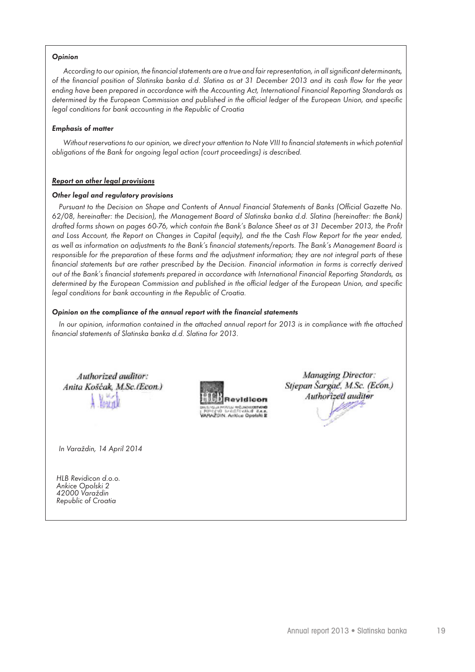# *Opinion*

*According to our opinion, the financial statements are a true and fair representation, in all significant determinants, of the financial position of Slatinska banka d.d. Slatina as at 31 December 2013 and its cash flow for the year ending have been prepared in accordance with the Accounting Act, International Financial Reporting Standards as determined by the European Commission and published in the official ledger of the European Union, and specific legal conditions for bank accounting in the Republic of Croatia*

#### *Emphasis of matter*

*Without reservations to our opinion, we direct your attention to Note VIII to financial statements in which potential obligations of the Bank for ongoing legal action (court proceedings) is described.*

### *Report on other legal provisions*

#### *Other legal and regulatory provisions*

*Pursuant to the Decision on Shape and Contents of Annual Financial Statements of Banks (Official Gazette No. 62/08, hereinafter: the Decision), the Management Board of Slatinska banka d.d. Slatina (hereinafter: the Bank) drafted forms shown on pages 60-76, which contain the Bank's Balance Sheet as at 31 December 2013, the Profit and Loss Account, the Report on Changes in Capital (equity), and the the Cash Flow Report for the year ended, as well as information on adjustments to the Bank's financial statements/reports. The Bank's Management Board is*  responsible for the preparation of these forms and the adjustment information; they are not integral parts of these financial statements but are rather prescribed by the Decision. Financial information in forms is correctly derived *out of the Bank's financial statements prepared in accordance with International Financial Reporting Standards, as determined by the European Commission and published in the official ledger of the European Union, and specific legal conditions for bank accounting in the Republic of Croatia.*

### *Opinion on the compliance of the annual report with the financial statements*

In our opinion, information contained in the attached annual report for 2013 is in compliance with the attached *financial statements of Slatinska banka d.d. Slatina for 2013.*

Authorized auditor: Anita Košćak, M.Sc.(Econ.) **TOM TU** 



*In Varaždin, 14 April 2014*

*HLB Revidicon d.o.o. Ankice Opolski 2 42000 Varaždin Republic of Croatia*

**Managing Director:** Stiepan Šargač, M.Sc. (Econ.) Authorized auditor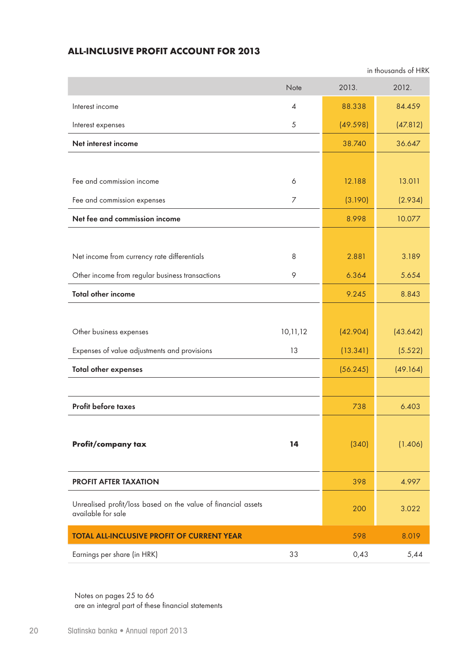# **ALL-INCLUSIVE PROFIT ACCOUNT FOR 2013**

in thousands of HRK

|                                                                                     | Note                     | 2013.    | 2012.    |
|-------------------------------------------------------------------------------------|--------------------------|----------|----------|
| Interest income                                                                     | $\overline{\mathcal{A}}$ | 88.338   | 84.459   |
| Interest expenses                                                                   | 5                        | (49.598) | (47.812) |
| Net interest income                                                                 |                          | 38.740   | 36.647   |
|                                                                                     |                          |          |          |
| Fee and commission income                                                           | 6                        | 12.188   | 13.011   |
| Fee and commission expenses                                                         | $\overline{7}$           | (3.190)  | (2.934)  |
| Net fee and commission income                                                       |                          | 8.998    | 10.077   |
|                                                                                     |                          |          |          |
| Net income from currency rate differentials                                         | 8                        | 2.881    | 3.189    |
| Other income from regular business transactions                                     | 9                        | 6.364    | 5.654    |
| <b>Total other income</b>                                                           |                          | 9.245    | 8.843    |
|                                                                                     |                          |          |          |
| Other business expenses                                                             | 10,11,12                 | (42.904) | (43.642) |
| Expenses of value adjustments and provisions                                        | 13                       | (13.341) | (5.522)  |
| <b>Total other expenses</b>                                                         |                          | (56.245) | (49.164) |
|                                                                                     |                          |          |          |
| Profit before taxes                                                                 |                          | 738      | 6.403    |
|                                                                                     |                          |          |          |
| Profit/company tax                                                                  | 14                       | (340)    | (1.406)  |
|                                                                                     |                          |          |          |
| <b>PROFIT AFTER TAXATION</b>                                                        |                          | 398      | 4.997    |
| Unrealised profit/loss based on the value of financial assets<br>available for sale |                          | 200      | 3.022    |
| <b>TOTAL ALL-INCLUSIVE PROFIT OF CURRENT YEAR</b>                                   |                          | 598      | 8.019    |
| Earnings per share (in HRK)                                                         | 33                       | 0,43     | 5,44     |

Notes on pages 25 to 66 are an integral part of these financial statements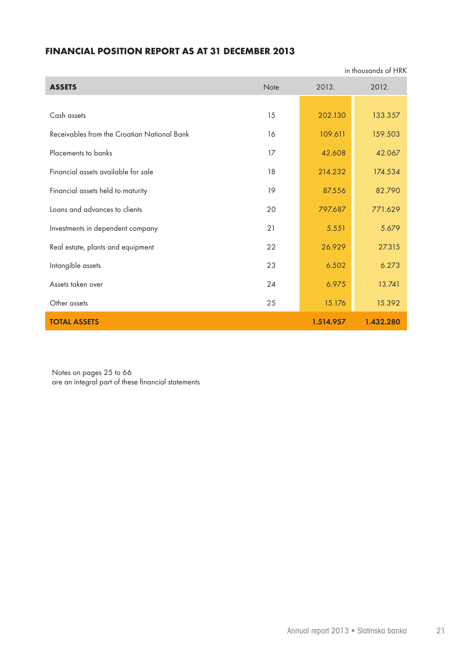# **FINANCIAL POSITION REPORT AS AT 31 DECEMBER 2013**

| in thousands of HRK                         |      |           |           |
|---------------------------------------------|------|-----------|-----------|
| <b>ASSETS</b>                               | Note | 2013.     | 2012.     |
|                                             |      |           |           |
| Cash assets                                 | 15   | 202.130   | 133.357   |
| Receivables from the Croatian National Bank | 16   | 109.611   | 159.503   |
| Placements to banks                         | 17   | 42.608    | 42.067    |
| Financial assets available for sale         | 18   | 214.232   | 174.534   |
| Financial assets held to maturity           | 19   | 87.556    | 82.790    |
| Loans and advances to clients               | 20   | 797.687   | 771.629   |
| Investments in dependent company            | 21   | 5.551     | 5.679     |
| Real estate, plants and equipment           | 22   | 26.929    | 27.315    |
| Intangible assets                           | 23   | 6.502     | 6.273     |
| Assets taken over                           | 24   | 6.975     | 13.741    |
| Other assets                                | 25   | 15.176    | 15.392    |
| <b>TOTAL ASSETS</b>                         |      | 1.514.957 | 1.432.280 |

Notes on pages 25 to 66 are an integral part of these financial statements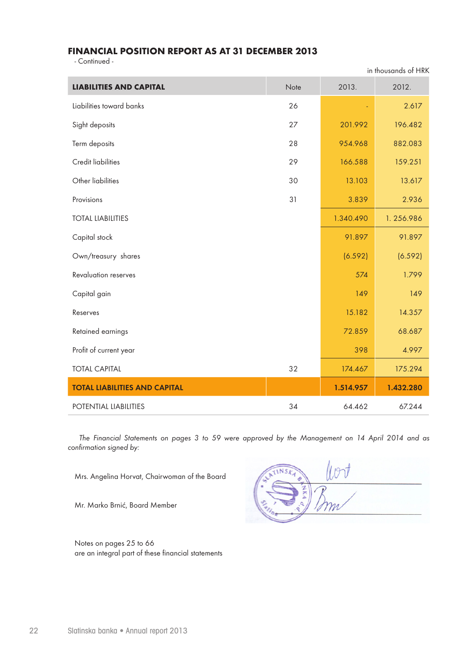# **FINANCIAL POSITION REPORT AS AT 31 DECEMBER 2013**

- Continued -

| <b>LIABILITIES AND CAPITAL</b>       | Note | 2013.     | 2012.     |
|--------------------------------------|------|-----------|-----------|
| Liabilities toward banks             | 26   |           | 2.617     |
| Sight deposits                       | 27   | 201.992   | 196.482   |
| Term deposits                        | 28   | 954.968   | 882.083   |
| Credit liabilities                   | 29   | 166.588   | 159.251   |
| Other liabilities                    | 30   | 13.103    | 13.617    |
| Provisions                           | 31   | 3.839     | 2.936     |
| <b>TOTAL LIABILITIES</b>             |      | 1.340.490 | 1.256.986 |
| Capital stock                        |      | 91.897    | 91.897    |
| Own/treasury shares                  |      | (6.592)   | (6.592)   |
| <b>Revaluation reserves</b>          |      | 574       | 1.799     |
| Capital gain                         |      | 149       | 149       |
| Reserves                             |      | 15.182    | 14.357    |
| Retained earnings                    |      | 72.859    | 68.687    |
| Profit of current year               |      | 398       | 4.997     |
| <b>TOTAL CAPITAL</b>                 | 32   | 174.467   | 175.294   |
| <b>TOTAL LIABILITIES AND CAPITAL</b> |      | 1.514.957 | 1.432.280 |
| POTENTIAL LIABILITIES                | 34   | 64.462    | 67.244    |

*The Financial Statements on pages 3 to 59 were approved by the Management on 14 April 2014 and as confirmation signed by:*

Mrs. Angelina Horvat, Chairwoman of the Board

Mr. Marko Brnić, Board Member

Notes on pages 25 to 66 are an integral part of these financial statements

in thousands of HRK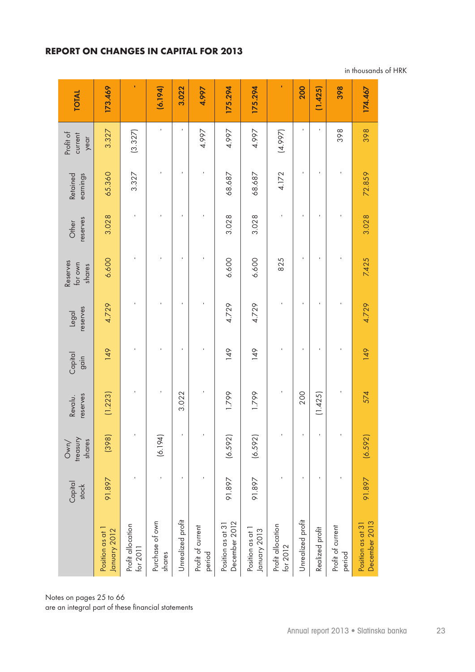# **REPORT ON CHANGES IN CAPITAL FOR 2013**

| <b>TOTAL</b>                  | 173.469                          |                               | (6.194)                   | 3.022             | 4.997                       | 175.294                            | 175.294                          |                               | 200               | (1.425)         | 398                         | 174.467                            |
|-------------------------------|----------------------------------|-------------------------------|---------------------------|-------------------|-----------------------------|------------------------------------|----------------------------------|-------------------------------|-------------------|-----------------|-----------------------------|------------------------------------|
| Profit of<br>current<br>year  | 3.327                            | (3.327)                       | J.                        | $\blacksquare$    | 4.997                       | 4.997                              | 4.997                            | (4.997)                       | $\blacksquare$    |                 | 398                         | 398                                |
| earnings<br>Retained          | 65.360                           | 3.327                         | ı                         | f,                |                             | 68.687                             | 68.687                           | 4.172                         | $\blacksquare$    |                 |                             | 72.859                             |
| reserves<br>Other             | 3.028                            |                               |                           | ı                 |                             | 3.028                              | 3.028                            |                               |                   |                 |                             | 3.028                              |
| Reserves<br>for own<br>shares | 6.600                            |                               |                           |                   |                             | 6.600                              | 6.600                            | 825                           | $\blacksquare$    |                 |                             | 7.425                              |
| reserves<br>legal             | 4.729                            |                               | ı                         | ı                 |                             | 4.729                              | 4.729                            | J.                            | $\blacksquare$    |                 |                             | 4.729                              |
| Capital<br>gain               | 149                              | ×                             | f,                        | J.                |                             | 149                                | $\frac{49}{5}$                   | J.                            | $\mathbf{I}$      |                 |                             | 149                                |
| reserves<br>Revalu.           | (1.223)                          | ×                             | J.                        | 3.022             | J.                          | 1.799                              | 1.799                            | $\blacksquare$                | 200               | (1.425)         | J.                          | 574                                |
| treasury<br>shares<br>Own/    | (398)                            |                               | (6.194)                   |                   |                             | (6.592)                            | (6.592)                          |                               |                   |                 |                             | (6.592)                            |
| Capital<br>stock              | 91.897                           |                               | $\mathbf{I}$              | f,                | f,                          | 91.897                             | 91.897                           | J.                            | $\mathbf{I}$      |                 |                             | 91.897                             |
|                               | Position as at 1<br>January 2012 | Profit allocation<br>for 2011 | Purchase of own<br>shares | Unrealized profit | Profit of current<br>period | December 2012<br>Position as at 31 | Position as at 1<br>January 2013 | Profit allocation<br>for 2012 | Unrealized profit | Realized profit | Profit of current<br>period | December 2013<br>Position as at 31 |

in thousands of HRK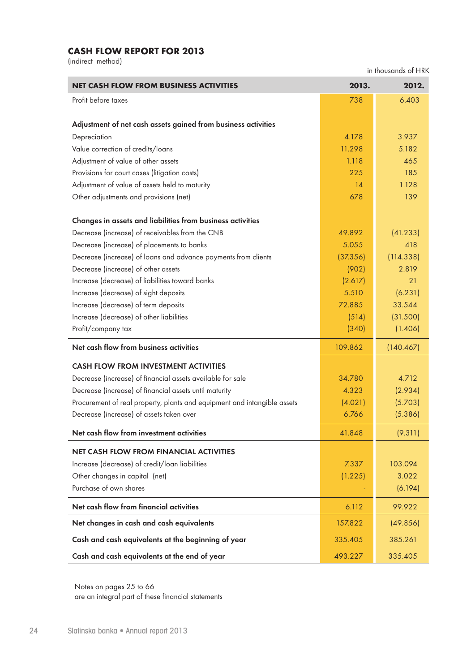# **CASH FLOW REPORT FOR 2013**

(indirect method)

in thousands of HRK

| <b>NET CASH FLOW FROM BUSINESS ACTIVITIES</b>                            | 2013.    | 2012.     |
|--------------------------------------------------------------------------|----------|-----------|
| Profit before taxes                                                      | 738      | 6.403     |
|                                                                          |          |           |
| Adjustment of net cash assets gained from business activities            |          |           |
| Depreciation                                                             | 4.178    | 3.937     |
| Value correction of credits/loans                                        | 11.298   | 5.182     |
| Adjustment of value of other assets                                      | 1.118    | 465       |
| Provisions for court cases (litigation costs)                            | 225      | 185       |
| Adjustment of value of assets held to maturity                           | 14       | 1.128     |
| Other adjustments and provisions (net)                                   | 678      | 139       |
| Changes in assets and liabilities from business activities               |          |           |
| Decrease (increase) of receivables from the CNB                          | 49.892   | (41.233)  |
| Decrease (increase) of placements to banks                               | 5.055    | 418       |
| Decrease (increase) of loans and advance payments from clients           | (37.356) | (114.338) |
| Decrease (increase) of other assets                                      | (902)    | 2.819     |
| Increase (decrease) of liabilities toward banks                          | (2.617)  | 21        |
| Increase (decrease) of sight deposits                                    | 5.510    | (6.231)   |
| Increase (decrease) of term deposits                                     | 72.885   | 33.544    |
| Increase (decrease) of other liabilities                                 | (514)    | (31.500)  |
| Profit/company tax                                                       | (340)    | (1.406)   |
| Net cash flow from business activities                                   | 109.862  | (140.467) |
| <b>CASH FLOW FROM INVESTMENT ACTIVITIES</b>                              |          |           |
| Decrease (increase) of financial assets available for sale               | 34.780   | 4.712     |
| Decrease (increase) of financial assets until maturity                   | 4.323    | (2.934)   |
| Procurement of real property, plants and equipment and intangible assets | (4.021)  | (5.703)   |
| Decrease (increase) of assets taken over                                 | 6.766    | (5.386)   |
| Net cash flow from investment activities                                 | 41.848   | (9.311)   |
| <b>NET CASH FLOW FROM FINANCIAL ACTIVITIES</b>                           |          |           |
| Increase (decrease) of credit/loan liabilities                           | 7.337    | 103.094   |
| Other changes in capital (net)                                           | (1.225)  | 3.022     |
| Purchase of own shares                                                   |          | (6.194)   |
| Net cash flow from financial activities                                  | 6.112    | 99.922    |
| Net changes in cash and cash equivalents                                 | 157.822  | (49.856)  |
| Cash and cash equivalents at the beginning of year                       | 335.405  | 385.261   |
| Cash and cash equivalents at the end of year                             | 493.227  | 335.405   |

Notes on pages 25 to 66 are an integral part of these financial statements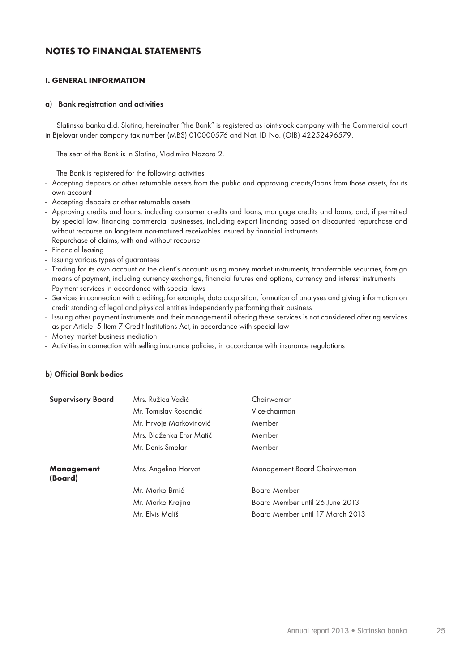# **NOTES TO FINANCIAL STATEMENTS**

### **I. GENERAL INFORMATION**

#### **a) Bank registration and activities**

Slatinska banka d.d. Slatina, hereinafter "the Bank" is registered as joint-stock company with the Commercial court in Bjelovar under company tax number (MBS) 010000576 and Nat. ID No. (OIB) 42252496579.

The seat of the Bank is in Slatina, Vladimira Nazora 2.

The Bank is registered for the following activities:

- Accepting deposits or other returnable assets from the public and approving credits/loans from those assets, for its own account
- Accepting deposits or other returnable assets
- Approving credits and loans, including consumer credits and loans, mortgage credits and loans, and, if permitted by special law, financing commercial businesses, including export financing based on discounted repurchase and without recourse on long-term non-matured receivables insured by financial instruments
- Repurchase of claims, with and without recourse
- Financial leasing
- Issuing various types of guarantees
- Trading for its own account or the client's account: using money market instruments, transferrable securities, foreign means of payment, including currency exchange, financial futures and options, currency and interest instruments
- Payment services in accordance with special laws
- Services in connection with crediting; for example, data acquisition, formation of analyses and giving information on credit standing of legal and physical entities independently performing their business
- Issuing other payment instruments and their management if offering these services is not considered offering services as per Article 5 Item 7 Credit Institutions Act, in accordance with special law
- Money market business mediation
- Activities in connection with selling insurance policies, in accordance with insurance regulations

### **b) Official Bank bodies**

| <b>Supervisory Board</b>     | Mrs. Ružica Vadić        | Chairwoman                       |
|------------------------------|--------------------------|----------------------------------|
|                              | Mr. Tomislav Rosandić    | Vice-chairman                    |
|                              | Mr. Hrvoje Markovinović  | Member                           |
|                              | Mrs. Blaženka Eror Matić | Member                           |
|                              | Mr. Denis Smolar         | Member                           |
| <b>Management</b><br>(Board) | Mrs. Angelina Horvat     | Management Board Chairwoman      |
|                              | Mr. Marko Brnić          | <b>Board Member</b>              |
|                              | Mr. Marko Krajina        | Board Member until 26 June 2013  |
|                              | Mr. Elvis Mališ          | Board Member until 17 March 2013 |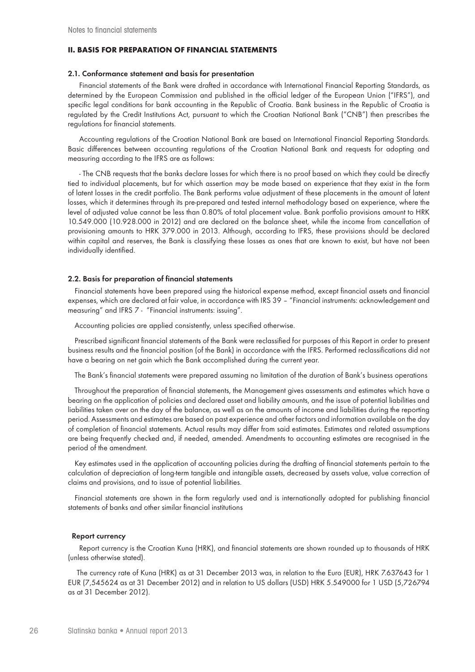### **II. BASIS FOR PREPARATION OF FINANCIAL STATEMENTS**

#### **2.1. Conformance statement and basis for presentation**

Financial statements of the Bank were drafted in accordance with International Financial Reporting Standards, as determined by the European Commission and published in the official ledger of the European Union ("IFRS"), and specific legal conditions for bank accounting in the Republic of Croatia. Bank business in the Republic of Croatia is regulated by the Credit Institutions Act, pursuant to which the Croatian National Bank ("CNB") then prescribes the regulations for financial statements.

Accounting regulations of the Croatian National Bank are based on International Financial Reporting Standards. Basic differences between accounting regulations of the Croatian National Bank and requests for adopting and measuring according to the IFRS are as follows:

- The CNB requests that the banks declare losses for which there is no proof based on which they could be directly tied to individual placements, but for which assertion may be made based on experience that they exist in the form of latent losses in the credit portfolio. The Bank performs value adjustment of these placements in the amount of latent losses, which it determines through its pre-prepared and tested internal methodology based on experience, where the level of adjusted value cannot be less than 0.80% of total placement value. Bank portfolio provisions amount to HRK 10.549.000 (10.928.000 in 2012) and are declared on the balance sheet, while the income from cancellation of provisioning amounts to HRK 379.000 in 2013. Although, according to IFRS, these provisions should be declared within capital and reserves, the Bank is classifying these losses as ones that are known to exist, but have not been individually identified.

#### **2.2. Basis for preparation of financial statements**

Financial statements have been prepared using the historical expense method, except financial assets and financial expenses, which are declared at fair value, in accordance with IRS 39 – "Financial instruments: acknowledgement and measuring" and IFRS 7 - "Financial instruments: issuing".

Accounting policies are applied consistently, unless specified otherwise.

Prescribed significant financial statements of the Bank were reclassified for purposes of this Report in order to present business results and the financial position (of the Bank) in accordance with the IFRS. Performed reclassifications did not have a bearing on net gain which the Bank accomplished during the current year.

The Bank's financial statements were prepared assuming no limitation of the duration of Bank's business operations

Throughout the preparation of financial statements, the Management gives assessments and estimates which have a bearing on the application of policies and declared asset and liability amounts, and the issue of potential liabilities and liabilities taken over on the day of the balance, as well as on the amounts of income and liabilities during the reporting period. Assessments and estimates are based on past experience and other factors and information available on the day of completion of financial statements. Actual results may differ from said estimates. Estimates and related assumptions are being frequently checked and, if needed, amended. Amendments to accounting estimates are recognised in the period of the amendment.

Key estimates used in the application of accounting policies during the drafting of financial statements pertain to the calculation of depreciation of long-term tangible and intangible assets, decreased by assets value, value correction of claims and provisions, and to issue of potential liabilities.

Financial statements are shown in the form regularly used and is internationally adopted for publishing financial statements of banks and other similar financial institutions

#### **Report currency**

Report currency is the Croatian Kuna (HRK), and financial statements are shown rounded up to thousands of HRK (unless otherwise stated).

 The currency rate of Kuna (HRK) as at 31 December 2013 was, in relation to the Euro (EUR), HRK 7.637643 for 1 EUR (7,545624 as at 31 December 2012) and in relation to US dollars (USD) HRK 5.549000 for 1 USD (5,726794 as at 31 December 2012).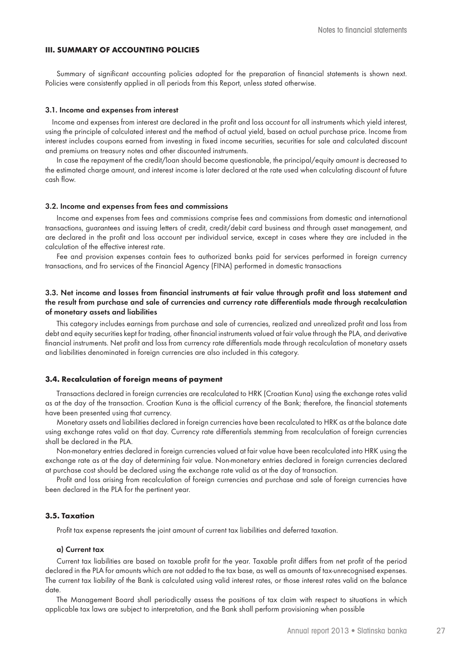## **III. SUMMARY OF ACCOUNTING POLICIES**

Summary of significant accounting policies adopted for the preparation of financial statements is shown next. Policies were consistently applied in all periods from this Report, unless stated otherwise.

#### **3.1. Income and expenses from interest**

Income and expenses from interest are declared in the profit and loss account for all instruments which yield interest, using the principle of calculated interest and the method of actual yield, based on actual purchase price. Income from interest includes coupons earned from investing in fixed income securities, securities for sale and calculated discount and premiums on treasury notes and other discounted instruments.

In case the repayment of the credit/loan should become questionable, the principal/equity amount is decreased to the estimated charge amount, and interest income is later declared at the rate used when calculating discount of future cash flow.

#### **3.2. Income and expenses from fees and commissions**

Income and expenses from fees and commissions comprise fees and commissions from domestic and international transactions, guarantees and issuing letters of credit, credit/debit card business and through asset management, and are declared in the profit and loss account per individual service, except in cases where they are included in the calculation of the effective interest rate.

Fee and provision expenses contain fees to authorized banks paid for services performed in foreign currency transactions, and fro services of the Financial Agency (FINA) performed in domestic transactions

### **3.3. Net income and losses from financial instruments at fair value through profit and loss statement and the result from purchase and sale of currencies and currency rate differentials made through recalculation of monetary assets and liabilities**

This category includes earnings from purchase and sale of currencies, realized and unrealized profit and loss from debt and equity securities kept for trading, other financial instruments valued at fair value through the PLA, and derivative financial instruments. Net profit and loss from currency rate differentials made through recalculation of monetary assets and liabilities denominated in foreign currencies are also included in this category.

### **3.4. Recalculation of foreign means of payment**

Transactions declared in foreign currencies are recalculated to HRK (Croatian Kuna) using the exchange rates valid as at the day of the transaction. Croatian Kuna is the official currency of the Bank; therefore, the financial statements have been presented using that currency.

Monetary assets and liabilities declared in foreign currencies have been recalculated to HRK as at the balance date using exchange rates valid on that day. Currency rate differentials stemming from recalculation of foreign currencies shall be declared in the PLA.

Non-monetary entries declared in foreign currencies valued at fair value have been recalculated into HRK using the exchange rate as at the day of determining fair value. Non-monetary entries declared in foreign currencies declared at purchase cost should be declared using the exchange rate valid as at the day of transaction.

Profit and loss arising from recalculation of foreign currencies and purchase and sale of foreign currencies have been declared in the PLA for the pertinent year.

#### **3.5. Taxation**

Profit tax expense represents the joint amount of current tax liabilities and deferred taxation.

#### **a) Current tax**

Current tax liabilities are based on taxable profit for the year. Taxable profit differs from net profit of the period declared in the PLA for amounts which are not added to the tax base, as well as amounts of tax-unrecognised expenses. The current tax liability of the Bank is calculated using valid interest rates, or those interest rates valid on the balance date.

The Management Board shall periodically assess the positions of tax claim with respect to situations in which applicable tax laws are subject to interpretation, and the Bank shall perform provisioning when possible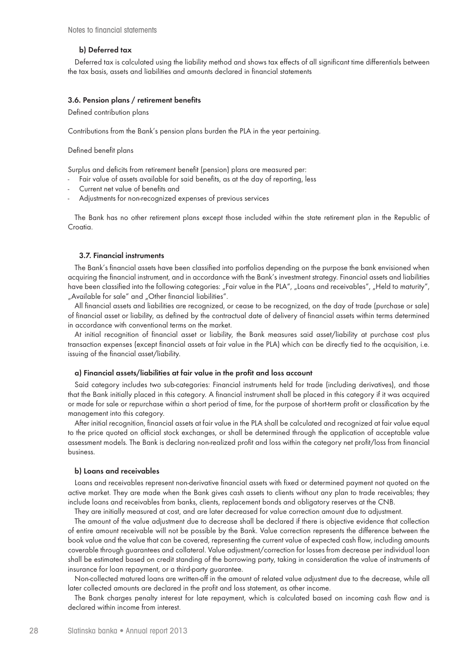#### **b) Deferred tax**

Deferred tax is calculated using the liability method and shows tax effects of all significant time differentials between the tax basis, assets and liabilities and amounts declared in financial statements

#### **3.6. Pension plans / retirement benefits**

Defined contribution plans

Contributions from the Bank's pension plans burden the PLA in the year pertaining.

Defined benefit plans

Surplus and deficits from retirement benefit (pension) plans are measured per:

- Fair value of assets available for said benefits, as at the day of reporting, less
- Current net value of benefits and
- Adjustments for non-recognized expenses of previous services

The Bank has no other retirement plans except those included within the state retirement plan in the Republic of Croatia.

#### **3.7. Financial instruments**

The Bank's financial assets have been classified into portfolios depending on the purpose the bank envisioned when acquiring the financial instrument, and in accordance with the Bank's investment strategy. Financial assets and liabilities have been classified into the following categories: "Fair value in the PLA", "Loans and receivables", "Held to maturity", "Available for sale" and "Other financial liabilities".

All financial assets and liabilities are recognized, or cease to be recognized, on the day of trade (purchase or sale) of financial asset or liability, as defined by the contractual date of delivery of financial assets within terms determined in accordance with conventional terms on the market.

At initial recognition of financial asset or liability, the Bank measures said asset/liability at purchase cost plus transaction expenses (except financial assets at fair value in the PLA) which can be directly tied to the acquisition, i.e. issuing of the financial asset/liability.

#### **a) Financial assets/liabilities at fair value in the profit and loss account**

Said category includes two sub-categories: Financial instruments held for trade (including derivatives), and those that the Bank initially placed in this category. A financial instrument shall be placed in this category if it was acquired or made for sale or repurchase within a short period of time, for the purpose of short-term profit or classification by the management into this category.

After initial recognition, financial assets at fair value in the PLA shall be calculated and recognized at fair value equal to the price quoted on official stock exchanges, or shall be determined through the application of acceptable value assessment models. The Bank is declaring non-realized profit and loss within the category net profit/loss from financial business.

#### **b) Loans and receivables**

Loans and receivables represent non-derivative financial assets with fixed or determined payment not quoted on the active market. They are made when the Bank gives cash assets to clients without any plan to trade receivables; they include loans and receivables from banks, clients, replacement bonds and obligatory reserves at the CNB.

They are initially measured at cost, and are later decreased for value correction amount due to adjustment.

The amount of the value adjustment due to decrease shall be declared if there is objective evidence that collection of entire amount receivable will not be possible by the Bank. Value correction represents the difference between the book value and the value that can be covered, representing the current value of expected cash flow, including amounts coverable through guarantees and collateral. Value adjustment/correction for losses from decrease per individual loan shall be estimated based on credit standing of the borrowing party, taking in consideration the value of instruments of insurance for loan repayment, or a third-party guarantee.

Non-collected matured loans are written-off in the amount of related value adjustment due to the decrease, while all later collected amounts are declared in the profit and loss statement, as other income.

The Bank charges penalty interest for late repayment, which is calculated based on incoming cash flow and is declared within income from interest.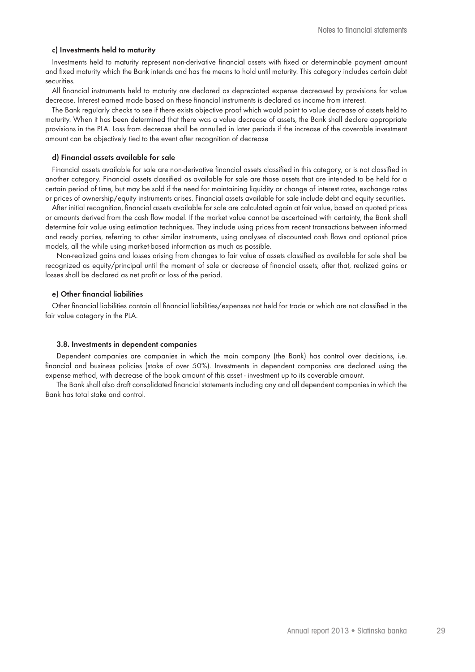#### **c) Investments held to maturity**

Investments held to maturity represent non-derivative financial assets with fixed or determinable payment amount and fixed maturity which the Bank intends and has the means to hold until maturity. This category includes certain debt securities.

All financial instruments held to maturity are declared as depreciated expense decreased by provisions for value decrease. Interest earned made based on these financial instruments is declared as income from interest.

The Bank regularly checks to see if there exists objective proof which would point to value decrease of assets held to maturity. When it has been determined that there was a value decrease of assets, the Bank shall declare appropriate provisions in the PLA. Loss from decrease shall be annulled in later periods if the increase of the coverable investment amount can be objectively tied to the event after recognition of decrease

#### **d) Financial assets available for sale**

Financial assets available for sale are non-derivative financial assets classified in this category, or is not classified in another category. Financial assets classified as available for sale are those assets that are intended to be held for a certain period of time, but may be sold if the need for maintaining liquidity or change of interest rates, exchange rates or prices of ownership/equity instruments arises. Financial assets available for sale include debt and equity securities.

After initial recognition, financial assets available for sale are calculated again at fair value, based on quoted prices or amounts derived from the cash flow model. If the market value cannot be ascertained with certainty, the Bank shall determine fair value using estimation techniques. They include using prices from recent transactions between informed and ready parties, referring to other similar instruments, using analyses of discounted cash flows and optional price models, all the while using market-based information as much as possible.

Non-realized gains and losses arising from changes to fair value of assets classified as available for sale shall be recognized as equity/principal until the moment of sale or decrease of financial assets; after that, realized gains or losses shall be declared as net profit or loss of the period.

### **e) Other financial liabilities**

Other financial liabilities contain all financial liabilities/expenses not held for trade or which are not classified in the fair value category in the PLA.

#### **3.8. Investments in dependent companies**

Dependent companies are companies in which the main company (the Bank) has control over decisions, i.e. financial and business policies (stake of over 50%). Investments in dependent companies are declared using the expense method, with decrease of the book amount of this asset - investment up to its coverable amount.

The Bank shall also draft consolidated financial statements including any and all dependent companies in which the Bank has total stake and control.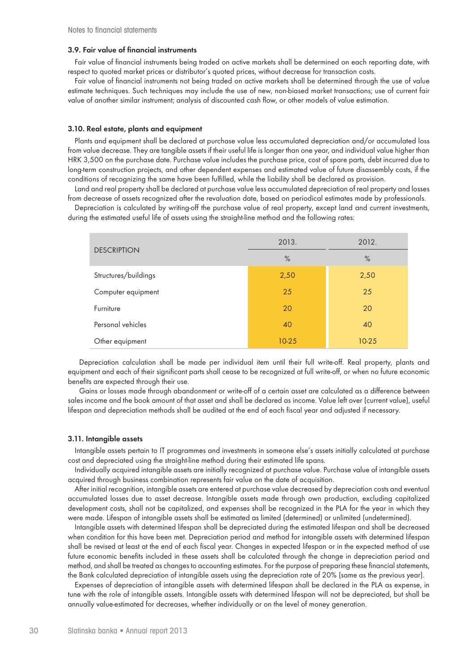### **3.9. Fair value of financial instruments**

Fair value of financial instruments being traded on active markets shall be determined on each reporting date, with respect to quoted market prices or distributor's quoted prices, without decrease for transaction costs.

Fair value of financial instruments not being traded on active markets shall be determined through the use of value estimate techniques. Such techniques may include the use of new, non-biased market transactions; use of current fair value of another similar instrument; analysis of discounted cash flow, or other models of value estimation.

#### **3.10. Real estate, plants and equipment**

Plants and equipment shall be declared at purchase value less accumulated depreciation and/or accumulated loss from value decrease. They are tangible assets if their useful life is longer than one year, and individual value higher than HRK 3,500 on the purchase date. Purchase value includes the purchase price, cost of spare parts, debt incurred due to long-term construction projects, and other dependent expenses and estimated value of future disassembly costs, if the conditions of recognizing the same have been fulfilled, while the liability shall be declared as provision.

Land and real property shall be declared at purchase value less accumulated depreciation of real property and losses from decrease of assets recognized after the revaluation date, based on periodical estimates made by professionals.

Depreciation is calculated by writing-off the purchase value of real property, except land and current investments, during the estimated useful life of assets using the straight-line method and the following rates:

|                      | 2013.     | 2012.     |
|----------------------|-----------|-----------|
| <b>DESCRIPTION</b>   | $\%$      | $\%$      |
| Structures/buildings | 2,50      | 2,50      |
| Computer equipment   | 25        | 25        |
| Furniture            | 20        | 20        |
| Personal vehicles    | 40        | 40        |
| Other equipment      | $10 - 25$ | $10 - 25$ |

Depreciation calculation shall be made per individual item until their full write-off. Real property, plants and equipment and each of their significant parts shall cease to be recognized at full write-off, or when no future economic benefits are expected through their use.

Gains or losses made through abandonment or write-off of a certain asset are calculated as a difference between sales income and the book amount of that asset and shall be declared as income. Value left over (current value), useful lifespan and depreciation methods shall be audited at the end of each fiscal year and adjusted if necessary.

## **3.11. Intangible assets**

Intangible assets pertain to IT programmes and investments in someone else's assets initially calculated at purchase cost and depreciated using the straight-line method during their estimated life spans.

Individually acquired intangible assets are initially recognized at purchase value. Purchase value of intangible assets acquired through business combination represents fair value on the date of acquisition.

After initial recognition, intangible assets are entered at purchase value decreased by depreciation costs and eventual accumulated losses due to asset decrease. Intangible assets made through own production, excluding capitalized development costs, shall not be capitalized, and expenses shall be recognized in the PLA for the year in which they were made. Lifespan of intangible assets shall be estimated as limited (determined) or unlimited (undetermined).

Intangible assets with determined lifespan shall be depreciated during the estimated lifespan and shall be decreased when condition for this have been met. Depreciation period and method for intangible assets with determined lifespan shall be revised at least at the end of each fiscal year. Changes in expected lifespan or in the expected method of use future economic benefits included in these assets shall be calculated through the change in depreciation period and method, and shall be treated as changes to accounting estimates. For the purpose of preparing these financial statements, the Bank calculated depreciation of intangible assets using the depreciation rate of 20% (same as the previous year).

Expenses of depreciation of intangible assets with determined lifespan shall be declared in the PLA as expense, in tune with the role of intangible assets. Intangible assets with determined lifespan will not be depreciated, but shall be annually value-estimated for decreases, whether individually or on the level of money generation.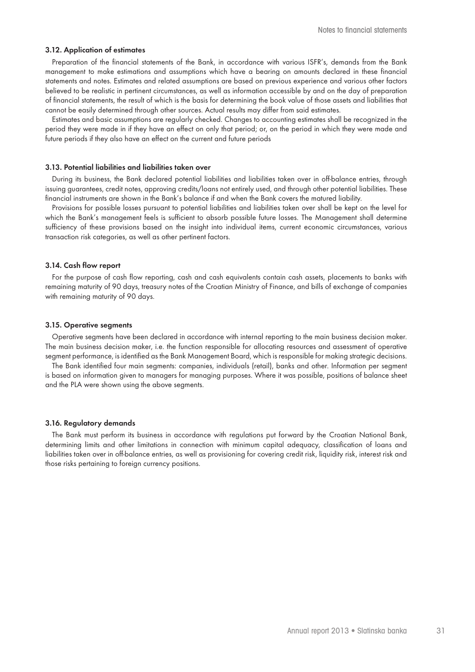#### **3.12. Application of estimates**

Preparation of the financial statements of the Bank, in accordance with various ISFR's, demands from the Bank management to make estimations and assumptions which have a bearing on amounts declared in these financial statements and notes. Estimates and related assumptions are based on previous experience and various other factors believed to be realistic in pertinent circumstances, as well as information accessible by and on the day of preparation of financial statements, the result of which is the basis for determining the book value of those assets and liabilities that cannot be easily determined through other sources. Actual results may differ from said estimates.

Estimates and basic assumptions are regularly checked. Changes to accounting estimates shall be recognized in the period they were made in if they have an effect on only that period; or, on the period in which they were made and future periods if they also have an effect on the current and future periods

#### **3.13. Potential liabilities and liabilities taken over**

During its business, the Bank declared potential liabilities and liabilities taken over in off-balance entries, through issuing guarantees, credit notes, approving credits/loans not entirely used, and through other potential liabilities. These financial instruments are shown in the Bank's balance if and when the Bank covers the matured liability.

Provisions for possible losses pursuant to potential liabilities and liabilities taken over shall be kept on the level for which the Bank's management feels is sufficient to absorb possible future losses. The Management shall determine sufficiency of these provisions based on the insight into individual items, current economic circumstances, various transaction risk categories, as well as other pertinent factors.

#### **3.14. Cash flow report**

For the purpose of cash flow reporting, cash and cash equivalents contain cash assets, placements to banks with remaining maturity of 90 days, treasury notes of the Croatian Ministry of Finance, and bills of exchange of companies with remaining maturity of 90 days.

#### **3.15. Operative segments**

Operative segments have been declared in accordance with internal reporting to the main business decision maker. The main business decision maker, i.e. the function responsible for allocating resources and assessment of operative segment performance, is identified as the Bank Management Board, which is responsible for making strategic decisions.

The Bank identified four main segments: companies, individuals (retail), banks and other. Information per segment is based on information given to managers for managing purposes. Where it was possible, positions of balance sheet and the PLA were shown using the above segments.

#### **3.16. Regulatory demands**

The Bank must perform its business in accordance with regulations put forward by the Croatian National Bank, determining limits and other limitations in connection with minimum capital adequacy, classification of loans and liabilities taken over in off-balance entries, as well as provisioning for covering credit risk, liquidity risk, interest risk and those risks pertaining to foreign currency positions.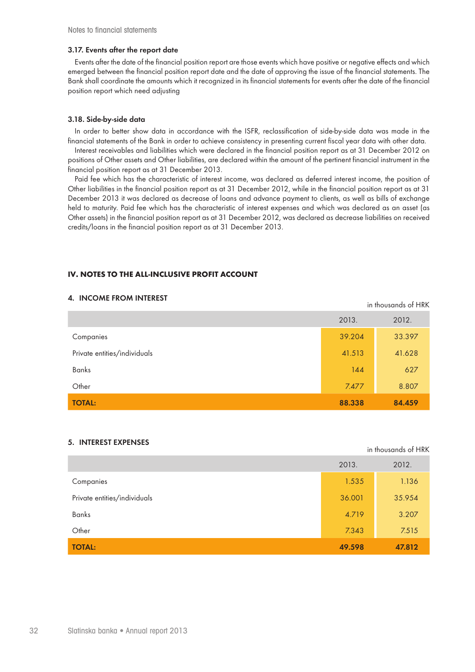### **3.17. Events after the report date**

Events after the date of the financial position report are those events which have positive or negative effects and which emerged between the financial position report date and the date of approving the issue of the financial statements. The Bank shall coordinate the amounts which it recognized in its financial statements for events after the date of the financial position report which need adjusting

# **3.18. Side-by-side data**

In order to better show data in accordance with the ISFR, reclassification of side-by-side data was made in the financial statements of the Bank in order to achieve consistency in presenting current fiscal year data with other data.

Interest receivables and liabilities which were declared in the financial position report as at 31 December 2012 on positions of Other assets and Other liabilities, are declared within the amount of the pertinent financial instrument in the financial position report as at 31 December 2013.

Paid fee which has the characteristic of interest income, was declared as deferred interest income, the position of Other liabilities in the financial position report as at 31 December 2012, while in the financial position report as at 31 December 2013 it was declared as decrease of loans and advance payment to clients, as well as bills of exchange held to maturity. Paid fee which has the characteristic of interest expenses and which was declared as an asset (as Other assets) in the financial position report as at 31 December 2012, was declared as decrease liabilities on received credits/loans in the financial position report as at 31 December 2013.

# **IV. NOTES TO THE ALL-INCLUSIVE PROFIT ACCOUNT**

|                              | 2013.  | 2012.  |
|------------------------------|--------|--------|
| Companies                    | 39.204 | 33.397 |
| Private entities/individuals | 41.513 | 41.628 |
| Banks                        | 144    | 627    |
| Other                        | 7.477  | 8.807  |
| <b>TOTAL:</b>                | 88.338 | 84.459 |

# **4. INCOME FROM INTEREST**

#### **5. INTEREST EXPENSES**

in thousands of HRK

in thousands of HRK

|                              | 2013.  | 2012.  |
|------------------------------|--------|--------|
| Companies                    | 1.535  | 1.136  |
| Private entities/individuals | 36.001 | 35.954 |
| <b>Banks</b>                 | 4.719  | 3.207  |
| Other                        | 7.343  | 7.515  |
| <b>TOTAL:</b>                | 49.598 | 47.812 |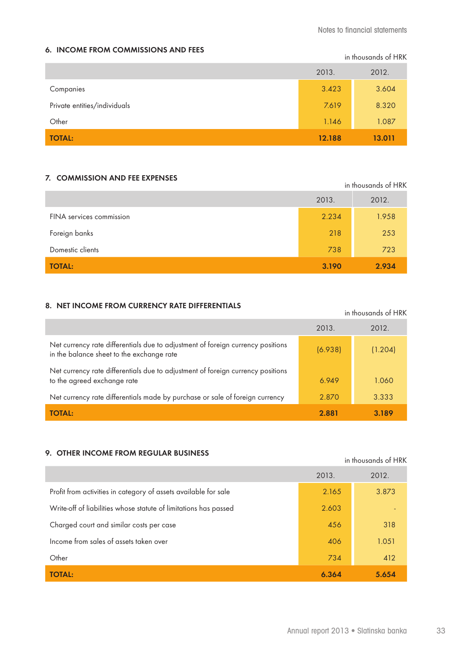# **6. INCOME FROM COMMISSIONS AND FEES**

in thousands of HRK

|                              | 2013.  | 2012.  |
|------------------------------|--------|--------|
| Companies                    | 3.423  | 3.604  |
| Private entities/individuals | 7.619  | 8.320  |
| Other                        | 1.146  | 1.087  |
| <b>TOTAL:</b>                | 12.188 | 13.011 |

# **7. COMMISSION AND FEE EXPENSES**

|                          | in thousands of HRK |       |  |
|--------------------------|---------------------|-------|--|
|                          | 2013.               | 2012. |  |
| FINA services commission | 2.234               | 1.958 |  |
| Foreign banks            | 218                 | 253   |  |
| Domestic clients         | 738                 | 723   |  |
| <b>TOTAL:</b>            | 3.190               | 2.934 |  |

# **8. NET INCOME FROM CURRENCY RATE DIFFERENTIALS**

| 0. TET INCOME I NOM CONNENCT NATE DITTENENTIALJ                                                                              |         | in thousands of HRK |
|------------------------------------------------------------------------------------------------------------------------------|---------|---------------------|
|                                                                                                                              | 2013.   | 2012.               |
| Net currency rate differentials due to adjustment of foreign currency positions<br>in the balance sheet to the exchange rate | (6.938) | (1.204)             |
| Net currency rate differentials due to adjustment of foreign currency positions<br>to the agreed exchange rate               | 6.949   | 1.060               |
| Net currency rate differentials made by purchase or sale of foreign currency                                                 | 2.870   | 3.333               |
| <b>TOTAL:</b>                                                                                                                | 2.881   | 3.189               |

# **9. OTHER INCOME FROM REGULAR BUSINESS**

|                                                                  | 2013. | 2012. |
|------------------------------------------------------------------|-------|-------|
| Profit from activities in category of assets available for sale  | 2.165 | 3.873 |
| Write-off of liabilities whose statute of limitations has passed | 2.603 |       |
| Charged court and similar costs per case                         | 456   | 318   |
| Income from sales of assets taken over                           | 406   | 1.051 |
| Other                                                            | 734   | 412   |
| <b>TOTAL:</b>                                                    | 6.364 | 5.654 |

in thousands of HRK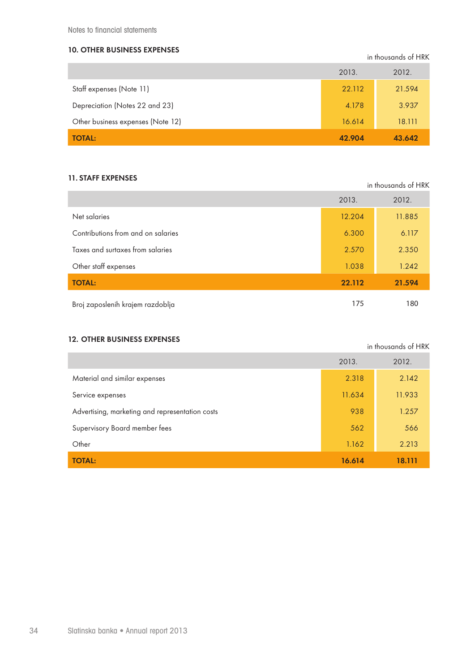Notes to financial statements

# **10. OTHER BUSINESS EXPENSES**

in thousands of HRK

in thousands of HRK

|                                   | 2013.  | 2012.  |
|-----------------------------------|--------|--------|
| Staff expenses (Note 11)          | 22.112 | 21.594 |
| Depreciation (Notes 22 and 23)    | 4.178  | 3.937  |
| Other business expenses (Note 12) | 16.614 | 18.111 |
| <b>TOTAL:</b>                     | 42.904 | 43.642 |

# **11. STAFF EXPENSES**

|                                    | in thousands of HRK |        |  |
|------------------------------------|---------------------|--------|--|
|                                    | 2013.               | 2012.  |  |
| Net salaries                       | 12.204              | 11.885 |  |
| Contributions from and on salaries | 6.300               | 6.117  |  |
| Taxes and surtaxes from salaries   | 2.570               | 2.350  |  |
| Other staff expenses               | 1.038               | 1.242  |  |
| <b>TOTAL:</b>                      | 22.112              | 21.594 |  |
| Broj zaposlenih krajem razdoblja   | 175                 | 180    |  |

# **12. OTHER BUSINESS EXPENSES**

|                                                 | 2013.  | 2012.  |
|-------------------------------------------------|--------|--------|
| Material and similar expenses                   | 2.318  | 2.142  |
| Service expenses                                | 11.634 | 11.933 |
| Advertising, marketing and representation costs | 938    | 1.257  |
| Supervisory Board member fees                   | 562    | 566    |
| Other                                           | 1.162  | 2.213  |
| <b>TOTAL:</b>                                   | 16.614 | 18.111 |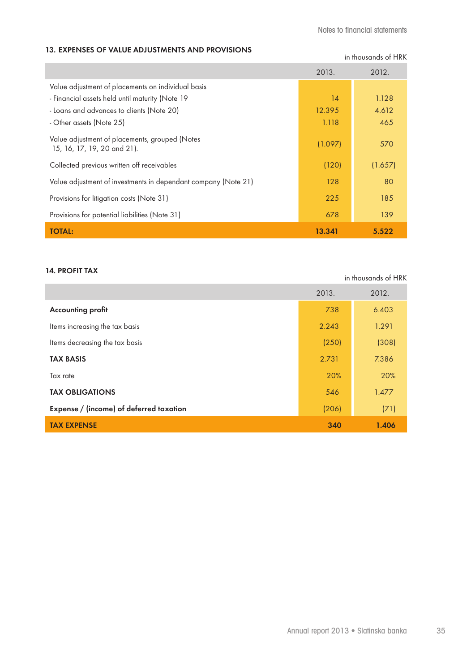in thousands of HRK

in thousands of HRK

## **13. EXPENSES OF VALUE ADJUSTMENTS AND PROVISIONS**

|                                                                               | 2013.   | 2012.   |
|-------------------------------------------------------------------------------|---------|---------|
| Value adjustment of placements on individual basis                            |         |         |
| - Financial assets held until maturity (Note 19                               | 14      | 1.128   |
| - Loans and advances to clients (Note 20)                                     | 12.395  | 4.612   |
| - Other assets (Note 25)                                                      | 1.118   | 465     |
| Value adjustment of placements, grouped (Notes<br>15, 16, 17, 19, 20 and 21). | (1.097) | 570     |
| Collected previous written off receivables                                    | (120)   | (1.657) |
| Value adjustment of investments in dependant company (Note 21)                | 128     | 80      |
| Provisions for litigation costs (Note 31)                                     | 225     | 185     |
| Provisions for potential liabilities (Note 31)                                | 678     | 139     |
| <b>TOTAL:</b>                                                                 | 13.341  | 5.522   |

## **14. PROFIT TAX**

|                                         | 2013. | 2012. |
|-----------------------------------------|-------|-------|
| <b>Accounting profit</b>                | 738   | 6.403 |
| Items increasing the tax basis          | 2.243 | 1.291 |
| Items decreasing the tax basis          | (250) | (308) |
| <b>TAX BASIS</b>                        | 2.731 | 7.386 |
| Tax rate                                | 20%   | 20%   |
| <b>TAX OBLIGATIONS</b>                  | 546   | 1.477 |
| Expense / (income) of deferred taxation | (206) | (71)  |
| <b>TAX EXPENSE</b>                      | 340   | 1.406 |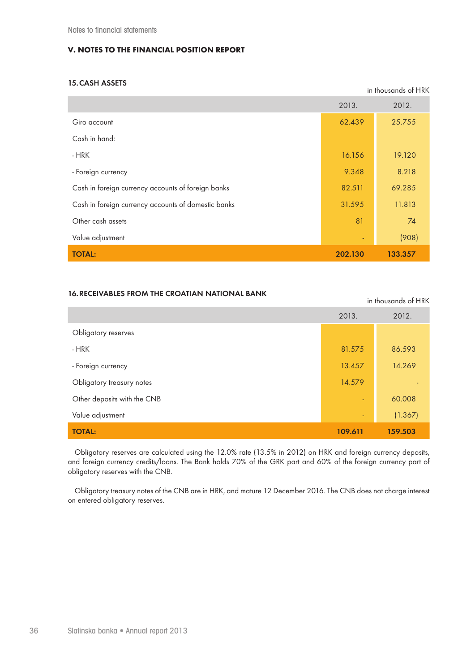## **V. NOTES TO THE FINANCIAL POSITION REPORT**

## **15.CASH ASSETS**

|                                                     | in thousands of HRK |         |
|-----------------------------------------------------|---------------------|---------|
|                                                     | 2013.               | 2012.   |
| Giro account                                        | 62.439              | 25.755  |
| Cash in hand:                                       |                     |         |
| - HRK                                               | 16.156              | 19.120  |
| - Foreign currency                                  | 9.348               | 8.218   |
| Cash in foreign currency accounts of foreign banks  | 82.511              | 69.285  |
| Cash in foreign currency accounts of domestic banks | 31.595              | 11.813  |
| Other cash assets                                   | 81                  | 74      |
| Value adjustment                                    |                     | (908)   |
| <b>TOTAL:</b>                                       | 202.130             | 133.357 |

#### **16.RECEIVABLES FROM THE CROATIAN NATIONAL BANK**

in thousands of HRK 2013. 2012. Obligatory reserves - HRK 81.575 86.593 - Foreign currency **13.457** 14.269 Obligatory treasury notes **14.579 - 14.579 - 14.579 - 14.579 - 14.579 - 14.579 - 14.579 - 14.579 - 14.579 - 14.579 - 14.579 - 14.579 - 14.579 - 14.579 - 14.579 - 14.579 - 14.579 - 14.579 - 14.579 - 14.579 - 14.579 - 14.579** Other deposits with the CNB - 60.008 Value adjustment (1.367) **TOTAL: 109.611 159.503**

Obligatory reserves are calculated using the 12.0% rate (13.5% in 2012) on HRK and foreign currency deposits, and foreign currency credits/loans. The Bank holds 70% of the GRK part and 60% of the foreign currency part of obligatory reserves with the CNB.

Obligatory treasury notes of the CNB are in HRK, and mature 12 December 2016. The CNB does not charge interest on entered obligatory reserves.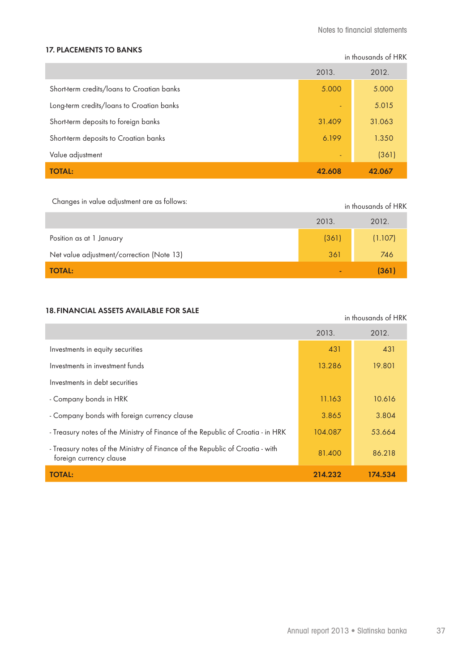#### **17. PLACEMENTS TO BANKS**

in thousands of HRK

in thousands of HRK

|                                            | 2013.  | 2012.  |
|--------------------------------------------|--------|--------|
| Short-term credits/loans to Croatian banks | 5.000  | 5.000  |
| Long-term credits/loans to Croatian banks  | ٠      | 5.015  |
| Short-term deposits to foreign banks       | 31.409 | 31.063 |
| Short-term deposits to Croatian banks      | 6.199  | 1.350  |
| Value adjustment                           | ٠      | (361)  |
| <b>TOTAL:</b>                              | 42.608 | 42.067 |

Changes in value adjustment are as follows: in thousands of HRK

|                                           | 2013. | 2012.   |
|-------------------------------------------|-------|---------|
| Position as at 1 January                  | (361) | (1.107) |
| Net value adjustment/correction (Note 13) | 361   | 746     |
| <b>TOTAL:</b>                             | -     | (361)   |

## **18.FINANCIAL ASSETS AVAILABLE FOR SALE**

2013. 2012. Investments in equity securities 431 431 Investments in investment funds 13.286 19.801 Investments in debt securities - Company bonds in HRK 10.616 - Company bonds with foreign currency clause 3.865 3.804 - Treasury notes of the Ministry of Finance of the Republic of Croatia - in HRK 104.087 53.664 - Treasury notes of the Ministry of Finance of the Republic of Croatia - with 81.400 86.218 **TOTAL: 214.232 174.534**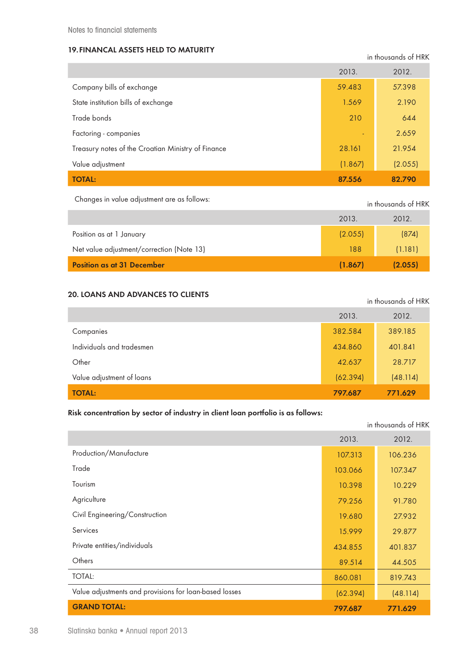## **19.FINANCAL ASSETS HELD TO MATURITY**

in thousands of HRK

|                                                    | 2013.   | 2012.   |
|----------------------------------------------------|---------|---------|
| Company bills of exchange                          | 59.483  | 57.398  |
| State institution bills of exchange                | 1.569   | 2.190   |
| Trade bonds                                        | 210     | 644     |
| Factoring - companies                              | ÷       | 2.659   |
| Treasury notes of the Croatian Ministry of Finance | 28.161  | 21.954  |
| Value adjustment                                   | (1.867) | (2.055) |
| <b>TOTAL:</b>                                      | 87.556  | 82.790  |

Changes in value adjustment are as follows: in thousands of HRK

|                                           | 2013.   | 2012.   |
|-------------------------------------------|---------|---------|
| Position as at 1 January                  | (2.055) | (874)   |
| Net value adjustment/correction (Note 13) | 188     | (1.181) |
| <b>Position as at 31 December</b>         | (1.867) | (2.055) |

## **20. LOANS AND ADVANCES TO CLIENTS**

| ביו בשום שיו שבצותו של שוות שתות של בש |          | in thousands of HRK |
|----------------------------------------|----------|---------------------|
|                                        | 2013.    | 2012.               |
| Companies                              | 382.584  | 389.185             |
| Individuals and tradesmen              | 434.860  | 401.841             |
| Other                                  | 42.637   | 28.717              |
| Value adjustment of loans              | (62.394) | (48.114)            |
| <b>TOTAL:</b>                          | 797.687  | 771.629             |

## **Risk concentration by sector of industry in client loan portfolio is as follows:**

|                                                        |          | in thousands of HRK |
|--------------------------------------------------------|----------|---------------------|
|                                                        | 2013.    | 2012.               |
| Production/Manufacture                                 | 107.313  | 106.236             |
| Trade                                                  | 103.066  | 107.347             |
| Tourism                                                | 10.398   | 10.229              |
| Agriculture                                            | 79.256   | 91.780              |
| Civil Engineering/Construction                         | 19.680   | 27.932              |
| Services                                               | 15.999   | 29.877              |
| Private entities/individuals                           | 434.855  | 401.837             |
| Others                                                 | 89.514   | 44.505              |
| <b>TOTAL:</b>                                          | 860.081  | 819.743             |
| Value adjustments and provisions for loan-based losses | (62.394) | (48.114)            |
| <b>GRAND TOTAL:</b>                                    | 797.687  | 771.629             |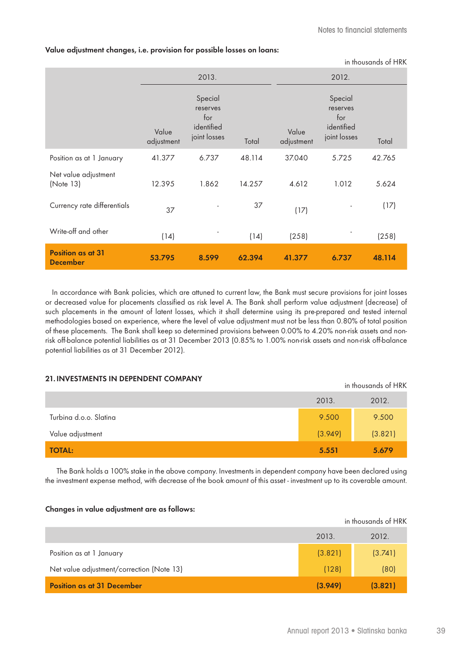#### **Value adjustment changes, i.e. provision for possible losses on loans:**

|                                             |                     |                                                          |        |                     |                                                          | in thousands of HRK |
|---------------------------------------------|---------------------|----------------------------------------------------------|--------|---------------------|----------------------------------------------------------|---------------------|
|                                             |                     | 2013.                                                    |        |                     | 2012.                                                    |                     |
|                                             | Value<br>adjustment | Special<br>reserves<br>for<br>identified<br>joint losses | Total  | Value<br>adjustment | Special<br>reserves<br>for<br>identified<br>joint losses | Total               |
| Position as at 1 January                    | 41.377              | 6.737                                                    | 48.114 | 37.040              | 5.725                                                    | 42.765              |
| Net value adjustment<br>(Note 13)           | 12.395              | 1.862                                                    | 14.257 | 4.612               | 1.012                                                    | 5.624               |
| Currency rate differentials                 | 37                  |                                                          | 37     | (17)                |                                                          | (17)                |
| Write-off and other                         | (14)                |                                                          | (14)   | (258)               |                                                          | (258)               |
| <b>Position as at 31</b><br><b>December</b> | 53.795              | 8.599                                                    | 62.394 | 41.377              | 6.737                                                    | 48.114              |

In accordance with Bank policies, which are attuned to current law, the Bank must secure provisions for joint losses or decreased value for placements classified as risk level A. The Bank shall perform value adjustment (decrease) of such placements in the amount of latent losses, which it shall determine using its pre-prepared and tested internal methodologies based on experience, where the level of value adjustment must not be less than 0.80% of total position of these placements. The Bank shall keep so determined provisions between 0.00% to 4.20% non-risk assets and nonrisk off-balance potential liabilities as at 31 December 2013 (0.85% to 1.00% non-risk assets and non-risk off-balance potential liabilities as at 31 December 2012).

#### **21.INVESTMENTS IN DEPENDENT COMPANY**

|                        |         | in thousands of HRK |
|------------------------|---------|---------------------|
|                        | 2013.   | 2012.               |
| Turbina d.o.o. Slatina | 9.500   | 9.500               |
| Value adjustment       | (3.949) | (3.821)             |
| <b>TOTAL:</b>          | 5.551   | 5.679               |

The Bank holds a 100% stake in the above company. Investments in dependent company have been declared using the investment expense method, with decrease of the book amount of this asset - investment up to its coverable amount.

#### **Changes in value adjustment are as follows:**

|                                           |         | in thousands of HRK |
|-------------------------------------------|---------|---------------------|
|                                           | 2013.   | 2012.               |
| Position as at 1 January                  | (3.821) | (3.741)             |
| Net value adjustment/correction (Note 13) | (128)   | (80)                |
| <b>Position as at 31 December</b>         | (3.949) | (3.821)             |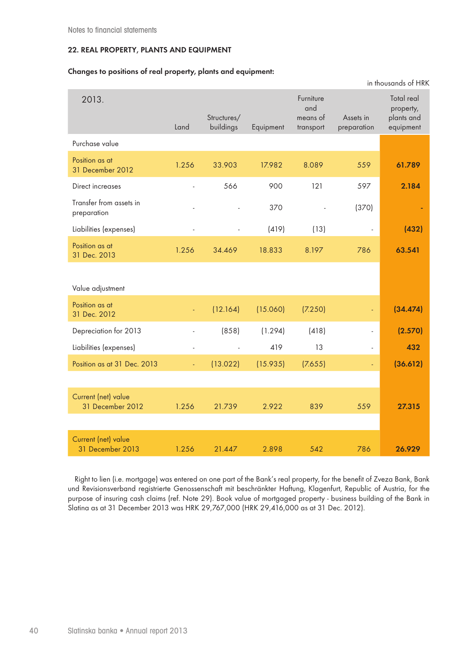## **22. REAL PROPERTY, PLANTS AND EQUIPMENT**

#### **Changes to positions of real property, plants and equipment:**

|                                         |       |                          |           |                                           |                          | in thousands of HRK                                |
|-----------------------------------------|-------|--------------------------|-----------|-------------------------------------------|--------------------------|----------------------------------------------------|
| 2013.                                   | Land  | Structures/<br>buildings | Equipment | Furniture<br>and<br>means of<br>transport | Assets in<br>preparation | Total real<br>property,<br>plants and<br>equipment |
| Purchase value                          |       |                          |           |                                           |                          |                                                    |
| Position as at<br>31 December 2012      | 1.256 | 33.903                   | 17.982    | 8.089                                     | 559                      | 61.789                                             |
| Direct increases                        |       | 566                      | 900       | 121                                       | 597                      | 2.184                                              |
| Transfer from assets in<br>preparation  |       |                          | 370       |                                           | (370)                    |                                                    |
| Liabilities (expenses)                  |       |                          | (419)     | (13)                                      | $\overline{\phantom{a}}$ | (432)                                              |
| Position as at<br>31 Dec. 2013          | 1.256 | 34.469                   | 18.833    | 8.197                                     | 786                      | 63.541                                             |
| Value adjustment                        |       |                          |           |                                           |                          |                                                    |
| Position as at<br>31 Dec. 2012          |       | (12.164)                 | (15.060)  | (7.250)                                   | Ξ                        | (34.474)                                           |
| Depreciation for 2013                   |       | (858)                    | (1.294)   | (418)                                     | ÷.                       | (2.570)                                            |
| Liabilities (expenses)                  |       | $\overline{a}$           | 419       | 13                                        | $\blacksquare$           | 432                                                |
| Position as at 31 Dec. 2013             | Ξ     | (13.022)                 | (15.935)  | (7.655)                                   | ÷,                       | (36.612)                                           |
|                                         |       |                          |           |                                           |                          |                                                    |
| Current (net) value<br>31 December 2012 | 1.256 | 21.739                   | 2.922     | 839                                       | 559                      | 27.315                                             |
|                                         |       |                          |           |                                           |                          |                                                    |
| Current (net) value<br>31 December 2013 | 1.256 | 21.447                   | 2.898     | 542                                       | 786                      | 26.929                                             |

Right to lien (i.e. mortgage) was entered on one part of the Bank's real property, for the benefit of Zveza Bank, Bank und Revisionsverband registrierte Genossenschaft mit beschränkter Haftung, Klagenfurt, Republic of Austria, for the purpose of insuring cash claims (ref. Note 29). Book value of mortgaged property - business building of the Bank in Slatina as at 31 December 2013 was HRK 29,767,000 (HRK 29,416,000 as at 31 Dec. 2012).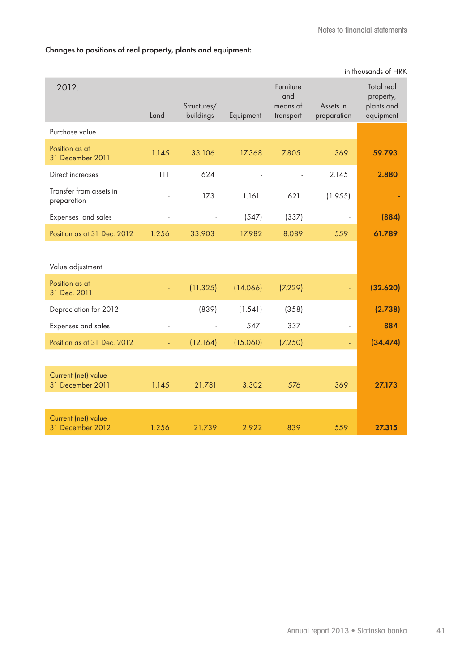## **Changes to positions of real property, plants and equipment:**

|                                         |                |                          |           |                                           |                          | in thousands of HRK                                |
|-----------------------------------------|----------------|--------------------------|-----------|-------------------------------------------|--------------------------|----------------------------------------------------|
| 2012.                                   | Land           | Structures/<br>buildings | Equipment | Furniture<br>and<br>means of<br>transport | Assets in<br>preparation | Total real<br>property,<br>plants and<br>equipment |
| Purchase value                          |                |                          |           |                                           |                          |                                                    |
| Position as at<br>31 December 2011      | 1.145          | 33.106                   | 17.368    | 7.805                                     | 369                      | 59.793                                             |
| Direct increases                        | 111            | 624                      |           | $\overline{a}$                            | 2.145                    | 2.880                                              |
| Transfer from assets in<br>preparation  |                | 173                      | 1.161     | 621                                       | (1.955)                  |                                                    |
| Expenses and sales                      | L,             | ÷,                       | (547)     | (337)                                     |                          | (884)                                              |
| Position as at 31 Dec. 2012             | 1.256          | 33.903                   | 17.982    | 8.089                                     | 559                      | 61.789                                             |
| Value adjustment                        |                |                          |           |                                           |                          |                                                    |
| Position as at<br>31 Dec. 2011          |                | (11.325)                 | (14.066)  | (7.229)                                   |                          | (32.620)                                           |
| Depreciation for 2012                   | ÷,             | (839)                    | (1.541)   | (358)                                     | $\overline{\phantom{a}}$ | (2.738)                                            |
| Expenses and sales                      | $\overline{a}$ | $\overline{\phantom{a}}$ | 547       | 337                                       | $\frac{1}{2}$            | 884                                                |
| Position as at 31 Dec. 2012             | Ξ              | (12.164)                 | (15.060)  | (7.250)                                   | $\equiv$                 | (34.474)                                           |
|                                         |                |                          |           |                                           |                          |                                                    |
| Current (net) value<br>31 December 2011 | 1.145          | 21.781                   | 3.302     | 576                                       | 369                      | 27.173                                             |
|                                         |                |                          |           |                                           |                          |                                                    |
| Current (net) value<br>31 December 2012 | 1.256          | 21.739                   | 2.922     | 839                                       | 559                      | 27.315                                             |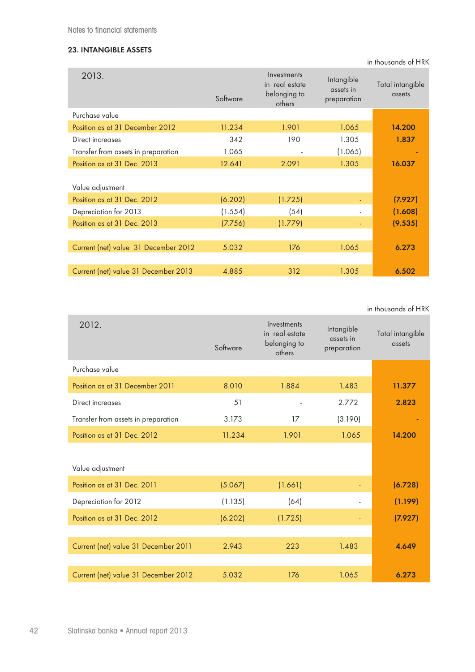## **23. INTANGIBLE ASSETS**

in thousands of HRK

| 2013.                                | Software | Investments<br>in real estate<br>belonging to<br>others | Intangible<br>assets in<br>preparation | Total intangible<br>assets |
|--------------------------------------|----------|---------------------------------------------------------|----------------------------------------|----------------------------|
| Purchase value                       |          |                                                         |                                        |                            |
| Position as at 31 December 2012      | 11.234   | 1.901                                                   | 1.065                                  | 14.200                     |
| Direct increases                     | 342      | 190                                                     | 1.305                                  | 1.837                      |
| Transfer from assets in preparation  | 1.065    |                                                         | (1.065)                                |                            |
| Position as at 31 Dec. 2013          | 12.641   | 2.091                                                   | 1.305                                  | 16.037                     |
| Value adjustment                     |          |                                                         |                                        |                            |
| Position as at 31 Dec. 2012          | (6.202)  | (1.725)                                                 |                                        | (7.927)                    |
| Depreciation for 2013                | (1.554)  | (54)                                                    |                                        | (1.608)                    |
| Position as at 31 Dec. 2013          | (7.756)  | (1.779)                                                 |                                        | (9.535)                    |
|                                      |          |                                                         |                                        |                            |
| Current (net) value 31 December 2012 | 5.032    | 176                                                     | 1.065                                  | 6.273                      |
|                                      |          |                                                         |                                        |                            |
| Current (net) value 31 December 2013 | 4.885    | 312                                                     | 1.305                                  | 6.502                      |

in thousands of HRK

| 2012.                                | Software | Investments<br>in real estate<br>belonging to<br>others | Intangible<br>assets in<br>preparation | Total intangible<br>assets |
|--------------------------------------|----------|---------------------------------------------------------|----------------------------------------|----------------------------|
| Purchase value                       |          |                                                         |                                        |                            |
| Position as at 31 December 2011      | 8.010    | 1.884                                                   | 1.483                                  | 11.377                     |
| Direct increases                     | 51       |                                                         | 2.772                                  | 2.823                      |
| Transfer from assets in preparation  | 3.173    | 17                                                      | (3.190)                                |                            |
| Position as at 31 Dec. 2012          | 11.234   | 1.901                                                   | 1.065                                  | 14.200                     |
|                                      |          |                                                         |                                        |                            |
| Value adjustment                     |          |                                                         |                                        |                            |
| Position as at 31 Dec. 2011          | (5.067)  | (1.661)                                                 |                                        | (6.728)                    |
| Depreciation for 2012                | (1.135)  | (64)                                                    |                                        | (1.199)                    |
| Position as at 31 Dec. 2012          | (6.202)  | (1.725)                                                 | $\blacksquare$                         | (7.927)                    |
|                                      |          |                                                         |                                        |                            |
| Current (net) value 31 December 2011 | 2.943    | 223                                                     | 1.483                                  | 4.649                      |
|                                      |          |                                                         |                                        |                            |
| Current (net) value 31 December 2012 | 5.032    | 176                                                     | 1.065                                  | 6.273                      |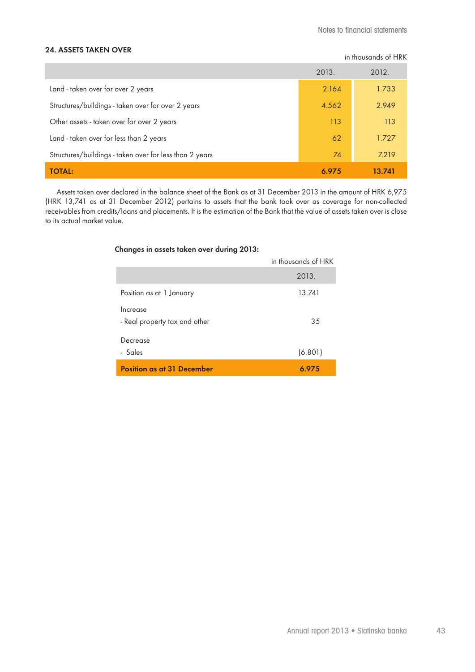#### **24. ASSETS TAKEN OVER**

|  | in thousands of HRK |  |  |
|--|---------------------|--|--|
|--|---------------------|--|--|

|                                                         | 2013. | 2012.  |
|---------------------------------------------------------|-------|--------|
| Land - taken over for over 2 years                      | 2.164 | 1.733  |
| Structures/buildings - taken over for over 2 years      | 4.562 | 2.949  |
| Other assets - taken over for over 2 years              | 113   | 113    |
| Land - taken over for less than 2 years                 | 62    | 1.727  |
| Structures/buildings - taken over for less than 2 years | 74    | 7.219  |
| <b>TOTAL:</b>                                           | 6.975 | 13.741 |

Assets taken over declared in the balance sheet of the Bank as at 31 December 2013 in the amount of HRK 6,975 (HRK 13,741 as at 31 December 2012) pertains to assets that the bank took over as coverage for non-collected receivables from credits/loans and placements. It is the estimation of the Bank that the value of assets taken over is close to its actual market value.

#### **Changes in assets taken over during 2013:**

| <b>Position as at 31 December</b>         | 6.975               |
|-------------------------------------------|---------------------|
| Decrease<br>- Sales                       | (6.801)             |
| Increase<br>- Real property tax and other | 35                  |
| Position as at 1 January                  | 13.741              |
|                                           | 2013.               |
|                                           | in thousands of HRK |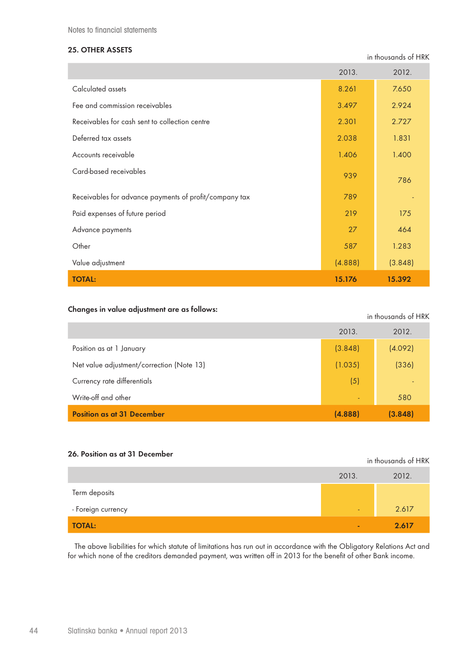Notes to financial statements

## **25. OTHER ASSETS**

in thousands of HRK

|                                                        | 2013.   | 2012.   |
|--------------------------------------------------------|---------|---------|
| Calculated assets                                      | 8.261   | 7.650   |
| Fee and commission receivables                         | 3.497   | 2.924   |
| Receivables for cash sent to collection centre         | 2.301   | 2.727   |
| Deferred tax assets                                    | 2.038   | 1.831   |
| Accounts receivable                                    | 1.406   | 1.400   |
| Card-based receivables                                 | 939     | 786     |
| Receivables for advance payments of profit/company tax | 789     |         |
| Paid expenses of future period                         | 219     | 175     |
| Advance payments                                       | 27      | 464     |
| Other                                                  | 587     | 1.283   |
| Value adjustment                                       | (4.888) | (3.848) |
| <b>TOTAL:</b>                                          | 15.176  | 15.392  |

## **Changes in value adjustment are as follows: in thousands of HRK**

in thousands of HRK

|                                           | 2013.   | 2012.                    |
|-------------------------------------------|---------|--------------------------|
| Position as at 1 January                  | (3.848) | (4.092)                  |
| Net value adjustment/correction (Note 13) | (1.035) | (336)                    |
| Currency rate differentials               | (5)     | $\overline{\phantom{0}}$ |
| Write-off and other                       | $\sim$  | 580                      |
| <b>Position as at 31 December</b>         | (4.888) | (3.848)                  |

## **26. Position as at 31 December**

|                    | 2013.          | 2012. |
|--------------------|----------------|-------|
| Term deposits      |                |       |
| - Foreign currency | $\blacksquare$ | 2.617 |
| <b>TOTAL:</b>      | ٠              | 2.617 |

The above liabilities for which statute of limitations has run out in accordance with the Obligatory Relations Act and for which none of the creditors demanded payment, was written off in 2013 for the benefit of other Bank income.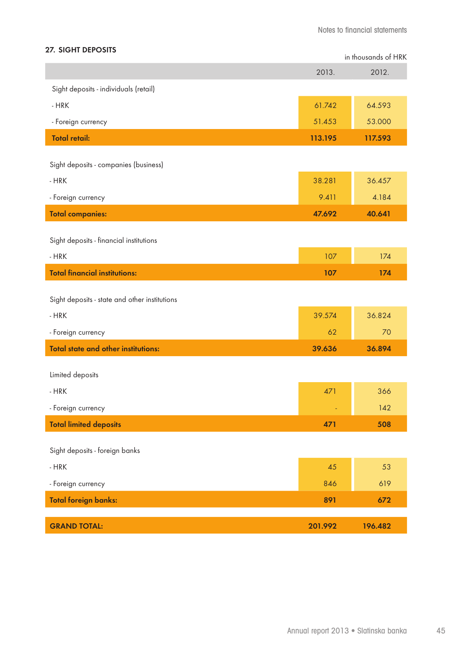## **27. SIGHT DEPOSITS**

|                                               |         | in thousands of HRK |
|-----------------------------------------------|---------|---------------------|
|                                               | 2013.   | 2012.               |
| Sight deposits - individuals (retail)         |         |                     |
| $-HRK$                                        | 61.742  | 64.593              |
| - Foreign currency                            | 51.453  | 53.000              |
| <b>Total retail:</b>                          | 113.195 | 117.593             |
| Sight deposits - companies (business)         |         |                     |
| $-HRK$                                        | 38.281  | 36.457              |
| - Foreign currency                            | 9.411   | 4.184               |
| <b>Total companies:</b>                       | 47.692  | 40.641              |
|                                               |         |                     |
| Sight deposits - financial institutions       |         |                     |
| $-HRK$                                        | 107     | 174                 |
| <b>Total financial institutions:</b>          | 107     | 174                 |
| Sight deposits - state and other institutions |         |                     |
| $-HRK$                                        | 39.574  | 36.824              |
| - Foreign currency                            | 62      | 70                  |
| <b>Total state and other institutions:</b>    | 39.636  | 36.894              |
| Limited deposits                              |         |                     |
| $-HRK$                                        | 471     | 366                 |
| - Foreign currency                            |         | 142                 |
| <b>Total limited deposits</b>                 | 471     | 508                 |
|                                               |         |                     |
| Sight deposits - foreign banks                |         |                     |
| $-HRK$                                        | 45      | 53                  |
| - Foreign currency                            | 846     | 619                 |
| <b>Total foreign banks:</b>                   | 891     | 672                 |
| <b>GRAND TOTAL:</b>                           | 201.992 | 196.482             |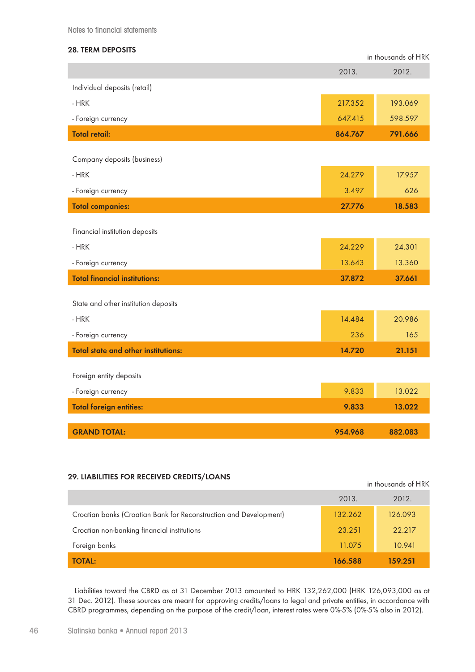Notes to financial statements

## **28. TERM DEPOSITS**

|                                            |         | in thousands of HRK |
|--------------------------------------------|---------|---------------------|
|                                            | 2013.   | 2012.               |
| Individual deposits (retail)               |         |                     |
| - HRK                                      | 217.352 | 193.069             |
| - Foreign currency                         | 647.415 | 598.597             |
| <b>Total retail:</b>                       | 864.767 | 791.666             |
|                                            |         |                     |
| Company deposits (business)                |         |                     |
| $-HRK$                                     | 24.279  | 17.957              |
| - Foreign currency                         | 3.497   | 626                 |
| <b>Total companies:</b>                    | 27.776  | 18.583              |
|                                            |         |                     |
| Financial institution deposits             |         |                     |
| $-HRK$                                     | 24.229  | 24.301              |
| - Foreign currency                         | 13.643  | 13.360              |
| <b>Total financial institutions:</b>       | 37.872  | 37.661              |
|                                            |         |                     |
| State and other institution deposits       |         |                     |
| $-HRK$                                     | 14.484  | 20.986              |
| - Foreign currency                         | 236     | 165                 |
| <b>Total state and other institutions:</b> | 14.720  | 21.151              |
|                                            |         |                     |
| Foreign entity deposits                    |         |                     |
| - Foreign currency                         | 9.833   | 13.022              |
| <b>Total foreign entities:</b>             | 9.833   | 13.022              |
|                                            |         |                     |
| <b>GRAND TOTAL:</b>                        | 954.968 | 882.083             |

## **29. LIABILITIES FOR RECEIVED CREDITS/LOANS in the HRKK of HRKK and HRKK of HRKK of HRKK of HRKK of HRKK of HRKK**

|                                                                   |         | in thousands of HRK |
|-------------------------------------------------------------------|---------|---------------------|
|                                                                   | 2013.   | 2012.               |
| Croatian banks (Croatian Bank for Reconstruction and Development) | 132.262 | 126.093             |
| Croatian non-banking financial institutions                       | 23.251  | 22.217              |
| Foreign banks                                                     | 11.075  | 10.941              |
| <b>TOTAL:</b>                                                     | 166.588 | 159.251             |

Liabilities toward the CBRD as at 31 December 2013 amounted to HRK 132,262,000 (HRK 126,093,000 as at 31 Dec. 2012). These sources are meant for approving credits/loans to legal and private entities, in accordance with CBRD programmes, depending on the purpose of the credit/loan, interest rates were 0%-5% (0%-5% also in 2012).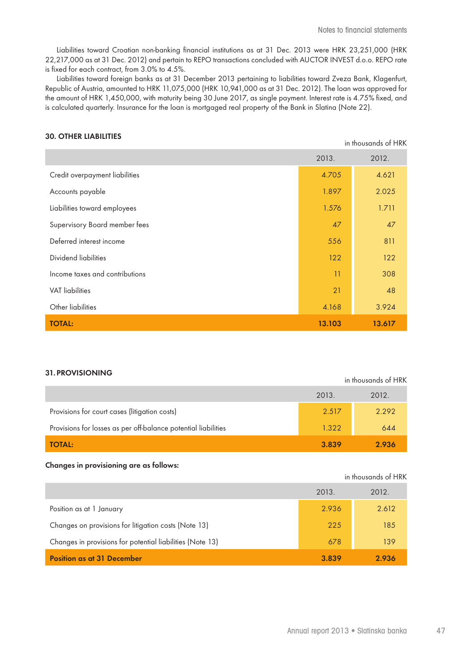Liabilities toward Croatian non-banking financial institutions as at 31 Dec. 2013 were HRK 23,251,000 (HRK 22,217,000 as at 31 Dec. 2012) and pertain to REPO transactions concluded with AUCTOR INVEST d.o.o. REPO rate is fixed for each contract, from 3.0% to 4.5%.

Liabilities toward foreign banks as at 31 December 2013 pertaining to liabilities toward Zveza Bank, Klagenfurt, Republic of Austria, amounted to HRK 11,075,000 (HRK 10,941,000 as at 31 Dec. 2012). The loan was approved for the amount of HRK 1,450,000, with maturity being 30 June 2017, as single payment. Interest rate is 4.75% fixed, and is calculated quarterly. Insurance for the loan is mortgaged real property of the Bank in Slatina (Note 22).

#### **30. OTHER LIABILITIES**

| in thousands of HRK            |        |        |
|--------------------------------|--------|--------|
|                                | 2013.  | 2012.  |
| Credit overpayment liabilities | 4.705  | 4.621  |
| Accounts payable               | 1.897  | 2.025  |
| Liabilities toward employees   | 1.576  | 1.711  |
| Supervisory Board member fees  | 47     | 47     |
| Deferred interest income       | 556    | 811    |
| Dividend liabilities           | 122    | 122    |
| Income taxes and contributions | 11     | 308    |
| <b>VAT</b> liabilities         | 21     | 48     |
| Other liabilities              | 4.168  | 3.924  |
| <b>TOTAL:</b>                  | 13.103 | 13.617 |

#### **31. PROVISIONING**

|                                                                | 2013. | 2012. |
|----------------------------------------------------------------|-------|-------|
| Provisions for court cases (litigation costs)                  | 2.517 | 2.292 |
| Provisions for losses as per off-balance potential liabilities | 1.322 | 644   |
| <b>TOTAL:</b>                                                  | 3.839 | 2.936 |

#### **Changes in provisioning are as follows:**

|                                                           | in thousands of HRK |       |
|-----------------------------------------------------------|---------------------|-------|
|                                                           | 2013.               | 2012. |
| Position as at 1 January                                  | 2.936               | 2.612 |
| Changes on provisions for litigation costs (Note 13)      | 225                 | 185   |
| Changes in provisions for potential liabilities (Note 13) | 678                 | 139   |
| <b>Position as at 31 December</b>                         | 3.839               | 2.936 |

in thousands of HRK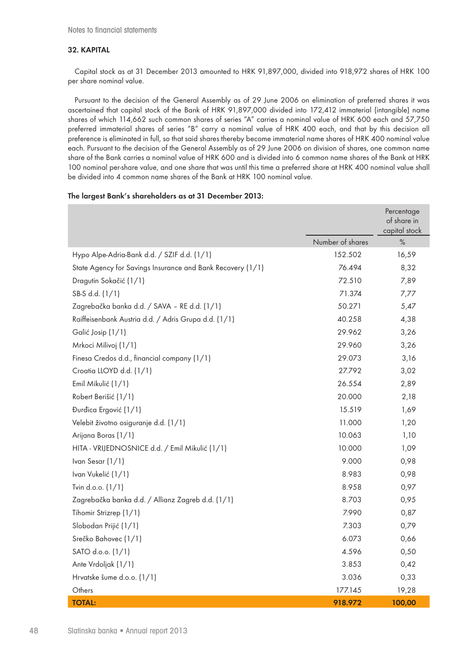#### **32. KAPITAL**

Capital stock as at 31 December 2013 amounted to HRK 91,897,000, divided into 918,972 shares of HRK 100 per share nominal value.

Pursuant to the decision of the General Assembly as of 29 June 2006 on elimination of preferred shares it was ascertained that capital stock of the Bank of HRK 91,897,000 divided into 172,412 immaterial (intangible) name shares of which 114,662 such common shares of series "A" carries a nominal value of HRK 600 each and 57,750 preferred immaterial shares of series "B" carry a nominal value of HRK 400 each, and that by this decision all preference is eliminated in full, so that said shares thereby become immaterial name shares of HRK 400 nominal value each. Pursuant to the decision of the General Assembly as of 29 June 2006 on division of shares, one common name share of the Bank carries a nominal value of HRK 600 and is divided into 6 common name shares of the Bank at HRK 100 nominal per-share value, and one share that was until this time a preferred share at HRK 400 nominal value shall be divided into 4 common name shares of the Bank at HRK 100 nominal value.

#### **The largest Bank's shareholders as at 31 December 2013:**

|                                                            |                  | Percentage<br>of share in<br>capital stock |
|------------------------------------------------------------|------------------|--------------------------------------------|
|                                                            | Number of shares | $\%$                                       |
| Hypo Alpe-Adria-Bank d.d. / SZIF d.d. (1/1)                | 152.502          | 16,59                                      |
| State Agency for Savings Insurance and Bank Recovery (1/1) | 76.494           | 8,32                                       |
| Dragutin Sokačić (1/1)                                     | 72.510           | 7,89                                       |
| SB-S d.d. (1/1)                                            | 71.374           | 7,77                                       |
| Zagrebačka banka d.d. / SAVA - RE d.d. (1/1)               | 50.271           | 5,47                                       |
| Raiffeisenbank Austria d.d. / Adris Grupa d.d. (1/1)       | 40.258           | 4,38                                       |
| Galić Josip (1/1)                                          | 29.962           | 3,26                                       |
| Mrkoci Milivoj (1/1)                                       | 29.960           | 3,26                                       |
| Finesa Credos d.d., financial company (1/1)                | 29.073           | 3,16                                       |
| Croatia LLOYD d.d. (1/1)                                   | 27.792           | 3,02                                       |
| Emil Mikulić (1/1)                                         | 26.554           | 2,89                                       |
| Robert Berišić (1/1)                                       | 20.000           | 2,18                                       |
| Đurđica Ergović (1/1)                                      | 15.519           | 1,69                                       |
| Velebit životno osiguranje d.d. (1/1)                      | 11.000           | 1,20                                       |
| Arijana Boras (1/1)                                        | 10.063           | 1,10                                       |
| HITA - VRIJEDNOSNICE d.d. / Emil Mikulić (1/1)             | 10.000           | 1,09                                       |
| Ivan Sesar (1/1)                                           | 9.000            | 0,98                                       |
| Ivan Vukelić (1/1)                                         | 8.983            | 0,98                                       |
| Tvin d.o.o. (1/1)                                          | 8.958            | 0,97                                       |
| Zagrebačka banka d.d. / Allianz Zagreb d.d. (1/1)          | 8.703            | 0,95                                       |
| Tihomir Strizrep (1/1)                                     | 7.990            | 0,87                                       |
| Slobodan Prijić (1/1)                                      | 7.303            | 0,79                                       |
| Srečko Bahovec (1/1)                                       | 6.073            | 0,66                                       |
| SATO d.o.o. (1/1)                                          | 4.596            | 0,50                                       |
| Ante Vrdoljak (1/1)                                        | 3.853            | 0,42                                       |
| Hrvatske šume d.o.o. (1/1)                                 | 3.036            | 0,33                                       |
| Others                                                     | 177.145          | 19,28                                      |
| <b>TOTAL:</b>                                              | 918.972          | 100,00                                     |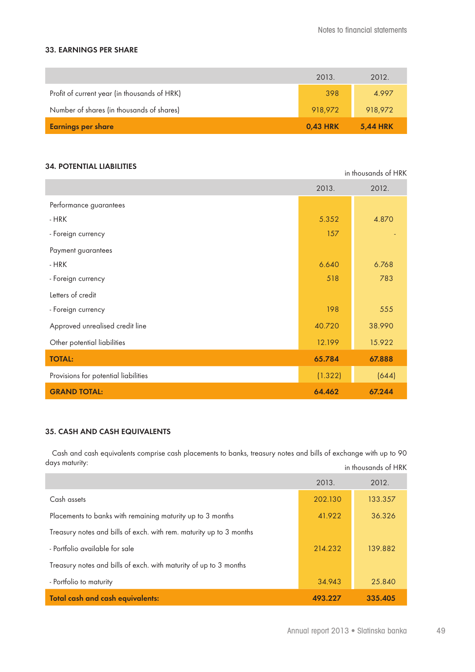in thousands of HRK

#### **33. EARNINGS PER SHARE**

| <b>Earnings per share</b>                    | <b>0,43 HRK</b> | <b>5,44 HRK</b> |
|----------------------------------------------|-----------------|-----------------|
| Number of shares (in thousands of shares)    | 918,972         | 918,972         |
| Profit of current year (in thousands of HRK) | 398             | 4.997           |
|                                              | 2013.           | 2012.           |

#### **34. POTENTIAL LIABILITIES**

|                                      | 2013.   | 2012.  |
|--------------------------------------|---------|--------|
| Performance guarantees               |         |        |
| - HRK                                | 5.352   | 4.870  |
| - Foreign currency                   | 157     |        |
| Payment guarantees                   |         |        |
| - HRK                                | 6.640   | 6.768  |
| - Foreign currency                   | 518     | 783    |
| Letters of credit                    |         |        |
| - Foreign currency                   | 198     | 555    |
| Approved unrealised credit line      | 40.720  | 38.990 |
| Other potential liabilities          | 12.199  | 15.922 |
| <b>TOTAL:</b>                        | 65.784  | 67.888 |
| Provisions for potential liabilities | (1.322) | (644)  |
| <b>GRAND TOTAL:</b>                  | 64.462  | 67.244 |

## **35. CASH AND CASH EQUIVALENTS**

Cash and cash equivalents comprise cash placements to banks, treasury notes and bills of exchange with up to 90 days maturity: in thousands of HRK

|                                                                     | 2013.   | 2012.   |
|---------------------------------------------------------------------|---------|---------|
| Cash assets                                                         | 202.130 | 133.357 |
| Placements to banks with remaining maturity up to 3 months          | 41.922  | 36.326  |
| Treasury notes and bills of exch. with rem. maturity up to 3 months |         |         |
| - Portfolio available for sale                                      | 214.232 | 139.882 |
| Treasury notes and bills of exch. with maturity of up to 3 months   |         |         |
| - Portfolio to maturity                                             | 34.943  | 25.840  |
| <b>Total cash and cash equivalents:</b>                             | 493.227 | 335.405 |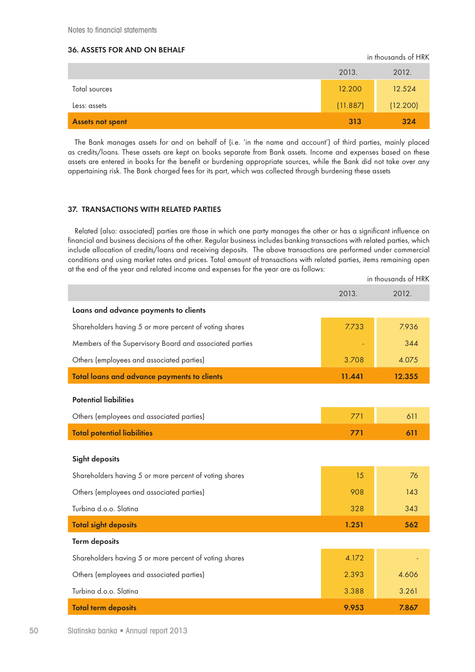## **36. ASSETS FOR AND ON BEHALF**

|                         | 2013.    | 2012.    |
|-------------------------|----------|----------|
| Total sources           | 12.200   | 12.524   |
| Less: assets            | (11.887) | (12.200) |
| <b>Assets not spent</b> | 313      | 324      |

in thousands of HRK

The Bank manages assets for and on behalf of (i.e. 'in the name and account') of third parties, mainly placed as credits/loans. These assets are kept on books separate from Bank assets. Income and expenses based on these assets are entered in books for the benefit or burdening appropriate sources, while the Bank did not take over any appertaining risk. The Bank charged fees for its part, which was collected through burdening these assets

#### **37. TRANSACTIONS WITH RELATED PARTIES**

Related (also: associated) parties are those in which one party manages the other or has a significant influence on financial and business decisions of the other. Regular business includes banking transactions with related parties, which include allocation of credits/loans and receiving deposits. The above transactions are performed under commercial conditions and using market rates and prices. Total amount of transactions with related parties, items remaining open at the end of the year and related income and expenses for the year are as follows:

|                                                         |        | in thousands of HRK |
|---------------------------------------------------------|--------|---------------------|
|                                                         | 2013.  | 2012.               |
| Loans and advance payments to clients                   |        |                     |
| Shareholders having 5 or more percent of voting shares  | 7.733  | 7.936               |
| Members of the Supervisory Board and associated parties |        | 344                 |
| Others (employees and associated parties)               | 3.708  | 4.075               |
| <b>Total loans and advance payments to clients</b>      | 11.441 | 12.355              |
| <b>Potential liabilities</b>                            |        |                     |
| Others (employees and associated parties)               | 771    | 611                 |
| <b>Total potential liabilities</b>                      | 771    | 611                 |
| <b>Sight deposits</b>                                   |        |                     |
| Shareholders having 5 or more percent of voting shares  | 15     | 76                  |
| Others (employees and associated parties)               | 908    | 143                 |
| Turbina d.o.o. Slatina                                  | 328    | 343                 |
| <b>Total sight deposits</b>                             | 1.251  | 562                 |
| <b>Term deposits</b>                                    |        |                     |
| Shareholders having 5 or more percent of voting shares  | 4.172  |                     |
| Others (employees and associated parties)               | 2.393  | 4.606               |
| Turbina d.o.o. Slatina                                  | 3.388  | 3.261               |
| <b>Total term deposits</b>                              | 9.953  | 7.867               |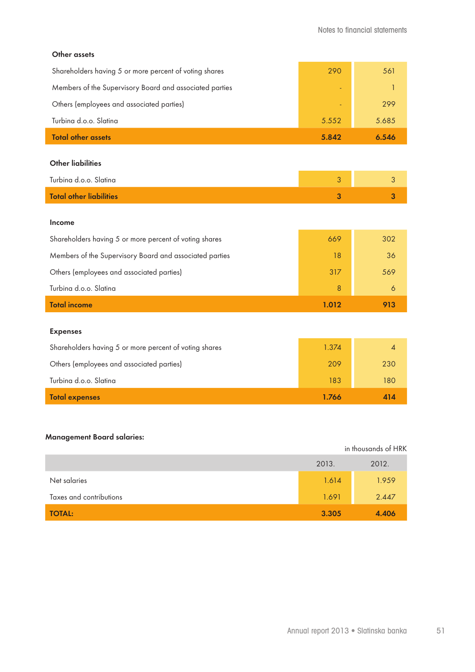a.

#### **Other assets**

| Shareholders having 5 or more percent of voting shares  | 290   | 561   |
|---------------------------------------------------------|-------|-------|
| Members of the Supervisory Board and associated parties |       |       |
| Others (employees and associated parties)               |       | 299   |
| Turbina d.o.o. Slatina                                  | 5.552 | 5.685 |
| <b>Total other assets</b>                               | 5.842 | 6.546 |
| <b>Other liabilities</b>                                |       |       |
|                                                         |       |       |

| Turbina d.o.o. Slatina  |  |
|-------------------------|--|
| Total other liabilities |  |

#### **Income**

| <b>Total income</b>                                     | 1.012 |     |
|---------------------------------------------------------|-------|-----|
| Turbina d.o.o. Slatina                                  | 8     | 6   |
| Others (employees and associated parties)               | 317   | 569 |
| Members of the Supervisory Board and associated parties | 18    | 36  |
| Shareholders having 5 or more percent of voting shares  | 669   | 302 |

#### **Expenses**

| Others (employees and associated parties) | 209   | 230 |
|-------------------------------------------|-------|-----|
| Turbina d.o.o. Slatina                    | 183   | 180 |
| <b>Total expenses</b>                     | 1.766 | 414 |

## **Management Board salaries:**

|                         |       | in thousands of HRK |
|-------------------------|-------|---------------------|
|                         | 2013. | 2012.               |
| Net salaries            | 1.614 | 1.959               |
| Taxes and contributions | 1.691 | 2.447               |
| <b>TOTAL:</b>           | 3.305 | 4.406               |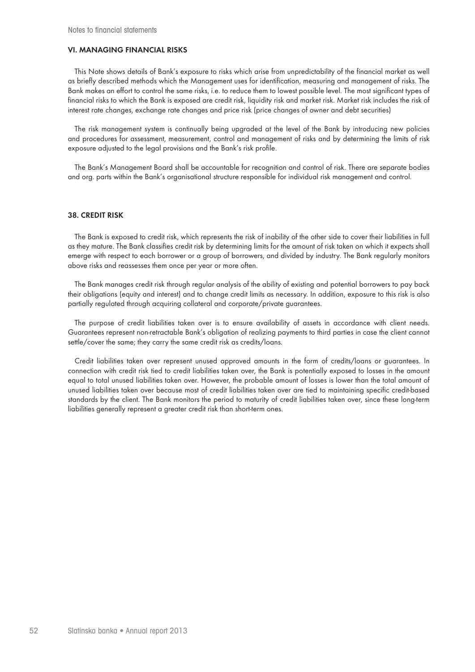#### **VI. MANAGING FINANCIAL RISKS**

This Note shows details of Bank's exposure to risks which arise from unpredictability of the financial market as well as briefly described methods which the Management uses for identification, measuring and management of risks. The Bank makes an effort to control the same risks, i.e. to reduce them to lowest possible level. The most significant types of financial risks to which the Bank is exposed are credit risk, liquidity risk and market risk. Market risk includes the risk of interest rate changes, exchange rate changes and price risk (price changes of owner and debt securities)

The risk management system is continually being upgraded at the level of the Bank by introducing new policies and procedures for assessment, measurement, control and management of risks and by determining the limits of risk exposure adjusted to the legal provisions and the Bank's risk profile.

The Bank's Management Board shall be accountable for recognition and control of risk. There are separate bodies and org. parts within the Bank's organisational structure responsible for individual risk management and control.

#### **38. CREDIT RISK**

The Bank is exposed to credit risk, which represents the risk of inability of the other side to cover their liabilities in full as they mature. The Bank classifies credit risk by determining limits for the amount of risk taken on which it expects shall emerge with respect to each borrower or a group of borrowers, and divided by industry. The Bank regularly monitors above risks and reassesses them once per year or more often.

The Bank manages credit risk through regular analysis of the ability of existing and potential borrowers to pay back their obligations (equity and interest) and to change credit limits as necessary. In addition, exposure to this risk is also partially regulated through acquiring collateral and corporate/private guarantees.

The purpose of credit liabilities taken over is to ensure availability of assets in accordance with client needs. Guarantees represent non-retractable Bank's obligation of realizing payments to third parties in case the client cannot settle/cover the same; they carry the same credit risk as credits/loans.

Credit liabilities taken over represent unused approved amounts in the form of credits/loans or guarantees. In connection with credit risk tied to credit liabilities taken over, the Bank is potentially exposed to losses in the amount equal to total unused liabilities taken over. However, the probable amount of losses is lower than the total amount of unused liabilities taken over because most of credit liabilities taken over are tied to maintaining specific credit-based standards by the client. The Bank monitors the period to maturity of credit liabilities taken over, since these long-term liabilities generally represent a greater credit risk than short-term ones.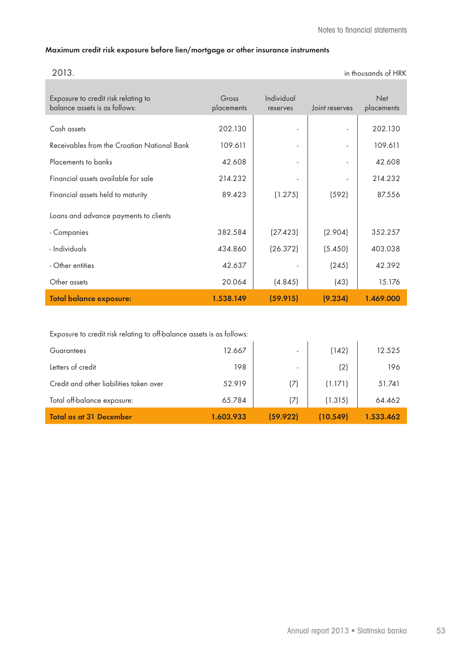#### **Maximum credit risk exposure before lien/mortgage or other insurance instruments**

| 2013.                                       |            |                          |                          | in thousands of HRK |
|---------------------------------------------|------------|--------------------------|--------------------------|---------------------|
|                                             |            |                          |                          |                     |
| Exposure to credit risk relating to         | Gross      | Individual               |                          | <b>Net</b>          |
| balance assets is as follows:               | placements | reserves                 | Joint reserves           | placements          |
| Cash assets                                 | 202.130    | $\overline{\phantom{a}}$ | $\overline{\phantom{a}}$ | 202.130             |
| Receivables from the Croatian National Bank | 109.611    | ٠                        | $\overline{\phantom{a}}$ | 109.611             |
| Placements to banks                         | 42.608     | $\overline{\phantom{a}}$ |                          | 42.608              |
| Financial assets available for sale         | 214.232    | $\overline{\phantom{a}}$ |                          | 214.232             |
| Financial assets held to maturity           | 89.423     | (1.275)                  | (592)                    | 87.556              |
| Loans and advance payments to clients       |            |                          |                          |                     |
| - Companies                                 | 382.584    | (27.423)                 | (2.904)                  | 352.257             |
| - Individuals                               | 434.860    | (26.372)                 | (5.450)                  | 403.038             |
| - Other entities                            | 42.637     |                          | (245)                    | 42.392              |
| Other assets                                | 20.064     | (4.845)                  | (43)                     | 15.176              |
| <b>Total balance exposure:</b>              | 1.538.149  | (59.915)                 | (9.234)                  | 1.469.000           |

Exposure to credit risk relating to off-balance assets is as follows:

| <b>Guarantees</b>                       | 12.667    | $\overline{\phantom{0}}$ | (142)    | 12.525    |
|-----------------------------------------|-----------|--------------------------|----------|-----------|
| Letters of credit                       | 198       | $\overline{\phantom{a}}$ | (2)      | 196       |
| Credit and other liabilities taken over | 52.919    | (7)                      | (1.171)  | 51.741    |
| Total off-balance exposure:             | 65.784    | (7)                      | (1.315)  | 64.462    |
| <b>Total as at 31 December</b>          | 1.603.933 | (59.922)                 | (10.549) | 1.533.462 |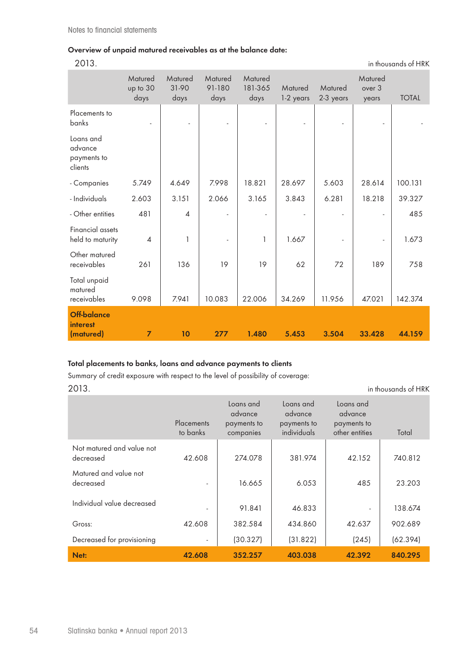## **Overview of unpaid matured receivables as at the balance date:**

in thousands of HRK

|                                                | Matured<br>up to 30<br>days | Matured<br>31-90<br>days | Matured<br>91-180<br>days | Matured<br>181-365<br>days | Matured<br>1-2 years | Matured<br>2-3 years | Matured<br>over 3<br>years | <b>TOTAL</b> |
|------------------------------------------------|-----------------------------|--------------------------|---------------------------|----------------------------|----------------------|----------------------|----------------------------|--------------|
| Placements to<br>banks                         |                             |                          |                           |                            |                      |                      |                            |              |
| Loans and<br>advance<br>payments to<br>clients |                             |                          |                           |                            |                      |                      |                            |              |
| - Companies                                    | 5.749                       | 4.649                    | 7.998                     | 18.821                     | 28.697               | 5.603                | 28.614                     | 100.131      |
| - Individuals                                  | 2.603                       | 3.151                    | 2.066                     | 3.165                      | 3.843                | 6.281                | 18.218                     | 39.327       |
| - Other entities                               | 481                         | $\overline{\mathcal{A}}$ |                           |                            |                      |                      |                            | 485          |
| Financial assets<br>held to maturity           | $\overline{4}$              | $\mathbf{1}$             | ä,                        | 1                          | 1.667                |                      |                            | 1.673        |
| Other matured<br>receivables                   | 261                         | 136                      | 19                        | 19                         | 62                   | 72                   | 189                        | 758          |
| Total unpaid<br>matured<br>receivables         | 9.098                       | 7.941                    | 10.083                    | 22.006                     | 34.269               | 11.956               | 47.021                     | 142.374      |
| Off-balance<br><b>interest</b><br>(matured)    | $\overline{7}$              | 10                       | 277                       | 1.480                      | 5.453                | 3.504                | 33.428                     | 44.159       |

## **Total placements to banks, loans and advance payments to clients**

Summary of credit exposure with respect to the level of possibility of coverage: 2013. in thousands of HRK

|                                        | Placements<br>to banks   | Loans and<br>advance<br>payments to<br>companies | Loans and<br>advance<br>payments to<br>individuals | Loans and<br>advance<br>payments to<br>other entities | Total    |
|----------------------------------------|--------------------------|--------------------------------------------------|----------------------------------------------------|-------------------------------------------------------|----------|
| Not matured and value not<br>decreased | 42.608                   | 274.078                                          | 381.974                                            | 42.152                                                | 740.812  |
| Matured and value not<br>decreased     | $\overline{\phantom{a}}$ | 16.665                                           | 6.053                                              | 485                                                   | 23.203   |
| Individual value decreased             | $\overline{a}$           | 91.841                                           | 46.833                                             | $\overline{\phantom{a}}$                              | 138.674  |
| Gross:                                 | 42.608                   | 382.584                                          | 434.860                                            | 42.637                                                | 902.689  |
| Decreased for provisioning             | $\overline{\phantom{a}}$ | (30.327)                                         | (31.822)                                           | (245)                                                 | (62.394) |
| Net:                                   | 42.608                   | 352.257                                          | 403.038                                            | 42.392                                                | 840.295  |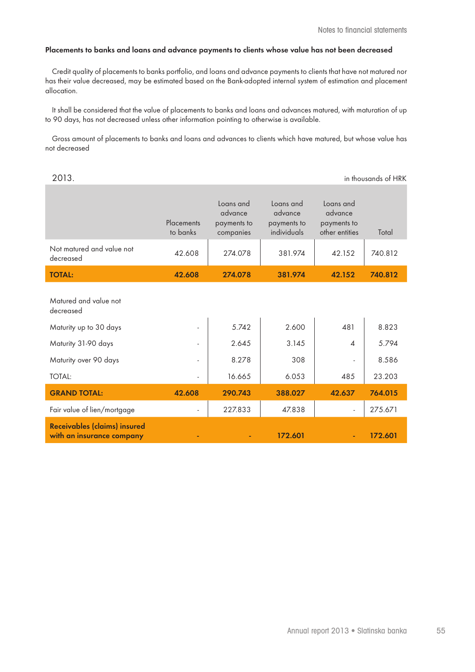#### **Placements to banks and loans and advance payments to clients whose value has not been decreased**

Credit quality of placements to banks portfolio, and loans and advance payments to clients that have not matured nor has their value decreased, may be estimated based on the Bank-adopted internal system of estimation and placement allocation.

It shall be considered that the value of placements to banks and loans and advances matured, with maturation of up to 90 days, has not decreased unless other information pointing to otherwise is available.

Gross amount of placements to banks and loans and advances to clients which have matured, but whose value has not decreased

|                                                                  | Placements<br>to banks   | Loans and<br>advance<br>payments to<br>companies | Loans and<br>advance<br>payments to<br>individuals | Loans and<br>advance<br>payments to<br>other entities | Total   |
|------------------------------------------------------------------|--------------------------|--------------------------------------------------|----------------------------------------------------|-------------------------------------------------------|---------|
| Not matured and value not<br>decreased                           | 42.608                   | 274.078                                          | 381.974                                            | 42.152                                                | 740.812 |
| <b>TOTAL:</b>                                                    | 42.608                   | 274.078                                          | 381.974                                            | 42.152                                                | 740.812 |
| Matured and value not<br>decreased                               |                          |                                                  |                                                    |                                                       |         |
| Maturity up to 30 days                                           | $\overline{\phantom{a}}$ | 5.742                                            | 2.600                                              | 481                                                   | 8.823   |
| Maturity 31-90 days                                              |                          | 2.645                                            | 3.145                                              | $\overline{\mathcal{A}}$                              | 5.794   |
| Maturity over 90 days                                            | $\overline{\phantom{a}}$ | 8.278                                            | 308                                                |                                                       | 8.586   |
| <b>TOTAL:</b>                                                    | ٠                        | 16.665                                           | 6.053                                              | 485                                                   | 23.203  |
| <b>GRAND TOTAL:</b>                                              | 42.608                   | 290.743                                          | 388.027                                            | 42.637                                                | 764.015 |
| Fair value of lien/mortgage                                      | ٠                        | 227.833                                          | 47.838                                             | $\overline{\phantom{a}}$                              | 275.671 |
| <b>Receivables (claims) insured</b><br>with an insurance company |                          |                                                  | 172.601                                            | $\blacksquare$                                        | 172.601 |

2013. in thousands of HRK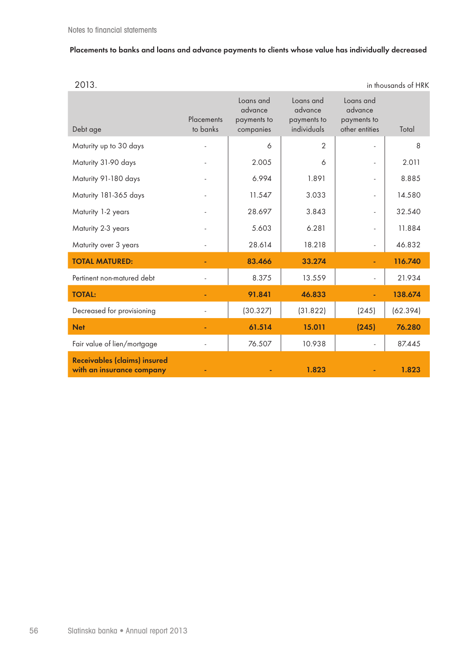## **Placements to banks and loans and advance payments to clients whose value has individually decreased**

| ٧<br>× | ٧ |
|--------|---|

| 2013. | in thousands of HRK |
|-------|---------------------|
|       |                     |

| Debt age                                                         | Placements<br>to banks | Loans and<br>advance<br>payments to<br>companies | Loans and<br>advance<br>payments to<br>individuals | Loans and<br>advance<br>payments to<br>other entities | Total    |
|------------------------------------------------------------------|------------------------|--------------------------------------------------|----------------------------------------------------|-------------------------------------------------------|----------|
| Maturity up to 30 days                                           |                        | 6                                                | $\overline{2}$                                     |                                                       | 8        |
| Maturity 31-90 days                                              |                        | 2.005                                            | 6                                                  | $\blacksquare$                                        | 2.011    |
| Maturity 91-180 days                                             |                        | 6.994                                            | 1.891                                              | $\overline{\phantom{a}}$                              | 8.885    |
| Maturity 181-365 days                                            |                        | 11.547                                           | 3.033                                              | $\overline{\phantom{a}}$                              | 14.580   |
| Maturity 1-2 years                                               |                        | 28.697                                           | 3.843                                              | $\overline{\phantom{a}}$                              | 32.540   |
| Maturity 2-3 years                                               |                        | 5.603                                            | 6.281                                              | $\frac{1}{2}$                                         | 11.884   |
| Maturity over 3 years                                            |                        | 28.614                                           | 18.218                                             | $\overline{\phantom{a}}$                              | 46.832   |
| <b>TOTAL MATURED:</b>                                            |                        | 83.466                                           | 33.274                                             |                                                       | 116.740  |
| Pertinent non-matured debt                                       |                        | 8.375                                            | 13.559                                             | $\overline{\phantom{a}}$                              | 21.934   |
| <b>TOTAL:</b>                                                    |                        | 91.841                                           | 46.833                                             |                                                       | 138.674  |
| Decreased for provisioning                                       |                        | (30.327)                                         | (31.822)                                           | (245)                                                 | (62.394) |
| <b>Net</b>                                                       |                        | 61.514                                           | 15.011                                             | (245)                                                 | 76.280   |
| Fair value of lien/mortgage                                      |                        | 76.507                                           | 10.938                                             | $\blacksquare$                                        | 87.445   |
| <b>Receivables (claims) insured</b><br>with an insurance company |                        |                                                  | 1.823                                              |                                                       | 1.823    |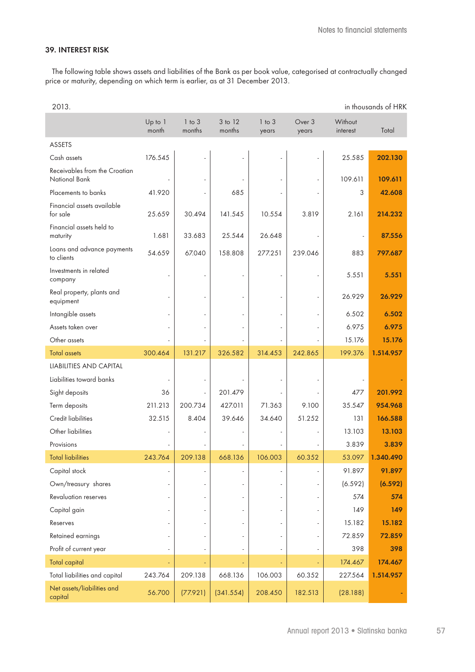#### **39. INTEREST RISK**

The following table shows assets and liabilities of the Bank as per book value, categorised at contractually changed price or maturity, depending on which term is earlier, as at 31 December 2013.

| 2013.                                                 |                  |                      |                   |                     |                 |                     | in thousands of HRK |
|-------------------------------------------------------|------------------|----------------------|-------------------|---------------------|-----------------|---------------------|---------------------|
|                                                       | Up to 1<br>month | $1$ to $3$<br>months | 3 to 12<br>months | $1$ to $3$<br>years | Over 3<br>years | Without<br>interest | Total               |
| <b>ASSETS</b>                                         |                  |                      |                   |                     |                 |                     |                     |
| Cash assets                                           | 176.545          |                      |                   |                     |                 | 25.585              | 202.130             |
| Receivables from the Croatian<br><b>National Bank</b> |                  |                      |                   |                     |                 | 109.611             | 109.611             |
| Placements to banks                                   | 41.920           |                      | 685               |                     |                 | 3                   | 42.608              |
| Financial assets available<br>for sale                | 25.659           | 30.494               | 141.545           | 10.554              | 3.819           | 2.161               | 214.232             |
| Financial assets held to<br>maturity                  | 1.681            | 33.683               | 25.544            | 26.648              |                 | ÷,                  | 87.556              |
| Loans and advance payments<br>to clients              | 54.659           | 67.040               | 158.808           | 277.251             | 239.046         | 883                 | 797.687             |
| Investments in related<br>company                     |                  |                      |                   |                     |                 | 5.551               | 5.551               |
| Real property, plants and<br>equipment                |                  |                      |                   |                     | ÷,              | 26.929              | 26.929              |
| Intangible assets                                     |                  |                      |                   |                     | $\sim$          | 6.502               | 6.502               |
| Assets taken over                                     |                  |                      |                   |                     |                 | 6.975               | 6.975               |
| Other assets                                          |                  |                      |                   |                     |                 | 15.176              | 15.176              |
| <b>Total assets</b>                                   | 300.464          | 131.217              | 326.582           | 314.453             | 242.865         | 199.376             | 1.514.957           |
| LIABILITIES AND CAPITAL                               |                  |                      |                   |                     |                 |                     |                     |
| Liabilities toward banks                              |                  |                      |                   |                     |                 |                     |                     |
| Sight deposits                                        | 36               |                      | 201.479           |                     |                 | 477                 | 201.992             |
| Term deposits                                         | 211.213          | 200.734              | 427.011           | 71.363              | 9.100           | 35.547              | 954.968             |
| <b>Credit liabilities</b>                             | 32.515           | 8.404                | 39.646            | 34.640              | 51.252          | 131                 | 166.588             |
| Other liabilities                                     |                  |                      |                   |                     |                 | 13.103              | 13.103              |
| Provisions                                            |                  |                      |                   |                     |                 | 3.839               | 3.839               |
| <b>Total liabilities</b>                              | 243.764          | 209.138              | 668.136           | 106.003             | 60.352          |                     | 53.097 1.340.490    |
| Capital stock                                         |                  |                      |                   |                     |                 | 91.897              | 91.897              |
| Own/treasury shares                                   |                  |                      |                   |                     | ä,              | (6.592)             | (6.592)             |
| <b>Revaluation reserves</b>                           |                  |                      |                   |                     | ÷.              | 574                 | 574                 |
| Capital gain                                          |                  |                      |                   |                     |                 | 149                 | 149                 |
| Reserves                                              |                  |                      |                   |                     | ×.              | 15.182              | 15.182              |
| Retained earnings                                     |                  |                      |                   |                     |                 | 72.859              | 72.859              |
| Profit of current year                                |                  |                      |                   |                     |                 | 398                 | 398                 |
| Total capital                                         |                  |                      |                   |                     |                 | 174.467             | 174.467             |
| Total liabilities and capital                         | 243.764          | 209.138              | 668.136           | 106.003             | 60.352          | 227.564             | 1.514.957           |
| Net assets/liabilities and<br>capital                 | 56.700           | (77.921)             | (341.554)         | 208.450             | 182.513         | (28.188)            |                     |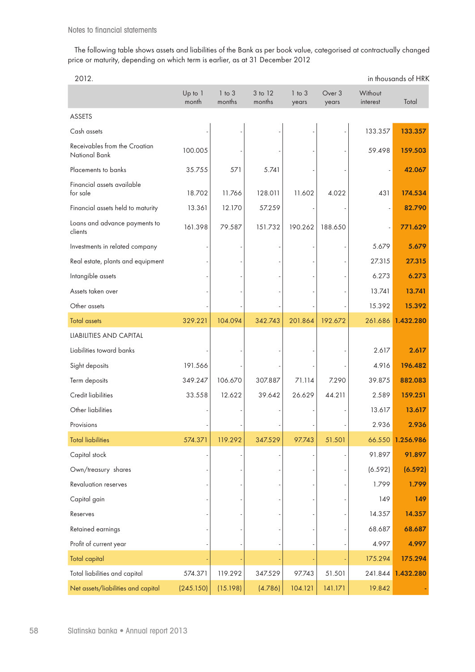The following table shows assets and liabilities of the Bank as per book value, categorised at contractually changed price or maturity, depending on which term is earlier, as at 31 December 2012

| 2012.                                          |                  |                      |                   |                     |                 |                     | in thousands of HRK |
|------------------------------------------------|------------------|----------------------|-------------------|---------------------|-----------------|---------------------|---------------------|
|                                                | Up to 1<br>month | $1$ to $3$<br>months | 3 to 12<br>months | $1$ to $3$<br>years | Over 3<br>years | Without<br>interest | Total               |
| <b>ASSETS</b>                                  |                  |                      |                   |                     |                 |                     |                     |
| Cash assets                                    |                  |                      |                   |                     |                 | 133.357             | 133.357             |
| Receivables from the Croatian<br>National Bank | 100.005          |                      |                   |                     |                 | 59.498              | 159.503             |
| Placements to banks                            | 35.755           | 571                  | 5.741             |                     |                 |                     | 42.067              |
| Financial assets available<br>for sale         | 18.702           | 11.766               | 128.011           | 11.602              | 4.022           | 431                 | 174.534             |
| Financial assets held to maturity              | 13.361           | 12.170               | 57.259            |                     |                 |                     | 82.790              |
| Loans and advance payments to<br>clients       | 161.398          | 79.587               | 151.732           | 190.262             | 188.650         |                     | 771.629             |
| Investments in related company                 |                  |                      |                   |                     |                 | 5.679               | 5.679               |
| Real estate, plants and equipment              |                  |                      |                   |                     |                 | 27.315              | 27.315              |
| Intangible assets                              |                  |                      |                   |                     |                 | 6.273               | 6.273               |
| Assets taken over                              |                  |                      |                   |                     |                 | 13.741              | 13.741              |
| Other assets                                   |                  |                      |                   |                     |                 | 15.392              | 15.392              |
| <b>Total assets</b>                            | 329.221          | 104.094              | 342.743           | 201.864             | 192.672         | 261.686             | 1.432.280           |
| LIABILITIES AND CAPITAL                        |                  |                      |                   |                     |                 |                     |                     |
| Liabilities toward banks                       |                  |                      |                   |                     |                 | 2.617               | 2.617               |
| Sight deposits                                 | 191.566          |                      |                   |                     |                 | 4.916               | 196.482             |
| Term deposits                                  | 349.247          | 106.670              | 307.887           | 71.114              | 7.290           | 39.875              | 882.083             |
| <b>Credit liabilities</b>                      | 33.558           | 12.622               | 39.642            | 26.629              | 44.211          | 2.589               | 159.251             |
| Other liabilities                              |                  |                      |                   |                     |                 | 13.617              | 13.617              |
| Provisions                                     |                  |                      |                   |                     |                 | 2.936               | 2.936               |
| <b>Total liabilities</b>                       | 574.371          | 119.292              | 347.529           | 97.743              | 51.501          |                     | 66.550 1.256.986    |
| Capital stock                                  |                  |                      |                   |                     |                 | 91.897              | 91.897              |
| Own/treasury shares                            |                  |                      |                   |                     |                 | (6.592)             | (6.592)             |
| Revaluation reserves                           |                  |                      |                   |                     |                 | 1.799               | 1.799               |
| Capital gain                                   |                  |                      |                   |                     |                 | 149                 | 149                 |
| Reserves                                       |                  |                      |                   |                     |                 | 14.357              | 14.357              |
| Retained earnings                              |                  |                      |                   |                     |                 | 68.687              | 68.687              |
| Profit of current year                         |                  |                      |                   |                     |                 | 4.997               | 4.997               |
| <b>Total capital</b>                           |                  |                      |                   |                     |                 | 175.294             | 175.294             |
| Total liabilities and capital                  | 574.371          | 119.292              | 347.529           | 97.743              | 51.501          | 241.844             | 1.432.280           |
| Net assets/liabilities and capital             | (245.150)        | (15.198)             | (4.786)           | 104.121             | 141.171         | 19.842              |                     |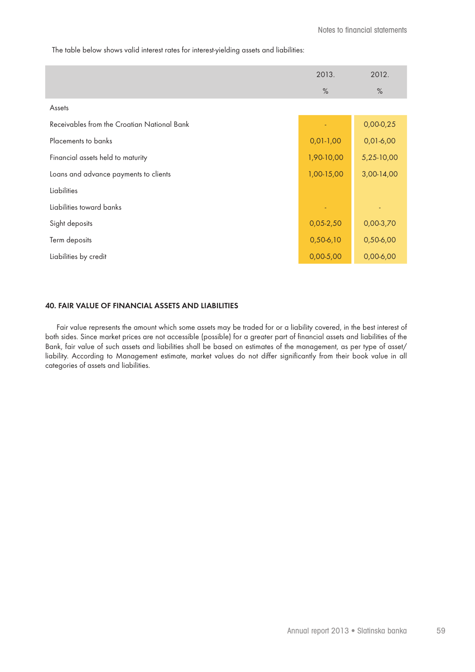The table below shows valid interest rates for interest-yielding assets and liabilities:

|                                             | 2013.       | 2012.       |
|---------------------------------------------|-------------|-------------|
|                                             | $\%$        | $\%$        |
| Assets                                      |             |             |
| Receivables from the Croatian National Bank |             | $0,00-0,25$ |
| Placements to banks                         | $0,01-1,00$ | $0,01-6,00$ |
| Financial assets held to maturity           | 1,90-10,00  | 5,25-10,00  |
| Loans and advance payments to clients       | 1,00-15,00  | 3,00-14,00  |
| Liabilities                                 |             |             |
| Liabilities toward banks                    |             |             |
| Sight deposits                              | $0,05-2,50$ | 0,00-3,70   |
| Term deposits                               | $0,50-6,10$ | $0,50-6,00$ |
| Liabilities by credit                       | $0,00-5,00$ | $0,00-6,00$ |

#### **40. FAIR VALUE OF FINANCIAL ASSETS AND LIABILITIES**

Fair value represents the amount which some assets may be traded for or a liability covered, in the best interest of both sides. Since market prices are not accessible (possible) for a greater part of financial assets and liabilities of the Bank, fair value of such assets and liabilities shall be based on estimates of the management, as per type of asset/ liability. According to Management estimate, market values do not differ significantly from their book value in all categories of assets and liabilities.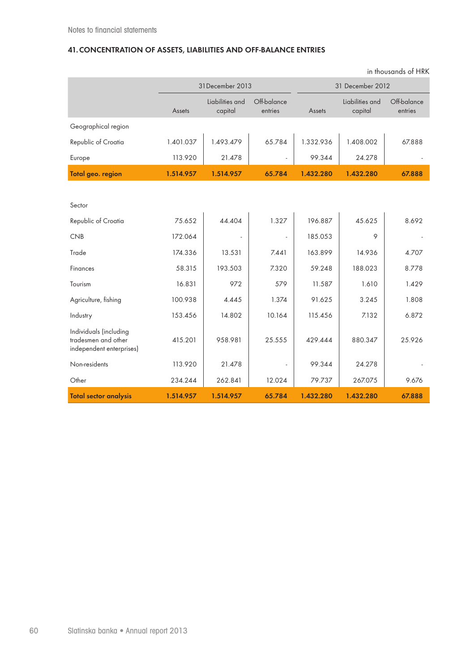## **41.CONCENTRATION OF ASSETS, LIABILITIES AND OFF-BALANCE ENTRIES**

|                                                                           | 31December 2013 |                            |                        | 31 December 2012 |                            |                        |  |
|---------------------------------------------------------------------------|-----------------|----------------------------|------------------------|------------------|----------------------------|------------------------|--|
|                                                                           | Assets          | Liabilities and<br>capital | Off-balance<br>entries | Assets           | Liabilities and<br>capital | Off-balance<br>entries |  |
| Geographical region                                                       |                 |                            |                        |                  |                            |                        |  |
| Republic of Croatia                                                       | 1.401.037       | 1.493.479                  | 65.784                 | 1.332.936        | 1.408.002                  | 67.888                 |  |
| Europe                                                                    | 113.920         | 21.478                     |                        | 99.344           | 24.278                     |                        |  |
| Total geo. region                                                         | 1.514.957       | 1.514.957                  | 65.784                 | 1.432.280        | 1.432.280                  | 67.888                 |  |
|                                                                           |                 |                            |                        |                  |                            |                        |  |
| Sector                                                                    |                 |                            |                        |                  |                            |                        |  |
| Republic of Croatia                                                       | 75.652          | 44.404                     | 1.327                  | 196.887          | 45.625                     | 8.692                  |  |
| <b>CNB</b>                                                                | 172.064         |                            |                        | 185.053          | 9                          |                        |  |
| Trade                                                                     | 174.336         | 13.531                     | 7.441                  | 163.899          | 14.936                     | 4.707                  |  |
| Finances                                                                  | 58.315          | 193.503                    | 7.320                  | 59.248           | 188.023                    | 8.778                  |  |
| Tourism                                                                   | 16.831          | 972                        | 579                    | 11.587           | 1.610                      | 1.429                  |  |
| Agriculture, fishing                                                      | 100.938         | 4.445                      | 1.374                  | 91.625           | 3.245                      | 1.808                  |  |
| Industry                                                                  | 153.456         | 14.802                     | 10.164                 | 115.456          | 7.132                      | 6.872                  |  |
| Individuals (including<br>tradesmen and other<br>independent enterprises) | 415.201         | 958.981                    | 25.555                 | 429.444          | 880.347                    | 25.926                 |  |
| Non-residents                                                             | 113.920         | 21.478                     |                        | 99.344           | 24.278                     |                        |  |
| Other                                                                     | 234.244         | 262.841                    | 12.024                 | 79.737           | 267.075                    | 9.676                  |  |
| <b>Total sector analysis</b>                                              | 1.514.957       | 1.514.957                  | 65.784                 | 1.432.280        | 1.432.280                  | 67.888                 |  |

in thousands of HRK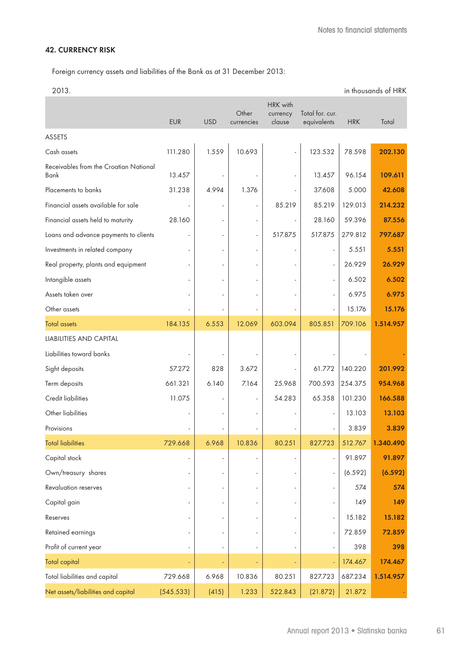## **42. CURRENCY RISK**

Foreign currency assets and liabilities of the Bank as at 31 December 2013:

| 2013.                                          |            |            |                     |                                |                                |            | in thousands of HRK |
|------------------------------------------------|------------|------------|---------------------|--------------------------------|--------------------------------|------------|---------------------|
|                                                | <b>EUR</b> | <b>USD</b> | Other<br>currencies | HRK with<br>currency<br>clause | Total for. cur.<br>equivalents | <b>HRK</b> | Total               |
| <b>ASSETS</b>                                  |            |            |                     |                                |                                |            |                     |
| Cash assets                                    | 111.280    | 1.559      | 10.693              |                                | 123.532                        | 78.598     | 202.130             |
| Receivables from the Croatian National<br>Bank | 13.457     |            |                     |                                | 13.457                         | 96.154     | 109.611             |
| Placements to banks                            | 31.238     | 4.994      | 1.376               |                                | 37.608                         | 5.000      | 42.608              |
| Financial assets available for sale            |            |            |                     | 85.219                         | 85.219                         | 129.013    | 214.232             |
| Financial assets held to maturity              | 28.160     |            |                     |                                | 28.160                         | 59.396     | 87.556              |
| Loans and advance payments to clients          |            |            | ÷,                  | 517.875                        | 517.875                        | 279.812    | 797.687             |
| Investments in related company                 |            |            |                     |                                |                                | 5.551      | 5.551               |
| Real property, plants and equipment            |            |            |                     |                                |                                | 26.929     | 26.929              |
| Intangible assets                              |            |            |                     |                                |                                | 6.502      | 6.502               |
| Assets taken over                              |            |            |                     |                                |                                | 6.975      | 6.975               |
| Other assets                                   |            |            |                     |                                |                                | 15.176     | 15.176              |
| <b>Total assets</b>                            | 184.135    | 6.553      | 12.069              | 603.094                        | 805.851                        | 709.106    | 1.514.957           |
| <b>LIABILITIES AND CAPITAL</b>                 |            |            |                     |                                |                                |            |                     |
| Liabilities toward banks                       |            |            |                     |                                |                                |            |                     |
| Sight deposits                                 | 57.272     | 828        | 3.672               |                                | 61.772                         | 140.220    | 201.992             |
| Term deposits                                  | 661.321    | 6.140      | 7.164               | 25.968                         | 700.593                        | 254.375    | 954.968             |
| <b>Credit liabilities</b>                      | 11.075     |            |                     | 54.283                         | 65.358                         | 101.230    | 166.588             |
| Other liabilities                              |            |            |                     |                                |                                | 13.103     | 13.103              |
| Provisions                                     |            |            |                     |                                |                                | 3.839      | 3.839               |
| <b>Total liabilities</b>                       | 729.668    | 6.968      | 10.836              | 80.251                         | 827.723                        |            | 512.767 1.340.490   |
| Capital stock                                  |            |            |                     |                                | ä,                             | 91.897     | 91.897              |
| Own/treasury shares                            |            |            |                     |                                |                                | (6.592)    | (6.592)             |
| <b>Revaluation reserves</b>                    |            |            |                     |                                |                                | 574        | 574                 |
| Capital gain                                   |            |            |                     |                                |                                | 149        | 149                 |
| Reserves                                       |            |            |                     |                                | $\overline{\phantom{m}}$       | 15.182     | 15.182              |
| Retained earnings                              |            |            |                     |                                |                                | 72.859     | 72.859              |
| Profit of current year                         |            |            |                     |                                |                                | 398        | 398                 |
| <b>Total capital</b>                           |            |            |                     |                                |                                | 174.467    | 174.467             |
| Total liabilities and capital                  | 729.668    | 6.968      | 10.836              | 80.251                         | 827.723                        | 687.234    | 1.514.957           |
| Net assets/liabilities and capital             | (545.533)  | (415)      | 1.233               | 522.843                        | (21.872)                       | 21.872     |                     |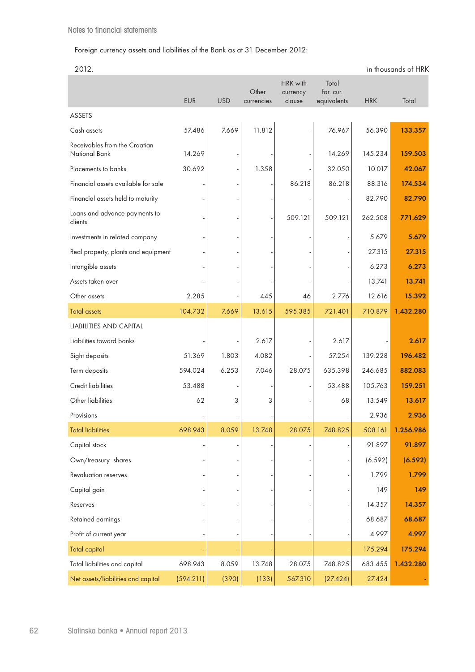## Foreign currency assets and liabilities of the Bank as at 31 December 2012:

<sup>2012.</sup> in thousands of HRK

|                                                | <b>EUR</b> | <b>USD</b> | Other<br>currencies | HRK with<br>currency<br>clause | Total<br>for. cur.<br>equivalents | <b>HRK</b> | Total     |
|------------------------------------------------|------------|------------|---------------------|--------------------------------|-----------------------------------|------------|-----------|
| ASSETS                                         |            |            |                     |                                |                                   |            |           |
| Cash assets                                    | 57.486     | 7.669      | 11.812              |                                | 76.967                            | 56.390     | 133.357   |
| Receivables from the Croatian<br>National Bank | 14.269     |            |                     |                                | 14.269                            | 145.234    | 159.503   |
| Placements to banks                            | 30.692     |            | 1.358               |                                | 32.050                            | 10.017     | 42.067    |
| Financial assets available for sale            |            |            |                     | 86.218                         | 86.218                            | 88.316     | 174.534   |
| Financial assets held to maturity              |            |            |                     |                                |                                   | 82.790     | 82.790    |
| Loans and advance payments to<br>clients       |            |            |                     | 509.121                        | 509.121                           | 262.508    | 771.629   |
| Investments in related company                 |            |            |                     |                                |                                   | 5.679      | 5.679     |
| Real property, plants and equipment            |            |            |                     |                                |                                   | 27.315     | 27.315    |
| Intangible assets                              |            |            |                     |                                |                                   | 6.273      | 6.273     |
| Assets taken over                              |            |            |                     |                                |                                   | 13.741     | 13.741    |
| Other assets                                   | 2.285      |            | 445                 | 46                             | 2.776                             | 12.616     | 15.392    |
| <b>Total assets</b>                            | 104.732    | 7.669      | 13.615              | 595.385                        | 721.401                           | 710.879    | 1.432.280 |
| LIABILITIES AND CAPITAL                        |            |            |                     |                                |                                   |            |           |
| Liabilities toward banks                       |            |            | 2.617               |                                | 2.617                             |            | 2.617     |
| Sight deposits                                 | 51.369     | 1.803      | 4.082               |                                | 57.254                            | 139.228    | 196.482   |
| Term deposits                                  | 594.024    | 6.253      | 7.046               | 28.075                         | 635.398                           | 246.685    | 882.083   |
| <b>Credit liabilities</b>                      | 53.488     |            |                     |                                | 53.488                            | 105.763    | 159.251   |
| Other liabilities                              | 62         | 3          | 3                   |                                | 68                                | 13.549     | 13.617    |
| Provisions                                     |            |            |                     |                                |                                   | 2.936      | 2.936     |
| <b>Total liabilities</b>                       | 698.943    | 8.059      | 13.748              | 28.075                         | 748.825                           | 508.161    | 1.256.986 |
| Capital stock                                  |            |            |                     |                                |                                   | 91.897     | 91.897    |
| Own/treasury shares                            |            |            |                     |                                |                                   | (6.592)    | (6.592)   |
| <b>Revaluation reserves</b>                    |            |            |                     |                                |                                   | 1.799      | 1.799     |
| Capital gain                                   |            |            |                     |                                |                                   | 149        | 149       |
| Reserves                                       |            |            |                     |                                |                                   | 14.357     | 14.357    |
| Retained earnings                              |            |            |                     |                                |                                   | 68.687     | 68.687    |
| Profit of current year                         |            |            |                     |                                |                                   | 4.997      | 4.997     |
| <b>Total capital</b>                           |            |            |                     |                                |                                   | 175.294    | 175.294   |
| Total liabilities and capital                  | 698.943    | 8.059      | 13.748              | 28.075                         | 748.825                           | 683.455    | 1.432.280 |
| Net assets/liabilities and capital             | (594.211)  | (390)      | (133)               | 567.310                        | (27.424)                          | 27.424     |           |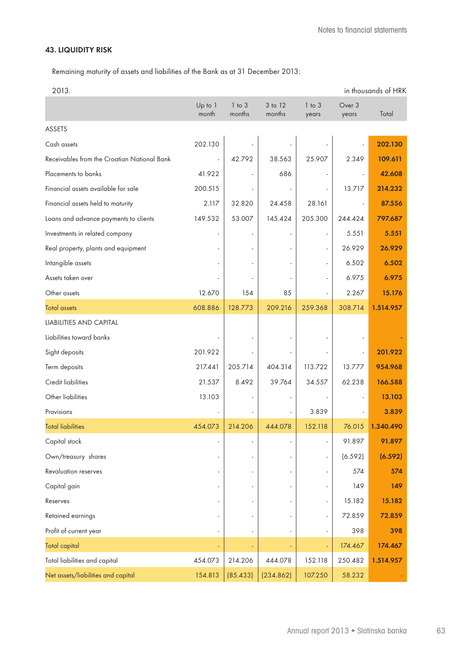## **43. LIQUIDITY RISK**

Remaining maturity of assets and liabilities of the Bank as at 31 December 2013:

| 2013.                                       |                  |                      |                   |                          |                 | in thousands of HRK |
|---------------------------------------------|------------------|----------------------|-------------------|--------------------------|-----------------|---------------------|
|                                             | Up to 1<br>month | $1$ to $3$<br>months | 3 to 12<br>months | $1$ to $3$<br>years      | Over 3<br>years | Total               |
| ASSETS                                      |                  |                      |                   |                          |                 |                     |
| Cash assets                                 | 202.130          |                      |                   |                          |                 | 202.130             |
| Receivables from the Croatian National Bank |                  | 42.792               | 38.563            | 25.907                   | 2.349           | 109.611             |
| Placements to banks                         | 41.922           |                      | 686               | ÷,                       |                 | 42.608              |
| Financial assets available for sale         | 200.515          |                      |                   |                          | 13.717          | 214.232             |
| Financial assets held to maturity           | 2.117            | 32.820               | 24.458            | 28.161                   |                 | 87.556              |
| Loans and advance payments to clients       | 149.532          | 53.007               | 145.424           | 205.300                  | 244.424         | 797.687             |
| Investments in related company              |                  |                      |                   | $\blacksquare$           | 5.551           | 5.551               |
| Real property, plants and equipment         |                  |                      |                   | $\overline{\phantom{a}}$ | 26.929          | 26.929              |
| Intangible assets                           |                  |                      |                   | ÷,                       | 6.502           | 6.502               |
| Assets taken over                           |                  |                      |                   | ÷,                       | 6.975           | 6.975               |
| Other assets                                | 12.670           | 154                  | 85                |                          | 2.267           | 15.176              |
| <b>Total assets</b>                         | 608.886          | 128.773              | 209.216           | 259.368                  | 308.714         | 1.514.957           |
| LIABILITIES AND CAPITAL                     |                  |                      |                   |                          |                 |                     |
| Liabilities toward banks                    |                  |                      |                   |                          |                 |                     |
| Sight deposits                              | 201.922          |                      |                   |                          |                 | 201.922             |
| Term deposits                               | 217.441          | 205.714              | 404.314           | 113.722                  | 13.777          | 954.968             |
| Credit liabilities                          | 21.537           | 8.492                | 39.764            | 34.557                   | 62.238          | 166.588             |
| Other liabilities                           | 13.103           |                      |                   |                          |                 | 13.103              |
| Provisions                                  |                  |                      |                   | 3.839                    |                 | 3.839               |
| <b>Total liabilities</b>                    | 454.073          | 214.206              | 444.078           | 152.118                  | 76.015          | 1.340.490           |
| Capital stock                               |                  |                      |                   |                          | 91.897          | 91.897              |
| Own/treasury shares                         |                  |                      |                   | $\blacksquare$           | (6.592)         | (6.592)             |
| Revaluation reserves                        |                  |                      |                   | ä,                       | 574             | 574                 |
| Capital gain                                |                  |                      |                   | $\frac{1}{2}$            | 149             | 149                 |
| Reserves                                    |                  |                      |                   | $\overline{\phantom{a}}$ | 15.182          | 15.182              |
| Retained earnings                           |                  |                      |                   | $\overline{\phantom{a}}$ | 72.859          | 72.859              |
| Profit of current year                      |                  |                      |                   | $\overline{\phantom{a}}$ | 398             | 398                 |
| <b>Total capital</b>                        |                  |                      |                   | $\Box$                   | 174.467         | 174.467             |
| Total liabilities and capital               | 454.073          | 214.206              | 444.078           | 152.118                  | 250.482         | 1.514.957           |
| Net assets/liabilities and capital          | 154.813          | (85.433)             | (234.862)         | 107.250                  | 58.232          |                     |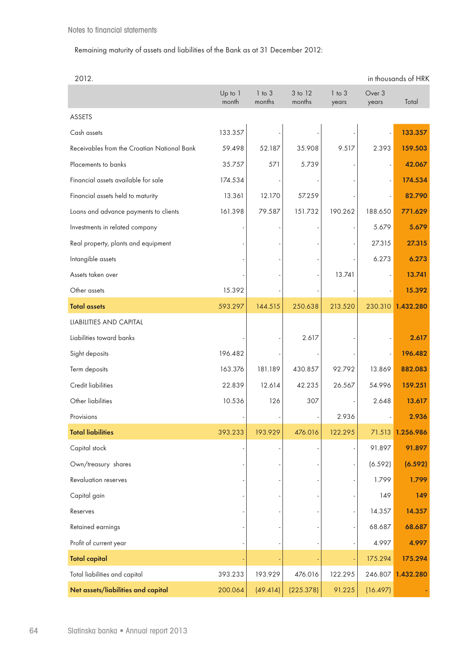## Remaining maturity of assets and liabilities of the Bank as at 31 December 2012:

| 2012.                                       |                  |                      |                   |                     |                 | in thousands of HRK |
|---------------------------------------------|------------------|----------------------|-------------------|---------------------|-----------------|---------------------|
|                                             | Up to 1<br>month | $1$ to $3$<br>months | 3 to 12<br>months | $1$ to $3$<br>years | Over 3<br>years | Total               |
| <b>ASSETS</b>                               |                  |                      |                   |                     |                 |                     |
| Cash assets                                 | 133.357          |                      |                   |                     |                 | 133.357             |
| Receivables from the Croatian National Bank | 59.498           | 52.187               | 35.908            | 9.517               | 2.393           | 159.503             |
| Placements to banks                         | 35.757           | 571                  | 5.739             |                     |                 | 42.067              |
| Financial assets available for sale         | 174.534          |                      |                   |                     |                 | 174.534             |
| Financial assets held to maturity           | 13.361           | 12.170               | 57.259            |                     |                 | 82.790              |
| Loans and advance payments to clients       | 161.398          | 79.587               | 151.732           | 190.262             | 188.650         | 771.629             |
| Investments in related company              |                  |                      |                   |                     | 5.679           | 5.679               |
| Real property, plants and equipment         |                  |                      |                   |                     | 27.315          | 27.315              |
| Intangible assets                           |                  |                      |                   |                     | 6.273           | 6.273               |
| Assets taken over                           |                  |                      |                   | 13.741              |                 | 13.741              |
| Other assets                                | 15.392           |                      |                   |                     |                 | 15.392              |
| <b>Total assets</b>                         | 593.297          | 144.515              | 250.638           | 213.520             | 230.310         | 1.432.280           |
| LIABILITIES AND CAPITAL                     |                  |                      |                   |                     |                 |                     |
| Liabilities toward banks                    |                  |                      | 2.617             |                     |                 | 2.617               |
| Sight deposits                              | 196.482          |                      |                   |                     |                 | 196.482             |
| Term deposits                               | 163.376          | 181.189              | 430.857           | 92.792              | 13.869          | 882.083             |
| <b>Credit liabilities</b>                   | 22.839           | 12.614               | 42.235            | 26.567              | 54.996          | 159.251             |
| Other liabilities                           | 10.536           | 126                  | 307               |                     | 2.648           | 13.617              |
| Provisions                                  |                  |                      |                   | 2.936               |                 | 2.936               |
| <b>Total liabilities</b>                    | 393.233          | 193.929              | 476.016           | 122.295             | 71.513          | 1.256.986           |
| Capital stock                               |                  |                      |                   |                     | 91.897          | 91.897              |
| Own/treasury shares                         |                  |                      |                   |                     | (6.592)         | (6.592)             |
| <b>Revaluation reserves</b>                 |                  |                      |                   |                     | 1.799           | 1.799               |
| Capital gain                                |                  |                      |                   |                     | 149             | 149                 |
| Reserves                                    |                  |                      |                   |                     | 14.357          | 14.357              |
| Retained earnings                           |                  |                      |                   |                     | 68.687          | 68.687              |
| Profit of current year                      |                  |                      |                   |                     | 4.997           | 4.997               |
| <b>Total capital</b>                        |                  |                      |                   |                     | 175.294         | 175.294             |
| Total liabilities and capital               | 393.233          | 193.929              | 476.016           | 122.295             | 246.807         | 1.432.280           |
| Net assets/liabilities and capital          | 200.064          | (49.414)             | (225.378)         | 91.225              | (16.497)        |                     |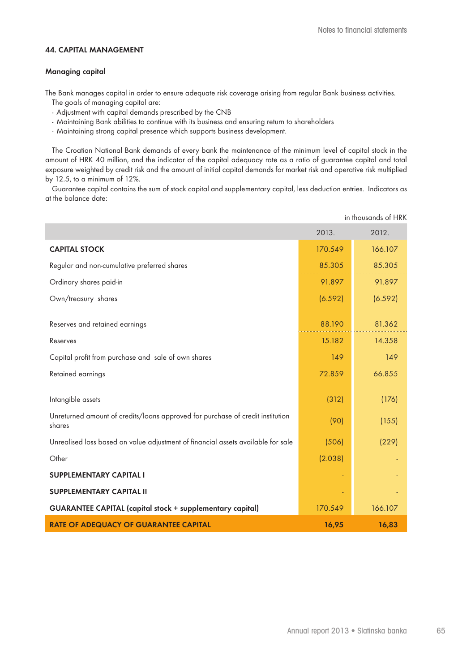## **44. CAPITAL MANAGEMENT**

#### **Managing capital**

The Bank manages capital in order to ensure adequate risk coverage arising from regular Bank business activities.

- The goals of managing capital are:
- Adjustment with capital demands prescribed by the CNB
- Maintaining Bank abilities to continue with its business and ensuring return to shareholders
- Maintaining strong capital presence which supports business development.

The Croatian National Bank demands of every bank the maintenance of the minimum level of capital stock in the amount of HRK 40 million, and the indicator of the capital adequacy rate as a ratio of guarantee capital and total exposure weighted by credit risk and the amount of initial capital demands for market risk and operative risk multiplied by 12.5, to a minimum of 12%.

Guarantee capital contains the sum of stock capital and supplementary capital, less deduction entries. Indicators as at the balance date:

|                                                                                          |         | in thousands of HRK |
|------------------------------------------------------------------------------------------|---------|---------------------|
|                                                                                          | 2013.   | 2012.               |
| <b>CAPITAL STOCK</b>                                                                     | 170.549 | 166.107             |
| Regular and non-cumulative preferred shares                                              | 85.305  | 85.305              |
| Ordinary shares paid-in                                                                  | 91.897  | 91.897              |
| Own/treasury shares                                                                      | (6.592) | (6.592)             |
| Reserves and retained earnings                                                           | 88.190  | 81.362              |
| Reserves                                                                                 | 15.182  | 14.358              |
| Capital profit from purchase and sale of own shares                                      | 149     | 149                 |
| Retained earnings                                                                        | 72.859  | 66.855              |
| Intangible assets                                                                        | (312)   | (176)               |
| Unreturned amount of credits/loans approved for purchase of credit institution<br>shares | (90)    | (155)               |
| Unrealised loss based on value adjustment of financial assets available for sale         | (506)   | (229)               |
| Other                                                                                    | (2.038) |                     |
| <b>SUPPLEMENTARY CAPITAL I</b>                                                           |         |                     |
| <b>SUPPLEMENTARY CAPITAL II</b>                                                          |         |                     |
| <b>GUARANTEE CAPITAL (capital stock + supplementary capital)</b>                         | 170.549 | 166.107             |
| <b>RATE OF ADEQUACY OF GUARANTEE CAPITAL</b>                                             | 16,95   | 16,83               |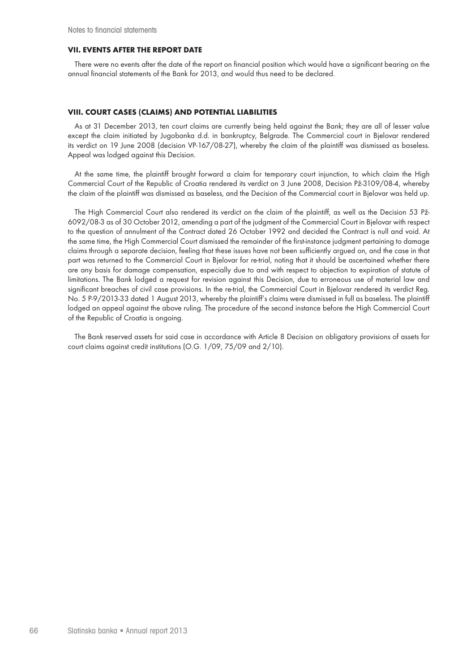#### **VII. EVENTS AFTER THE REPORT DATE**

There were no events after the date of the report on financial position which would have a significant bearing on the annual financial statements of the Bank for 2013, and would thus need to be declared.

#### **VIII. COURT CASES (CLAIMS) AND POTENTIAL LIABILITIES**

As at 31 December 2013, ten court claims are currently being held against the Bank; they are all of lesser value except the claim initiated by Jugobanka d.d. in bankruptcy, Belgrade. The Commercial court in Bjelovar rendered its verdict on 19 June 2008 (decision VP-167/08-27), whereby the claim of the plaintiff was dismissed as baseless. Appeal was lodged against this Decision.

At the same time, the plaintiff brought forward a claim for temporary court injunction, to which claim the High Commercial Court of the Republic of Croatia rendered its verdict on 3 June 2008, Decision Pž-3109/08-4, whereby the claim of the plaintiff was dismissed as baseless, and the Decision of the Commercial court in Bjelovar was held up.

The High Commercial Court also rendered its verdict on the claim of the plaintiff, as well as the Decision 53 Pž-6092/08-3 as of 30 October 2012, amending a part of the judgment of the Commercial Court in Bjelovar with respect to the question of annulment of the Contract dated 26 October 1992 and decided the Contract is null and void. At the same time, the High Commercial Court dismissed the remainder of the first-instance judgment pertaining to damage claims through a separate decision, feeling that these issues have not been sufficiently argued on, and the case in that part was returned to the Commercial Court in Bjelovar for re-trial, noting that it should be ascertained whether there are any basis for damage compensation, especially due to and with respect to objection to expiration of statute of limitations. The Bank lodged a request for revision against this Decision, due to erroneous use of material law and significant breaches of civil case provisions. In the re-trial, the Commercial Court in Bjelovar rendered its verdict Reg. No. 5 P-9/2013-33 dated 1 August 2013, whereby the plaintiff's claims were dismissed in full as baseless. The plaintiff lodged an appeal against the above ruling. The procedure of the second instance before the High Commercial Court of the Republic of Croatia is ongoing.

The Bank reserved assets for said case in accordance with Article 8 Decision on obligatory provisions of assets for court claims against credit institutions (O.G. 1/09, 75/09 and 2/10).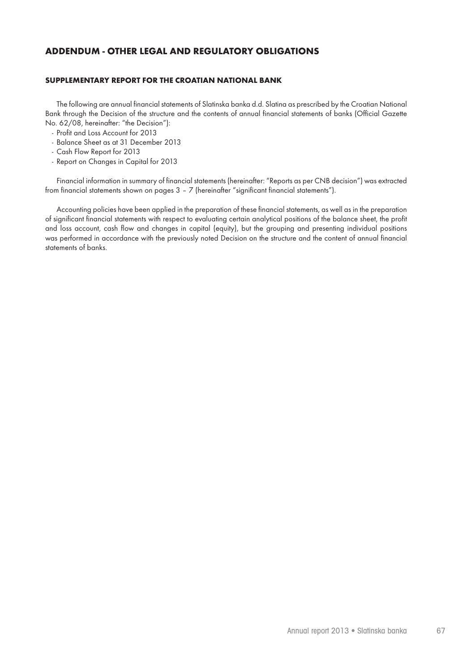## **ADDENDUM - OTHER LEGAL AND REGULATORY OBLIGATIONS**

#### **SUPPLEMENTARY REPORT FOR THE CROATIAN NATIONAL BANK**

The following are annual financial statements of Slatinska banka d.d. Slatina as prescribed by the Croatian National Bank through the Decision of the structure and the contents of annual financial statements of banks (Official Gazette No. 62/08, hereinafter: "the Decision"):

- Profit and Loss Account for 2013
- Balance Sheet as at 31 December 2013
- Cash Flow Report for 2013
- Report on Changes in Capital for 2013

Financial information in summary of financial statements (hereinafter: "Reports as per CNB decision") was extracted from financial statements shown on pages 3 – 7 (hereinafter "significant financial statements").

Accounting policies have been applied in the preparation of these financial statements, as well as in the preparation of significant financial statements with respect to evaluating certain analytical positions of the balance sheet, the profit and loss account, cash flow and changes in capital (equity), but the grouping and presenting individual positions was performed in accordance with the previously noted Decision on the structure and the content of annual financial statements of banks.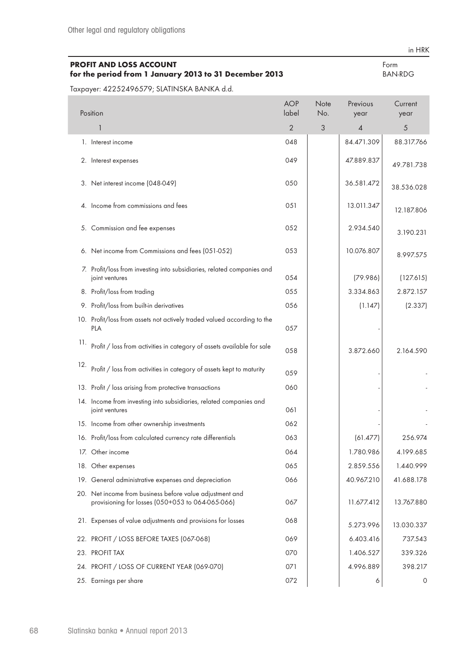# **PROFIT AND LOSS ACCOUNT**

in HRK Form

| for the period from 1 January 2013 to 31 December 2013<br><b>BAN-RDG</b> |                     |                    |                             |                 |  |  |  |
|--------------------------------------------------------------------------|---------------------|--------------------|-----------------------------|-----------------|--|--|--|
| Taxpayer: 42252496579; SLATINSKA BANKA d.d.                              |                     |                    |                             |                 |  |  |  |
| Position                                                                 | <b>AOP</b><br>label | <b>Note</b><br>No. | Previous<br>year            | Current<br>year |  |  |  |
|                                                                          | $\mathcal{P}$       |                    | $\boldsymbol{\vartriangle}$ | 5               |  |  |  |
| Interest income                                                          | 048                 |                    | 84.471.309                  | 88.317.766      |  |  |  |

|     | 2. Interest expenses                                                                                         | 049 | 47.889.837 | 49.781.738 |
|-----|--------------------------------------------------------------------------------------------------------------|-----|------------|------------|
|     | 3. Net interest income (048-049)                                                                             | 050 | 36.581.472 | 38.536.028 |
|     | 4. Income from commissions and fees                                                                          | 051 | 13.011.347 | 12.187.806 |
|     | 5. Commission and fee expenses                                                                               | 052 | 2.934.540  | 3.190.231  |
|     | 6. Net income from Commissions and fees (051-052)                                                            | 053 | 10.076.807 | 8.997.575  |
|     | 7. Profit/loss from investing into subsidiaries, related companies and<br>joint ventures                     | 054 | (79.986)   | (127.615)  |
|     | 8. Profit/loss from trading                                                                                  | 055 | 3.334.863  | 2.872.157  |
|     | 9. Profit/loss from built-in derivatives                                                                     | 056 | (1.147)    | (2.337)    |
|     | 10. Profit/loss from assets not actively traded valued according to the<br><b>PLA</b>                        | 057 |            |            |
| 11. | Profit / loss from activities in category of assets available for sale                                       | 058 | 3.872.660  | 2.164.590  |
| 12. | Profit / loss from activities in category of assets kept to maturity                                         | 059 |            |            |
|     | 13. Profit / loss arising from protective transactions                                                       | 060 |            |            |
|     | 14. Income from investing into subsidiaries, related companies and<br>joint ventures                         | 061 |            |            |
|     | 15. Income from other ownership investments                                                                  | 062 |            |            |
|     | 16. Profit/loss from calculated currency rate differentials                                                  | 063 | (61.477)   | 256.974    |
|     | 17. Other income                                                                                             | 064 | 1.780.986  | 4.199.685  |
|     | 18. Other expenses                                                                                           | 065 | 2.859.556  | 1.440.999  |
|     | 19. General administrative expenses and depreciation                                                         | 066 | 40.967.210 | 41.688.178 |
|     | 20. Net income from business before value adjustment and<br>provisioning for losses (050+053 to 064-065-066) | 067 | 11.677.412 | 13.767.880 |
|     | 21. Expenses of value adjustments and provisions for losses                                                  | 068 | 5.273.996  | 13.030.337 |
|     | 22. PROFIT / LOSS BEFORE TAXES (067-068)                                                                     | 069 | 6.403.416  | 737.543    |
|     | 23. PROFIT TAX                                                                                               | 070 | 1.406.527  | 339.326    |
|     | 24. PROFIT / LOSS OF CURRENT YEAR (069-070)                                                                  | 071 | 4.996.889  | 398.217    |
|     | 25. Earnings per share                                                                                       | 072 | 6          | 0          |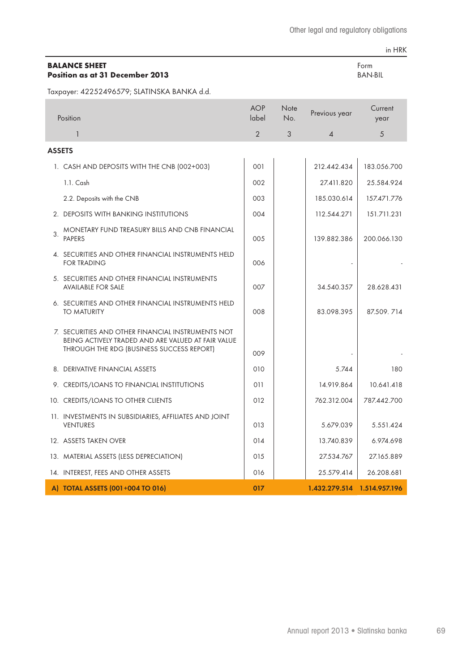#### **BALANCE SHEET Position as at 31 December 2013**

in HRK

Form BAN-BIL

Taxpayer: 42252496579; SLATINSKA BANKA d.d.

|               | Position                                                                                                                                             | <b>AOP</b><br>label | Note<br>No. | Previous year               | Current<br>year |
|---------------|------------------------------------------------------------------------------------------------------------------------------------------------------|---------------------|-------------|-----------------------------|-----------------|
|               | $\mathbf{1}$                                                                                                                                         | 2                   | 3           | 4                           | 5               |
| <b>ASSETS</b> |                                                                                                                                                      |                     |             |                             |                 |
|               | 1. CASH AND DEPOSITS WITH THE CNB (002+003)                                                                                                          | 001                 |             | 212.442.434                 | 183.056.700     |
|               | 1.1. Cash                                                                                                                                            | 002                 |             | 27.411.820                  | 25.584.924      |
|               | 2.2. Deposits with the CNB                                                                                                                           | 003                 |             | 185.030.614                 | 157.471.776     |
|               | 2. DEPOSITS WITH BANKING INSTITUTIONS                                                                                                                | 004                 |             | 112.544.271                 | 151.711.231     |
| 3.            | MONETARY FUND TREASURY BILLS AND CNB FINANCIAL<br><b>PAPERS</b>                                                                                      | 005                 |             | 139.882.386                 | 200.066.130     |
|               | 4. SECURITIES AND OTHER FINANCIAL INSTRUMENTS HELD<br><b>FOR TRADING</b>                                                                             | 006                 |             |                             |                 |
|               | 5. SECURITIES AND OTHER FINANCIAL INSTRUMENTS<br><b>AVAILABLE FOR SALE</b>                                                                           | 007                 |             | 34.540.357                  | 28.628.431      |
|               | 6. SECURITIES AND OTHER FINANCIAL INSTRUMENTS HELD<br><b>TO MATURITY</b>                                                                             | 008                 |             | 83.098.395                  | 87.509, 714     |
|               | 7. SECURITIES AND OTHER FINANCIAL INSTRUMENTS NOT<br>BEING ACTIVELY TRADED AND ARE VALUED AT FAIR VALUE<br>THROUGH THE RDG (BUSINESS SUCCESS REPORT) | 009                 |             |                             |                 |
|               | 8. DERIVATIVE FINANCIAL ASSETS                                                                                                                       | 010                 |             | 5.744                       | 180             |
|               | 9. CREDITS/LOANS TO FINANCIAL INSTITUTIONS                                                                                                           | 011                 |             | 14.919.864                  | 10.641.418      |
|               | 10. CREDITS/LOANS TO OTHER CLIENTS                                                                                                                   | 012                 |             | 762.312.004                 | 787.442.700     |
|               | 11. INVESTMENTS IN SUBSIDIARIES, AFFILIATES AND JOINT<br><b>VENTURES</b>                                                                             | 013                 |             | 5.679.039                   | 5.551.424       |
|               | 12. ASSETS TAKEN OVER                                                                                                                                | 014                 |             | 13.740.839                  | 6.974.698       |
|               | 13. MATERIAL ASSETS (LESS DEPRECIATION)                                                                                                              | 015                 |             | 27.534.767                  | 27.165.889      |
|               | 14. INTEREST, FEES AND OTHER ASSETS                                                                                                                  | 016                 |             | 25.579.414                  | 26.208.681      |
|               | A) TOTAL ASSETS (001+004 TO 016)                                                                                                                     | 017                 |             | 1.432.279.514 1.514.957.196 |                 |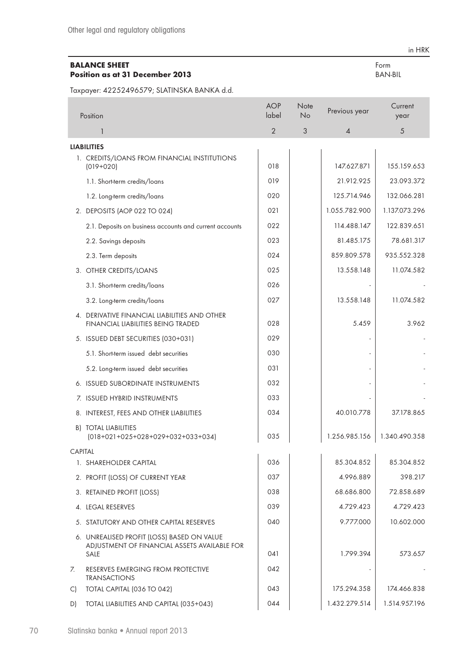## **BALANCE SHEET Position as at 31 December 2013**

Taxpayer: 42252496579; SLATINSKA BANKA d.d.

|                | Position                                                                                           | <b>AOP</b><br>label | Note<br>No | Previous year  | Current<br>year |
|----------------|----------------------------------------------------------------------------------------------------|---------------------|------------|----------------|-----------------|
|                | 1                                                                                                  | $\overline{2}$      | $\sqrt{3}$ | $\overline{A}$ | 5               |
|                | <b>LIABILITIES</b>                                                                                 |                     |            |                |                 |
|                | 1. CREDITS/LOANS FROM FINANCIAL INSTITUTIONS<br>$(019+020)$                                        | 018                 |            | 147.627.871    | 155.159.653     |
|                | 1.1. Short-term credits/loans                                                                      | 019                 |            | 21.912.925     | 23.093.372      |
|                | 1.2. Long-term credits/loans                                                                       | 020                 |            | 125.714.946    | 132.066.281     |
|                | 2. DEPOSITS (AOP 022 TO 024)                                                                       | 021                 |            | 1.055.782.900  | 1.137.073.296   |
|                | 2.1. Deposits on business accounts and current accounts                                            | 022                 |            | 114.488.147    | 122.839.651     |
|                | 2.2. Savings deposits                                                                              | 023                 |            | 81.485.175     | 78.681.317      |
|                | 2.3. Term deposits                                                                                 | 024                 |            | 859.809.578    | 935.552.328     |
|                | 3. OTHER CREDITS/LOANS                                                                             | 025                 |            | 13.558.148     | 11.074.582      |
|                | 3.1. Short-term credits/loans                                                                      | 026                 |            |                |                 |
|                | 3.2. Long-term credits/loans                                                                       | 027                 |            | 13.558.148     | 11.074.582      |
|                | 4. DERIVATIVE FINANCIAL LIABILITIES AND OTHER<br><b>FINANCIAL LIABILITIES BEING TRADED</b>         | 028                 |            | 5.459          | 3.962           |
|                | 5. ISSUED DEBT SECURITIES (030+031)                                                                | 029                 |            |                |                 |
|                | 5.1. Short-term issued debt securities                                                             | 030                 |            |                |                 |
|                | 5.2. Long-term issued debt securities                                                              | 031                 |            |                |                 |
|                | 6. ISSUED SUBORDINATE INSTRUMENTS                                                                  | 032                 |            |                |                 |
|                | 7. ISSUED HYBRID INSTRUMENTS                                                                       | 033                 |            |                |                 |
|                | 8. INTEREST, FEES AND OTHER LIABILITIES                                                            | 034                 |            | 40.010.778     | 37.178.865      |
|                | <b>B) TOTAL LIABILITIES</b><br>$(018+021+025+028+029+032+033+034)$                                 | 035                 |            | 1.256.985.156  | 1.340.490.358   |
| <b>CAPITAL</b> |                                                                                                    |                     |            |                |                 |
|                | 1. SHAREHOLDER CAPITAL                                                                             | 036                 |            | 85.304.852     | 85.304.852      |
|                | 2. PROFIT (LOSS) OF CURRENT YEAR                                                                   | 037                 |            | 4.996.889      | 398.217         |
|                | 3. RETAINED PROFIT (LOSS)                                                                          | 038                 |            | 68.686.800     | 72.858.689      |
|                | 4. LEGAL RESERVES                                                                                  | 039                 |            | 4.729.423      | 4.729.423       |
|                | 5. STATUTORY AND OTHER CAPITAL RESERVES                                                            | 040                 |            | 9.777.000      | 10.602.000      |
|                | 6. UNREALISED PROFIT (LOSS) BASED ON VALUE<br>ADJUSTMENT OF FINANCIAL ASSETS AVAILABLE FOR<br>SALE | 041                 |            | 1.799.394      | 573.657         |
| 7.             | RESERVES EMERGING FROM PROTECTIVE<br><b>TRANSACTIONS</b>                                           | 042                 |            |                |                 |
| $\mathsf{C}$   | TOTAL CAPITAL (036 TO 042)                                                                         | 043                 |            | 175.294.358    | 174.466.838     |
| D)             | TOTAL LIABILITIES AND CAPITAL (035+043)                                                            | 044                 |            | 1.432.279.514  | 1.514.957.196   |

in HRK

Form BAN-BIL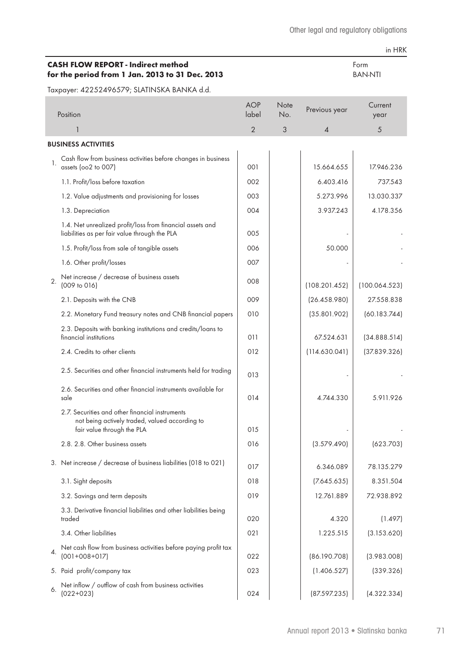Form BAN-NTI

## **CASH FLOW REPORT - Indirect method for the period from 1 Jan. 2013 to 31 Dec. 2013**

in HRK

|    | Position                                                                                                                                                           | <b>AOP</b><br>label | Note<br>No. | Previous year            | Current<br>year |
|----|--------------------------------------------------------------------------------------------------------------------------------------------------------------------|---------------------|-------------|--------------------------|-----------------|
|    |                                                                                                                                                                    | $\overline{2}$      | 3           | $\boldsymbol{\varDelta}$ | 5               |
|    | <b>BUSINESS ACTIVITIES</b>                                                                                                                                         |                     |             |                          |                 |
| 1. | Cash flow from business activities before changes in business<br>assets (oo2 to 007)                                                                               | 001                 |             | 15.664.655               | 17.946.236      |
|    | 1.1. Profit/loss before taxation                                                                                                                                   | 002                 |             | 6.403.416                | 737.543         |
|    | 1.2. Value adjustments and provisioning for losses                                                                                                                 | 003                 |             | 5.273.996                | 13.030.337      |
|    | 1.3. Depreciation                                                                                                                                                  | 004                 |             | 3.937.243                | 4.178.356       |
|    | 1.4. Net unrealized profit/loss from financial assets and<br>liabilities as per fair value through the PLA                                                         | 005                 |             |                          |                 |
|    | 1.5. Profit/loss from sale of tangible assets                                                                                                                      | 006                 |             | 50.000                   |                 |
|    | 1.6. Other profit/losses                                                                                                                                           | 007                 |             |                          |                 |
| 2. | Net increase / decrease of business assets<br>(009 to 016)                                                                                                         | 008                 |             | (108.201.452)            | (100.064.523)   |
|    | 2.1. Deposits with the CNB                                                                                                                                         | 009                 |             | (26.458.980)             | 27.558.838      |
|    | 2.2. Monetary Fund treasury notes and CNB financial papers                                                                                                         | 010                 |             | (35.801.902)             | (60.183.744)    |
|    | 2.3. Deposits with banking institutions and credits/loans to<br>financial institutions                                                                             | 011                 |             | 67.524.631               | (34.888.514)    |
|    | 2.4. Credits to other clients                                                                                                                                      | 012                 |             | (114.630.041)            | (37.839.326)    |
|    | 2.5. Securities and other financial instruments held for trading                                                                                                   | 013                 |             |                          |                 |
|    | 2.6. Securities and other financial instruments available for<br>sale                                                                                              | 014                 |             | 4.744.330                | 5.911.926       |
|    | 2.7. Securities and other financial instruments<br>not being actively traded, valued according to<br>fair value through the PLA<br>2.8. 2.8. Other business assets | 015<br>016          |             | (3.579.490)              | (623.703)       |
|    |                                                                                                                                                                    |                     |             |                          |                 |
|    | 3. Net increase / decrease of business liabilities (018 to 021)                                                                                                    | 017                 |             | 6.346.089                | 78.135.279      |
|    | 3.1. Sight deposits                                                                                                                                                | 018                 |             | (7.645.635)              | 8.351.504       |
|    | 3.2. Savings and term deposits                                                                                                                                     | 019                 |             | 12.761.889               | 72.938.892      |
|    | 3.3. Derivative financial liabilities and other liabilities being<br>traded                                                                                        | 020                 |             | 4.320                    | (1.497)         |
|    | 3.4. Other liabilities                                                                                                                                             | 021                 |             | 1.225.515                | (3.153.620)     |
| 4. | Net cash flow from business activities before paying profit tax<br>$(001+008+017)$                                                                                 | 022                 |             | (86.190.708)             | (3.983.008)     |
|    | 5. Paid profit/company tax                                                                                                                                         | 023                 |             | (1.406.527)              | (339.326)       |
| 6. | Net inflow / outflow of cash from business activities<br>$(022+023)$                                                                                               | 024                 |             | (87.597.235)             | (4.322.334)     |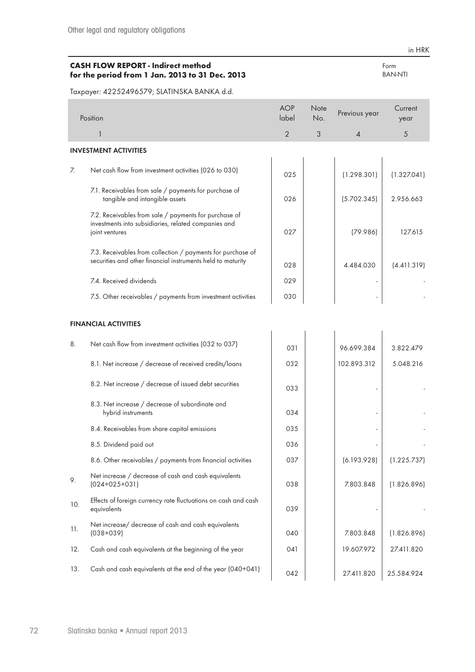### **CASH FLOW REPORT - Indirect method for the period from 1 Jan. 2013 to 31 Dec. 2013**

Taxpayer: 42252496579; SLATINSKA BANKA d.d.

|                | Position                                                                                                                        | <b>AOP</b><br>label | <b>Note</b><br>No. | Previous year  | Current<br>year |
|----------------|---------------------------------------------------------------------------------------------------------------------------------|---------------------|--------------------|----------------|-----------------|
|                |                                                                                                                                 | $\overline{2}$      | 3                  | $\overline{4}$ | 5               |
|                | <b>INVESTMENT ACTIVITIES</b>                                                                                                    |                     |                    |                |                 |
| $\overline{Z}$ | Net cash flow from investment activities (026 to 030)                                                                           | 025                 |                    | (1.298.301)    | (1.327.041)     |
|                | 7.1. Receivables from sale / payments for purchase of<br>tangible and intangible assets                                         | 026                 |                    | (5.702.345)    | 2.956.663       |
|                | 7.2. Receivables from sale / payments for purchase of<br>investments into subsidiaries, related companies and<br>joint ventures | 027                 |                    | (79.986)       | 127.615         |
|                | 7.3. Receivables from collection / payments for purchase of<br>securities and other financial instruments held to maturity      | 028                 |                    | 4.484.030      | (4.411.319)     |
|                | 7.4. Received dividends                                                                                                         | 029                 |                    |                |                 |
|                | 7.5. Other receivables / payments from investment activities                                                                    | 030                 |                    |                |                 |
|                |                                                                                                                                 |                     |                    |                |                 |

# **FINANCIAL ACTIVITIES**

| 8.  | Net cash flow from investment activities (032 to 037)                         | 031 | 96.699.384  | 3.822.479   |
|-----|-------------------------------------------------------------------------------|-----|-------------|-------------|
|     | 8.1. Net increase / decrease of received credits/loans                        | 032 | 102.893.312 | 5.048.216   |
|     | 8.2. Net increase / decrease of issued debt securities                        | 033 |             |             |
|     | 8.3. Net increase / decrease of subordinate and<br>hybrid instruments         | 034 |             |             |
|     | 8.4. Receivables from share capital emissions                                 | 035 |             |             |
|     | 8.5. Dividend paid out                                                        | 036 |             |             |
|     | 8.6. Other receivables / payments from financial activities                   | 037 | (6.193.928) | (1.225.737) |
| 9.  | Net increase / decrease of cash and cash equivalents<br>$(024+025+031)$       | 038 | 7.803.848   | (1.826.896) |
| 10. | Effects of foreign currency rate fluctuations on cash and cash<br>equivalents | 039 |             |             |
| 11. | Net increase/ decrease of cash and cash equivalents<br>$(038 + 039)$          | 040 | 7.803.848   | (1.826.896) |
| 12. | Cash and cash equivalents at the beginning of the year                        | 041 | 19.607.972  | 27.411.820  |
| 13. | Cash and cash equivalents at the end of the year (040+041)                    | 042 | 27.411.820  | 25.584.924  |

Form BAN-NTI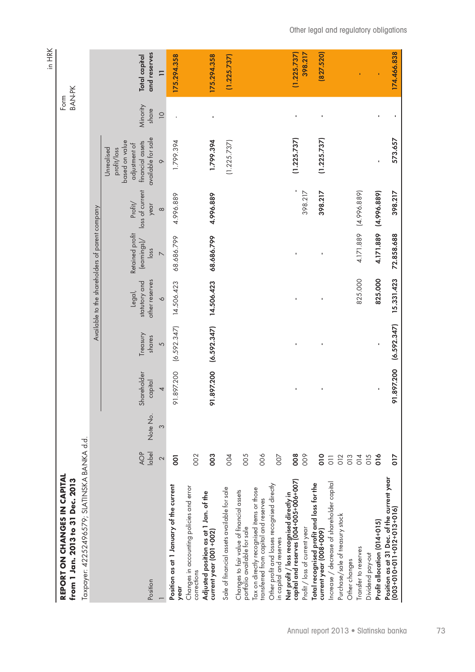| REPORT ON CHANGES IN CAPITAL<br>from 1 Jan. 2013 to 31 Dec. 2013                   |                   |               |                             |                         |                                                      |                                                                                |                                                |                                                                                                                   | <b>BAN-PK</b><br>Form            |                                           |
|------------------------------------------------------------------------------------|-------------------|---------------|-----------------------------|-------------------------|------------------------------------------------------|--------------------------------------------------------------------------------|------------------------------------------------|-------------------------------------------------------------------------------------------------------------------|----------------------------------|-------------------------------------------|
| Taxpayer: 42252496579; SLATINSKA BANKA d.d.                                        |                   |               |                             |                         |                                                      |                                                                                |                                                |                                                                                                                   |                                  |                                           |
|                                                                                    |                   |               |                             |                         | Available to the shareholders of parent company      |                                                                                |                                                |                                                                                                                   |                                  |                                           |
| Position                                                                           | label<br>AOP<br>2 | Note No.<br>3 | Shareholder<br>capital<br>4 | Treasury<br>shares<br>5 | other reserves<br>statutory and<br>Legal,<br>$\circ$ | Retained profit<br>(earnings)<br>$\overline{\log}$<br>$\overline{\phantom{0}}$ | loss of current<br>Profit/<br>year<br>$\infty$ | available for sale<br>based on value<br>financial assets<br>adjustment of<br>profit/loss<br>Unrealised<br>$\circ$ | Minority<br>share<br>$\supseteq$ | and reserves<br>Total capital<br>$\equiv$ |
| Position as at 1 January of the current                                            | <b>OO</b>         |               | 91.897.200                  | (6.592.347)             | 14.506.423                                           | 68.686.799                                                                     | 4.996.889                                      | 1.799.394                                                                                                         |                                  | 175.294.358                               |
| year                                                                               |                   |               |                             |                         |                                                      |                                                                                |                                                |                                                                                                                   |                                  |                                           |
| Changes in accounting policies and error<br>corrections                            | 002               |               |                             |                         |                                                      |                                                                                |                                                |                                                                                                                   |                                  |                                           |
| Adjusted position as at 1 Jan. of the<br>current year (001+002)                    | 003               |               | 91.897.200 (6.592.347)      |                         | 14.506.423                                           | 68.686.799                                                                     | 4.996.889                                      | 1.799.394                                                                                                         |                                  | 175.294.358                               |
| Sale of financial assets available for sale                                        | 004               |               |                             |                         |                                                      |                                                                                |                                                | (1.225.737)                                                                                                       |                                  | (1.225.737)                               |
| Changes to fair value of financial assets<br>portfolio available for sale          | 005               |               |                             |                         |                                                      |                                                                                |                                                |                                                                                                                   |                                  |                                           |
| ax on directly recognised items or those<br>ransferred from capital and reserves   | 006               |               |                             |                         |                                                      |                                                                                |                                                |                                                                                                                   |                                  |                                           |
| Other profit and losses recognised directly<br>in capital and reserves             | 007               |               |                             |                         |                                                      |                                                                                |                                                |                                                                                                                   |                                  |                                           |
| capital and reserves (004+005+006+007)<br>Net profit / loss recognised directly in | 800               |               |                             |                         |                                                      |                                                                                |                                                | (1.225.737)                                                                                                       |                                  | (1.225.737)                               |
| Profit / loss of current year                                                      | 009               |               |                             |                         |                                                      |                                                                                | 398.217                                        |                                                                                                                   |                                  | 398.217                                   |
| Total recognised profit and loss for the<br>current year (008+009)                 | $\frac{1}{2}$     |               |                             |                         |                                                      |                                                                                | 398.217                                        | (1.225.737)                                                                                                       |                                  | 827.520                                   |
| Increase / decrease of shareholder capital                                         | $\overline{0}$    |               |                             |                         |                                                      |                                                                                |                                                |                                                                                                                   |                                  |                                           |
| Purchase/sale of treasury stock                                                    | 012               |               |                             |                         |                                                      |                                                                                |                                                |                                                                                                                   |                                  |                                           |
| Other changes                                                                      | 013               |               |                             |                         |                                                      |                                                                                |                                                |                                                                                                                   |                                  |                                           |
| ransfer to reserves                                                                | 014               |               |                             |                         | 825.000                                              | 4.171.889                                                                      | (4.996.889)                                    |                                                                                                                   |                                  |                                           |
| Dividend pay-out                                                                   | O15               |               |                             |                         |                                                      |                                                                                |                                                |                                                                                                                   |                                  |                                           |
| Profit allocation (014+015)                                                        | $\frac{1}{2}$     |               |                             |                         | 825.000                                              | 4.171.889                                                                      | (4.996.889)                                    |                                                                                                                   |                                  |                                           |
| Position as at 31 Dec. of the current year<br>$003+010+011+012+013+016$            | $\frac{2}{10}$    |               | 91.897.200                  | (6.592.347)             | 15.331.423                                           | 72.858.688                                                                     | 398.217                                        | 573.657                                                                                                           |                                  | 174.466.838                               |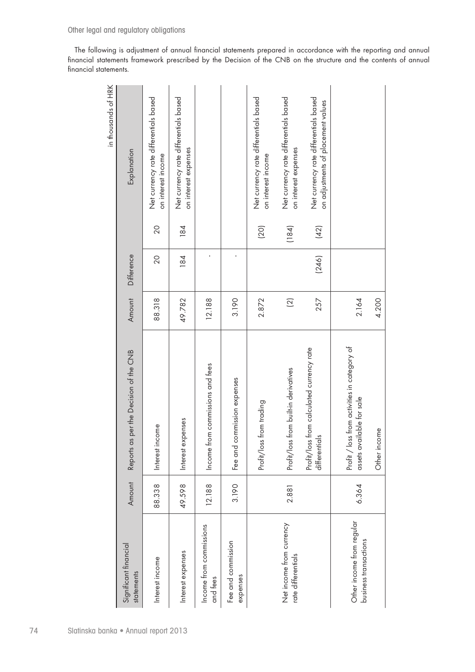The following is adjustment of annual financial statements prepared in accordance with the reporting and annual financial statements framework prescribed by the Decision of the CNB on the structure and the contents of annual financial statements.

|                                                                             |       |                | 4.200  | Other income                                                              |        |                                                    |
|-----------------------------------------------------------------------------|-------|----------------|--------|---------------------------------------------------------------------------|--------|----------------------------------------------------|
|                                                                             |       |                | 2.164  | Profit / loss from activities in category of<br>assets available for sale | 6.364  | Other income from regular<br>business transactions |
| Net currency rate differentials based<br>on adjustments of placement values | (42)  | (246)          | 257    | Profit/loss from calculated currency rate<br>differentials                |        |                                                    |
| Net currency rate differentials based<br>on interest expenses               | (184) |                | $(2)$  | Profit/loss from built-in derivatives                                     | 2.881  | Net income from currency<br>rate differentials     |
| Net currency rate differentials based<br>on interest income                 | (20)  |                | 2.872  | Profit/loss from trading                                                  |        |                                                    |
|                                                                             |       | ı              | 3.190  | commission expenses<br>Fee and                                            | 3.190  | Fee and commission<br>expenses                     |
|                                                                             |       |                | 12.188 | Income from commissions and fees                                          | 12.188 | Income from commissions<br>and fees                |
| Net currency rate differentials based<br>on interest expenses               | 184   | 184            | 49.782 | Interest expenses                                                         | 49.598 | Interest expenses                                  |
| Net currency rate differentials based<br>on interest income                 | 20    | $\overline{0}$ | 88.318 | Interest income                                                           | 88.338 | Interest income                                    |
| Explanation                                                                 |       | Difference     | Amount | Reports as per the Decision of the CNB                                    | Amount | Significant financial<br>statements                |
| in thousands of HRK                                                         |       |                |        |                                                                           |        |                                                    |

74 Slatinska banka • Annual report 2013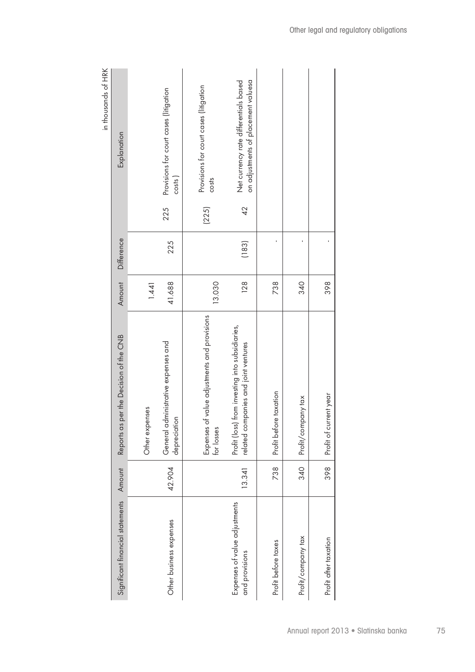| in in Spanishers in the search of the search of the search of the search of the search of the search of the search of the search of the search of the search of the search of the search of the search of the search of the se | Explanation                            |                | Provisions for court cases (litigation<br>costs<br>225 | Provisions for court cases (litigation<br>costs<br>(225)      | on adjustments of placement valuesa<br>Net currency rate differentials based<br>42      |                        |                    |                        |
|--------------------------------------------------------------------------------------------------------------------------------------------------------------------------------------------------------------------------------|----------------------------------------|----------------|--------------------------------------------------------|---------------------------------------------------------------|-----------------------------------------------------------------------------------------|------------------------|--------------------|------------------------|
|                                                                                                                                                                                                                                |                                        |                | 225                                                    |                                                               |                                                                                         |                        |                    |                        |
|                                                                                                                                                                                                                                | Difference                             |                |                                                        |                                                               | (183)                                                                                   |                        |                    |                        |
|                                                                                                                                                                                                                                | Amount                                 | 1.441          | 41.688                                                 | 13.030                                                        | 128                                                                                     | 738                    | 340                | 398                    |
|                                                                                                                                                                                                                                | Reports as per the Decision of the CNB | Other expenses | administrative expenses and<br>depreciation<br>General | of value adjustments and provisions<br>Expenses<br>for losses | Profit (loss) from investing into subsidiaries,<br>related companies and joint ventures | Profit before taxation | Profit/company tax | Profit of current year |
|                                                                                                                                                                                                                                | Amount                                 |                | 42.904                                                 |                                                               | 13.341                                                                                  | 738                    | 340                | 398                    |
|                                                                                                                                                                                                                                | Significant financial statements       |                | Other business expenses                                |                                                               | Expenses of value adjustments<br>and provisions                                         | Profit before taxes    | Profit/company tax | Profit after taxation  |

in thousands of HRK in thousands of HRK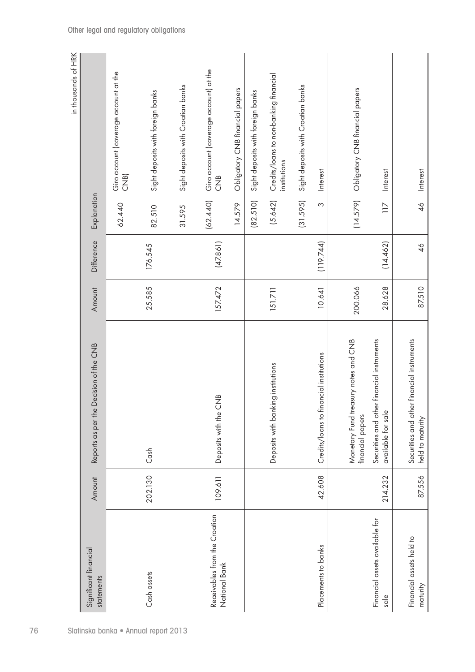|                                                        |         |                                                                  |         |            |                  | in thousands of HRK                                    |
|--------------------------------------------------------|---------|------------------------------------------------------------------|---------|------------|------------------|--------------------------------------------------------|
| Significant financial<br>statements                    | Amount  | Decision of the CNB<br>Reports as per the                        | Amount  | Difference | Explanation      |                                                        |
|                                                        |         |                                                                  |         |            | 62.440           | Giro account (coverage account at the<br>CNB)          |
| Cash assets<br>Slatinska banka · Annual report 2013    | 202.130 | $\cosh$                                                          | 25.585  | 176.545    | 82.510           | Sight deposits with foreign banks                      |
|                                                        |         |                                                                  |         |            | 31.595           | Sight deposits with Croatian banks                     |
| Receivables from the Croatian<br>National Bank         | 109.611 | <b>CNB</b><br>Deposits with the                                  | 157.472 | (47.861)   | (62.440)         | Giro account (coverage account) at the<br>$rac{1}{2}$  |
|                                                        |         |                                                                  |         |            | 14.579           | Obligatory CNB financial papers                        |
|                                                        |         |                                                                  |         |            | (82.510)         | Sight deposits with foreign banks                      |
|                                                        |         | Deposits with banking institutions                               | 151.711 |            | (5.642)          | Credits/loans to non-banking financial<br>institutions |
|                                                        |         |                                                                  |         |            | (31.595)         | Sight deposits with Croatian banks                     |
| Placements to banks                                    | 42.608  | Credits/loans to financial institutions                          | 10.641  | (119.744)  | S                | <b>Interest</b>                                        |
|                                                        |         | Monetary Fund treasury notes and CNB<br>financial papers         | 200.066 |            | (14.579)         | Obligatory CNB financial papers                        |
| Financial assets available for<br>$s$ <sub>d</sub> $e$ | 214.232 | Securities and other financial instruments<br>available for sale | 28.628  | (14.462)   | $\overline{117}$ | Interest                                               |
| Financial assets held to<br>maturity                   | 87.556  | Securities and other financial instruments<br>held to maturity   | 87.510  | 46         | $\frac{4}{6}$    | <b>Interest</b>                                        |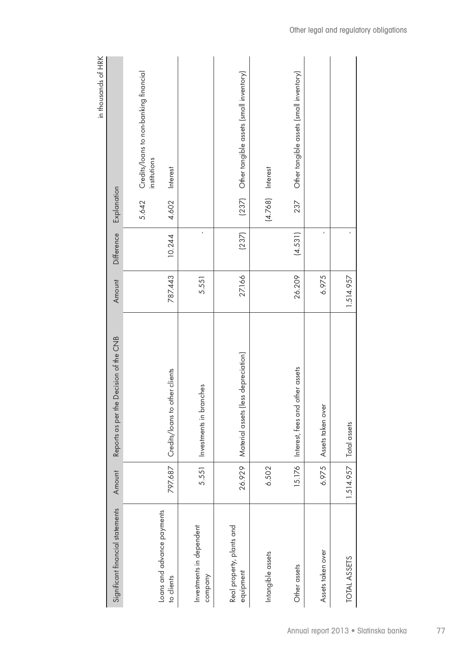|                                          |           |                                        |           |            |                       | in thousands of HRK                     |
|------------------------------------------|-----------|----------------------------------------|-----------|------------|-----------------------|-----------------------------------------|
| Significant financial statements         | Amount    | Reports as per the Decision of the CNB | Amount    | Difference | Explanation           |                                         |
|                                          |           |                                        |           |            | institutions<br>5.642 | Credits/loans to non-banking financial  |
| Loans and advance payments<br>to clients | 797.687   | other clients<br>Credits/loans to      | 787.443   | 10.244     | Interest<br>4.602     |                                         |
| Investments in dependent<br>company      | 5.551     | Investments in branches                | 5.551     | ï          |                       |                                         |
| Real property, plants and<br>equipment   | 26.929    | (less depreciation)<br>Material assets | 27.166    | (237)      | (237)                 | Other tangible assets (small inventory) |
| Intangible assets                        | 6.502     |                                        |           |            | $(4.768)$ Interest    |                                         |
| Other assets                             | 15.176    | Interest, fees and other assets        | 26.209    | (4.531)    | 237                   | Other tangible assets (small inventory) |
| Assets taken over                        | 6.975     | Assets taken over                      | 6.975     | ı          |                       |                                         |
| <b>TOTAL ASSETS</b>                      | 1.514.957 | Total assets                           | 1.514.957 |            |                       |                                         |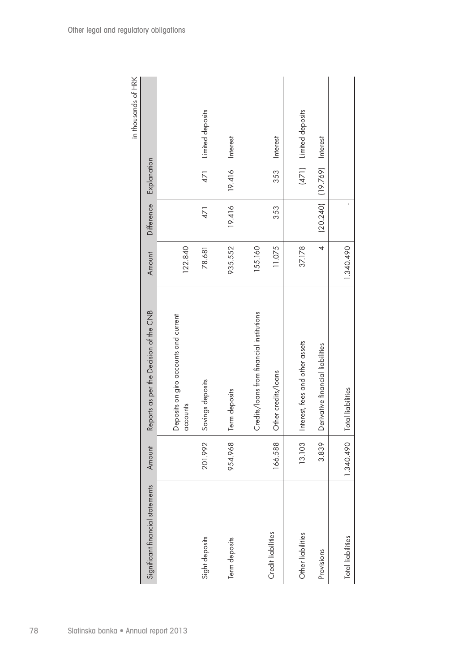|                                  |           |                                                   |           |            |                            | III III D spinspolii ii |
|----------------------------------|-----------|---------------------------------------------------|-----------|------------|----------------------------|-------------------------|
| Significant financial statements | Amount    | Reports as per the Decision of the CNB            | Amount    | Difference | Explanation                |                         |
|                                  |           | Deposits on giro accounts and current<br>accounts | 122.840   |            |                            |                         |
| Sight deposits                   | 201.992   | Savings deposits                                  | 78.681    | 471        | 471                        | Limited deposits        |
| Term deposits                    | 954.968   | Term deposits                                     | 935.552   | 19.416     | 19.416                     | Interest                |
|                                  |           | Credits/loans from financial institutions         | 155.160   |            |                            |                         |
| Credit liabilities               | 166.588   | Other credits/loans                               | 11.075    | 353        | 353                        | Interest                |
| Other liabilities                | 13.103    | Interest, fees and other assets                   | 37.178    |            |                            | (471) Limited deposits  |
| Provisions                       | 3.839     | Derivative financial liabilities                  | 4         |            | [20.240] [19.769] Interest |                         |
| <b>Total liabilities</b>         | 1.340.490 | <b>Total liabilities</b>                          | 1.340.490 |            |                            |                         |

in thousands of HRK in thousands of HRK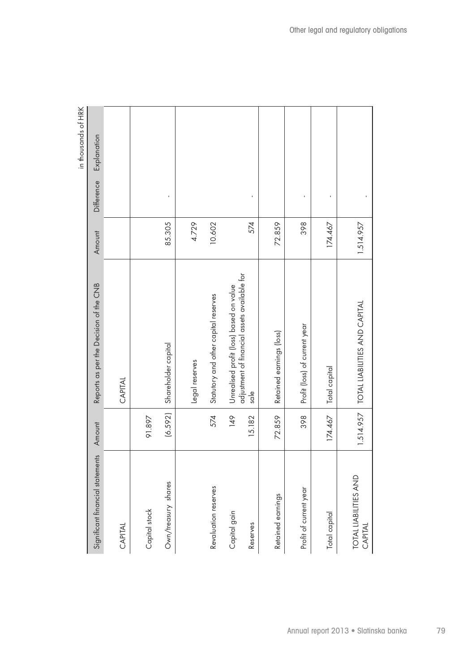|                                  |              |                                                                                                    |           |            | in thousands of HRK |
|----------------------------------|--------------|----------------------------------------------------------------------------------------------------|-----------|------------|---------------------|
| Significant financial statements | Amount       | Reports as per the Decision of the CNB                                                             | Amount    | Difference | Explanation         |
| CAPITAL                          |              | CAPITAL                                                                                            |           |            |                     |
| Capital stock                    | 91.897       |                                                                                                    |           |            |                     |
| Own/treasury shares              | (6.592)      | Shareholder capital                                                                                | 85.305    |            |                     |
|                                  |              | Legal reserves                                                                                     | 4.729     |            |                     |
| Revaluation reserves             | 574          | Statutory and other capital reserves                                                               | 10.602    |            |                     |
| Capital gain<br>Reserves         | 91<br>15.182 | adjustment of financial assets available for<br>Unrealised profit (loss) based on value<br>$s$ ale | 574       |            |                     |
| Retained earnings                | 72.859       | Retained earnings (loss)                                                                           | 72.859    |            |                     |
| Profit of current year           | 398          | Profit (loss) of current year                                                                      | 398       |            |                     |
| Total capital                    | 174.467      | Total capital                                                                                      | 174.467   |            |                     |
| TOTAL LIABILITIES AND<br>CAPITAL |              | 1.514.957   TOTAL LIABILITIES AND CAPITAL                                                          | 1.514.957 |            |                     |

in thousands of HRK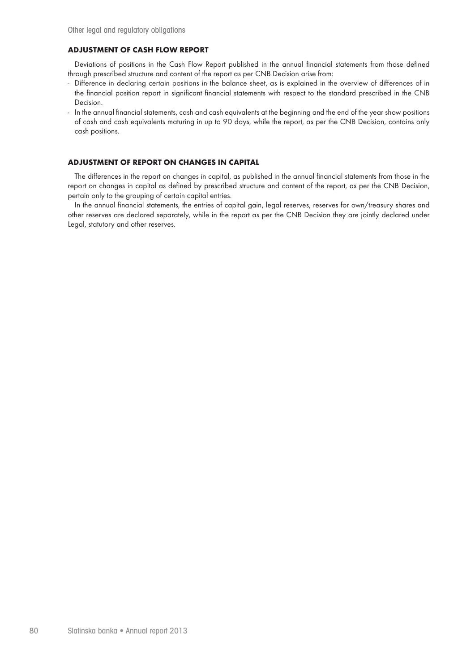### **ADJUSTMENT OF CASH FLOW REPORT**

Deviations of positions in the Cash Flow Report published in the annual financial statements from those defined through prescribed structure and content of the report as per CNB Decision arise from:

- Difference in declaring certain positions in the balance sheet, as is explained in the overview of differences of in the financial position report in significant financial statements with respect to the standard prescribed in the CNB Decision.
- In the annual financial statements, cash and cash equivalents at the beginning and the end of the year show positions of cash and cash equivalents maturing in up to 90 days, while the report, as per the CNB Decision, contains only cash positions.

### **ADJUSTMENT OF REPORT ON CHANGES IN CAPITAL**

The differences in the report on changes in capital, as published in the annual financial statements from those in the report on changes in capital as defined by prescribed structure and content of the report, as per the CNB Decision, pertain only to the grouping of certain capital entries.

In the annual financial statements, the entries of capital gain, legal reserves, reserves for own/treasury shares and other reserves are declared separately, while in the report as per the CNB Decision they are jointly declared under Legal, statutory and other reserves.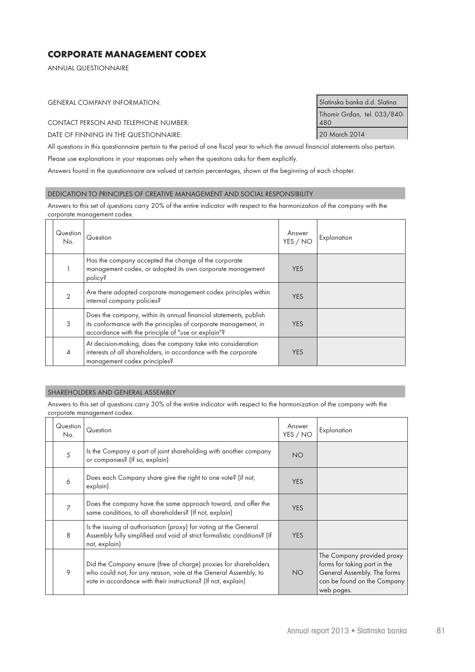# **CORPORATE MANAGEMENT CODEX**

ANNUAL QUESTIONNAIRE

GENERAL COMPANY INFORMATION: Slatinska banka d.d. Slatina

CONTACT PERSON AND TELEPHONE NUMBER:

DATE OF FINNING IN THE QUESTIONNAIRE: 20 March 2014

All questions in this questionnaire pertain to the period of one fiscal year to which the annual financial statements also pertain.

Please use explanations in your responses only when the questions asks for them explicitly.

Answers found in the questionnaire are valued at certain percentages, shown at the beginning of each chapter.

#### DEDICATION TO PRINCIPLES OF CREATIVE MANAGEMENT AND SOCIAL RESPONSIBILITY

Answers to this set of questions carry 20% of the entire indicator with respect to the harmonization of the company with the corporate management codex.

| Question<br>No. | Question                                                                                                                                                                                   | Answer<br>YES / NO | Explanation |
|-----------------|--------------------------------------------------------------------------------------------------------------------------------------------------------------------------------------------|--------------------|-------------|
|                 | Has the company accepted the change of the corporate<br>management codex, or adopted its own corporate management<br>policy?                                                               | <b>YES</b>         |             |
| $\mathcal{P}$   | Are there adopted corporate management codex principles within<br>internal company policies?                                                                                               | <b>YES</b>         |             |
| 3               | Does the company, within its annual financial statements, publish<br>its conformance with the principles of corporate management, in<br>accordance with the principle of "use or explain"? | <b>YES</b>         |             |
| $\overline{4}$  | At decision-making, does the company take into consideration<br>interests of all shareholders, in accordance with the corporate<br>management codex principles?                            | <b>YES</b>         |             |

#### SHAREHOLDERS AND GENERAL ASSEMBLY

Answers to this set of questions carry 30% of the entire indicator with respect to the harmonization of the company with the corporate management codex.

| Question<br>No. | Question                                                                                                                                                                                             | Answer<br>YES / NO | Explanation                                                                                                                            |
|-----------------|------------------------------------------------------------------------------------------------------------------------------------------------------------------------------------------------------|--------------------|----------------------------------------------------------------------------------------------------------------------------------------|
| 5               | Is the Company a part of joint shareholding with another company<br>or companies? (If so, explain)                                                                                                   | <b>NO</b>          |                                                                                                                                        |
| 6               | Does each Company share give the right to one vote? (if not,<br>explain)                                                                                                                             | <b>YES</b>         |                                                                                                                                        |
| $\overline{7}$  | Does the company have the same approach toward, and offer the<br>same conditions, to all shareholders? (If not, explain)                                                                             | <b>YES</b>         |                                                                                                                                        |
| 8               | Is the issuing of authorisation (proxy) for voting at the General<br>Assembly fully simplified and void of strict formalistic conditions? (If<br>not, explain)                                       | <b>YES</b>         |                                                                                                                                        |
| 9               | Did the Company ensure (free of charge) proxies for shareholders<br>who could not, for any reason, vote at the General Assembly, to<br>vote in accordance with their instructions? (If not, explain) | <b>NO</b>          | The Company provided proxy<br>forms for taking part in the<br>General Assembly. The forms<br>can be found on the Company<br>web pages. |

Tihomir Grđan, tel. 033/840- 480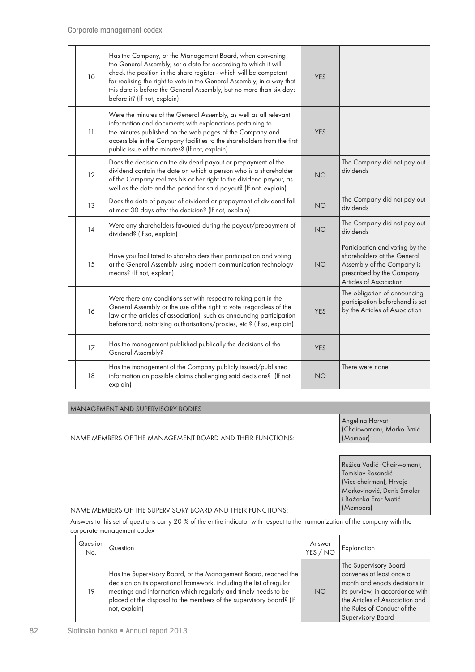| 10 | Has the Company, or the Management Board, when convening<br>the General Assembly, set a date for according to which it will<br>check the position in the share register - which will be competent<br>for realising the right to vote in the General Assembly, in a way that<br>this date is before the General Assembly, but no more than six days<br>before it? (If not, explain) | <b>YES</b> |                                                                                                                                                      |
|----|------------------------------------------------------------------------------------------------------------------------------------------------------------------------------------------------------------------------------------------------------------------------------------------------------------------------------------------------------------------------------------|------------|------------------------------------------------------------------------------------------------------------------------------------------------------|
| 11 | Were the minutes of the General Assembly, as well as all relevant<br>information and documents with explanations pertaining to<br>the minutes published on the web pages of the Company and<br>accessible in the Company facilities to the shareholders from the first<br>public issue of the minutes? (If not, explain)                                                           | <b>YES</b> |                                                                                                                                                      |
| 12 | Does the decision on the dividend payout or prepayment of the<br>dividend contain the date on which a person who is a shareholder<br>of the Company realizes his or her right to the dividend payout, as<br>well as the date and the period for said payout? (If not, explain)                                                                                                     | <b>NO</b>  | The Company did not pay out<br>dividends                                                                                                             |
| 13 | Does the date of payout of dividend or prepayment of dividend fall<br>at most 30 days after the decision? (If not, explain)                                                                                                                                                                                                                                                        | <b>NO</b>  | The Company did not pay out<br>dividends                                                                                                             |
| 14 | Were any shareholders favoured during the payout/prepayment of<br>dividend? (If so, explain)                                                                                                                                                                                                                                                                                       | <b>NO</b>  | The Company did not pay out<br>dividends                                                                                                             |
| 15 | Have you facilitated to shareholders their participation and voting<br>at the General Assembly using modern communication technology<br>means? (If not, explain)                                                                                                                                                                                                                   | <b>NO</b>  | Participation and voting by the<br>shareholders at the General<br>Assembly of the Company is<br>prescribed by the Company<br>Articles of Association |
| 16 | Were there any conditions set with respect to taking part in the<br>General Assembly or the use of the right to vote (regardless of the<br>law or the articles of association), such as announcing participation<br>beforehand, notarising authorisations/proxies, etc.? (If so, explain)                                                                                          | <b>YES</b> | The obligation of announcing<br>participation beforehand is set<br>by the Articles of Association                                                    |
| 17 | Has the management published publically the decisions of the<br>General Assembly?                                                                                                                                                                                                                                                                                                  | <b>YES</b> |                                                                                                                                                      |
| 18 | Has the management of the Company publicly issued/published<br>information on possible claims challenging said decisions? (If not,<br>explain)                                                                                                                                                                                                                                     | <b>NO</b>  | There were none                                                                                                                                      |

### MANAGEMENT AND SUPERVISORY BODIES

NAME MEMBERS OF THE MANAGEMENT BOARD AND THEIR FUNCTIONS:

Angelina Horvat (Chairwoman), Marko Brnić (Member)

Ružica Vađić (Chairwoman), Tomislav Rosandić (Vice-chairman), Hrvoje Markovinović, Denis Smolar i Baženka Eror Matić (Members)

### NAME MEMBERS OF THE SUPERVISORY BOARD AND THEIR FUNCTIONS:

Answers to this set of questions carry 20 % of the entire indicator with respect to the harmonization of the company with the corporate management codex

| Question<br>No. | Question                                                                                                                                                                                                                                                                                           | Answer<br>YES / NO | Explanation                                                                                                                                                                                                         |
|-----------------|----------------------------------------------------------------------------------------------------------------------------------------------------------------------------------------------------------------------------------------------------------------------------------------------------|--------------------|---------------------------------------------------------------------------------------------------------------------------------------------------------------------------------------------------------------------|
| 19              | Has the Supervisory Board, or the Management Board, reached the<br>decision on its operational framework, including the list of regular<br>meetings and information which regularly and timely needs to be<br>placed at the disposal to the members of the supervisory board? (If<br>not, explain) | <b>NO</b>          | The Supervisory Board<br>convenes at least once a<br>month and enacts decisions in<br>its purview, in accordance with<br>the Articles of Association and<br>the Rules of Conduct of the<br><b>Supervisory Board</b> |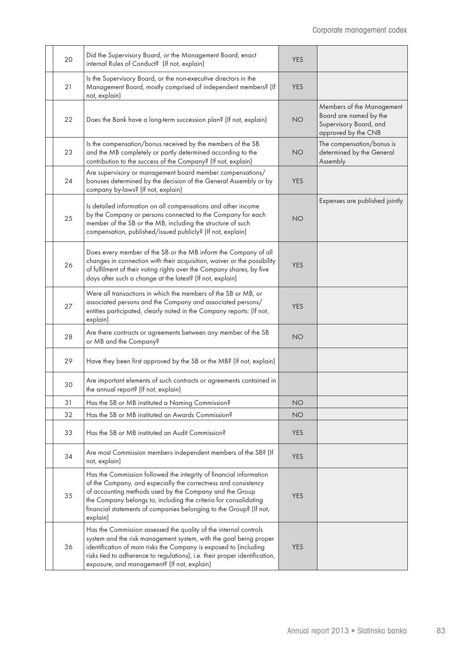| 20 | Did the Supervisory Board, or the Management Board, enact<br>internal Rules of Conduct? (If not, explain)                                                                                                                                                                                                                                             | <b>YES</b> |                                                                                                      |
|----|-------------------------------------------------------------------------------------------------------------------------------------------------------------------------------------------------------------------------------------------------------------------------------------------------------------------------------------------------------|------------|------------------------------------------------------------------------------------------------------|
| 21 | Is the Supervisory Board, or the non-executive directors in the<br>Management Board, mostly comprised of independent members? (If<br>not, explain)                                                                                                                                                                                                    | <b>YES</b> |                                                                                                      |
| 22 | Does the Bank have a long-term succession plan? (If not, explain)                                                                                                                                                                                                                                                                                     | <b>NO</b>  | Members of the Management<br>Board are named by the<br>Supervisory Board, and<br>approved by the CNB |
| 23 | Is the compensation/bonus received by the members of the SB<br>and the MB completely or partly determined according to the<br>contribution to the success of the Company? (If not, explain)                                                                                                                                                           | <b>NO</b>  | The compensation/bonus is<br>determined by the General<br>Assembly                                   |
| 24 | Are supervisory or management board member compensations/<br>bonuses determined by the decision of the General Assembly or by<br>company by-laws? (If not, explain)                                                                                                                                                                                   | <b>YES</b> |                                                                                                      |
| 25 | Is detailed information on all compensations and other income<br>by the Company or persons connected to the Company for each<br>member of the SB or the MB, including the structure of such<br>compensation, published/issued publicly? (If not, explain)                                                                                             | <b>NO</b>  | Expenses are published jointly                                                                       |
| 26 | Does every member of the SB or the MB inform the Company of all<br>changes in connection with their acquisition, waiver or the possibility<br>of fulfilment of their voting rights over the Company shares, by five<br>days after such a change at the latest? (If not, explain)                                                                      | <b>YES</b> |                                                                                                      |
| 27 | Were all transactions in which the members of the SB or MB, or<br>associated persons and the Company and associated persons/<br>entities participated, clearly noted in the Company reports: (If not,<br>explain)                                                                                                                                     | <b>YES</b> |                                                                                                      |
| 28 | Are there contracts or agreements between any member of the SB<br>or MB and the Company?                                                                                                                                                                                                                                                              | <b>NO</b>  |                                                                                                      |
| 29 | Have they been first approved by the SB or the MB? (If not, explain)                                                                                                                                                                                                                                                                                  |            |                                                                                                      |
| 30 | Are important elements of such contracts or agreements contained in<br>the annual report? (If not, explain)                                                                                                                                                                                                                                           |            |                                                                                                      |
| 31 | Has the SB or MB instituted a Naming Commission?                                                                                                                                                                                                                                                                                                      | <b>NO</b>  |                                                                                                      |
| 32 | Has the SB or MB instituted an Awards Commission?                                                                                                                                                                                                                                                                                                     | <b>NO</b>  |                                                                                                      |
| 33 | Has the SB or MB instituted an Audit Commission?                                                                                                                                                                                                                                                                                                      | <b>YES</b> |                                                                                                      |
| 34 | Are most Commission members independent members of the SB? (If<br>not, explain)                                                                                                                                                                                                                                                                       | <b>YES</b> |                                                                                                      |
| 35 | Has the Commission followed the integrity of financial information<br>of the Company, and especially the correctness and consistency<br>of accounting methods used by the Company and the Group<br>the Company belongs to, including the criteria for consolidating<br>financial statements of companies belonging to the Group? (If not,<br>explain) | <b>YES</b> |                                                                                                      |
| 36 | Has the Commission assessed the quality of the internal controls<br>system and the risk management system, with the goal being proper<br>identification of main risks the Company is exposed to (including<br>risks tied to adherence to regulations), i.e. their proper identification,<br>exposure, and management? (If not, explain)               | <b>YES</b> |                                                                                                      |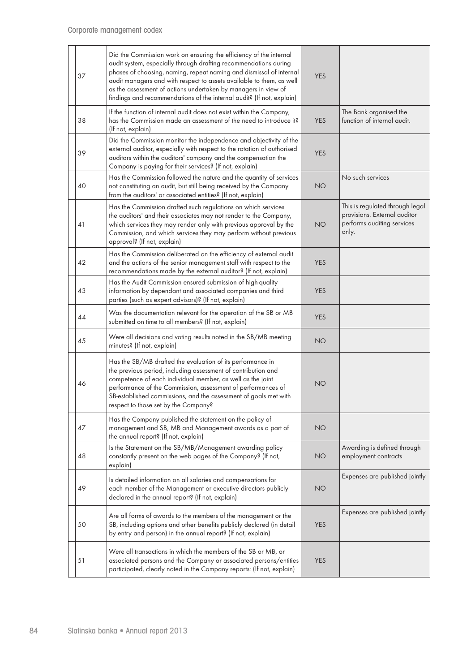| 37 | Did the Commission work on ensuring the efficiency of the internal<br>audit system, especially through drafting recommendations during<br>phases of choosing, naming, repeat naming and dismissal of internal<br>audit managers and with respect to assets available to them, as well<br>as the assessment of actions undertaken by managers in view of<br>findings and recommendations of the internal audit? (If not, explain) | <b>YES</b> |                                                                                                        |
|----|----------------------------------------------------------------------------------------------------------------------------------------------------------------------------------------------------------------------------------------------------------------------------------------------------------------------------------------------------------------------------------------------------------------------------------|------------|--------------------------------------------------------------------------------------------------------|
| 38 | If the function of internal audit does not exist within the Company,<br>has the Commission made an assessment of the need to introduce it?<br>(If not, explain)                                                                                                                                                                                                                                                                  | <b>YES</b> | The Bank organised the<br>function of internal audit.                                                  |
| 39 | Did the Commission monitor the independence and objectivity of the<br>external auditor, especially with respect to the rotation of authorised<br>auditors within the auditors' company and the compensation the<br>Company is paying for their services? (If not, explain)                                                                                                                                                       | <b>YES</b> |                                                                                                        |
| 40 | Has the Commission followed the nature and the quantity of services<br>not constituting an audit, but still being received by the Company<br>from the auditors' or associated entities? (If not, explain)                                                                                                                                                                                                                        | <b>NO</b>  | No such services                                                                                       |
| 41 | Has the Commission drafted such regulations on which services<br>the auditors' and their associates may not render to the Company,<br>which services they may render only with previous approval by the<br>Commission, and which services they may perform without previous<br>approval? (If not, explain)                                                                                                                       | <b>NO</b>  | This is regulated through legal<br>provisions. External auditor<br>performs auditing services<br>only. |
| 42 | Has the Commission deliberated on the efficiency of external audit<br>and the actions of the senior management staff with respect to the<br>recommendations made by the external auditor? (If not, explain)                                                                                                                                                                                                                      | <b>YES</b> |                                                                                                        |
| 43 | Has the Audit Commission ensured submission of high-quality<br>information by dependant and associated companies and third<br>parties (such as expert advisors)? (If not, explain)                                                                                                                                                                                                                                               | <b>YES</b> |                                                                                                        |
| 44 | Was the documentation relevant for the operation of the SB or MB<br>submitted on time to all members? (If not, explain)                                                                                                                                                                                                                                                                                                          | <b>YES</b> |                                                                                                        |
| 45 | Were all decisions and voting results noted in the SB/MB meeting<br>minutes? (If not, explain)                                                                                                                                                                                                                                                                                                                                   | <b>NO</b>  |                                                                                                        |
| 46 | Has the SB/MB drafted the evaluation of its performance in<br>the previous period, including assessment of contribution and<br>competence of each individual member, as well as the joint<br>performance of the Commission, assessment of performances of<br>SB-established commissions, and the assessment of goals met with<br>respect to those set by the Company?                                                            | <b>NO</b>  |                                                                                                        |
| 47 | Has the Company published the statement on the policy of<br>management and SB, MB and Management awards as a part of<br>the annual report? (If not, explain)                                                                                                                                                                                                                                                                     | <b>NO</b>  |                                                                                                        |
| 48 | Is the Statement on the SB/MB/Management awarding policy<br>constantly present on the web pages of the Company? (If not,<br>explain)                                                                                                                                                                                                                                                                                             | <b>NO</b>  | Awarding is defined through<br>employment contracts                                                    |
| 49 | Is detailed information on all salaries and compensations for<br>each member of the Management or executive directors publicly<br>declared in the annual report? (If not, explain)                                                                                                                                                                                                                                               | <b>NO</b>  | Expenses are published jointly                                                                         |
| 50 | Are all forms of awards to the members of the management or the<br>SB, including options and other benefits publicly declared (in detail<br>by entry and person) in the annual report? (If not, explain)                                                                                                                                                                                                                         | <b>YES</b> | Expenses are published jointly                                                                         |
| 51 | Were all transactions in which the members of the SB or MB, or<br>associated persons and the Company or associated persons/entities<br>participated, clearly noted in the Company reports: (If not, explain)                                                                                                                                                                                                                     | <b>YES</b> |                                                                                                        |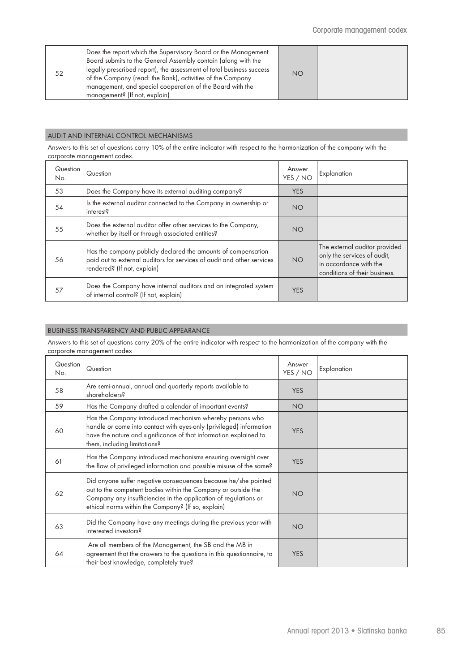| 52 | Does the report which the Supervisory Board or the Management<br>Board submits to the General Assembly contain (along with the<br>legally prescribed report), the assessment of total business success<br>of the Company (read: the Bank), activities of the Company<br>management, and special cooperation of the Board with the<br>management? (If not, explain) | <b>NO</b> |  |
|----|--------------------------------------------------------------------------------------------------------------------------------------------------------------------------------------------------------------------------------------------------------------------------------------------------------------------------------------------------------------------|-----------|--|
|----|--------------------------------------------------------------------------------------------------------------------------------------------------------------------------------------------------------------------------------------------------------------------------------------------------------------------------------------------------------------------|-----------|--|

## AUDIT AND INTERNAL CONTROL MECHANISMS

Answers to this set of questions carry 10% of the entire indicator with respect to the harmonization of the company with the corporate management codex.

| Question<br>No. | Question                                                                                                                                                               | Answer<br>YES / NO | Explanation                                                                                                             |
|-----------------|------------------------------------------------------------------------------------------------------------------------------------------------------------------------|--------------------|-------------------------------------------------------------------------------------------------------------------------|
| 53              | Does the Company have its external auditing company?                                                                                                                   | <b>YES</b>         |                                                                                                                         |
| 54              | Is the external auditor connected to the Company in ownership or<br>interest?                                                                                          | <b>NO</b>          |                                                                                                                         |
| 55              | Does the external auditor offer other services to the Company,<br>whether by itself or through associated entities?                                                    | <b>NO</b>          |                                                                                                                         |
| 56              | Has the company publicly declared the amounts of compensation<br>paid out to external auditors for services of audit and other services<br>rendered? (If not, explain) | <b>NO</b>          | The external auditor provided<br>only the services of audit,<br>in accordance with the<br>conditions of their business. |
| 57              | Does the Company have internal auditors and an integrated system<br>of internal control? (If not, explain)                                                             | <b>YES</b>         |                                                                                                                         |

## BUSINESS TRANSPARENCY AND PUBLIC APPEARANCE

Answers to this set of questions carry 20% of the entire indicator with respect to the harmonization of the company with the corporate management codex

| Question<br>No. | Question                                                                                                                                                                                                                                                  | Answer<br>YES / NO | Explanation |
|-----------------|-----------------------------------------------------------------------------------------------------------------------------------------------------------------------------------------------------------------------------------------------------------|--------------------|-------------|
| 58              | Are semi-annual, annual and quarterly reports available to<br>shareholders?                                                                                                                                                                               | <b>YES</b>         |             |
| 59              | Has the Company drafted a calendar of important events?                                                                                                                                                                                                   | <b>NO</b>          |             |
| 60              | Has the Company introduced mechanism whereby persons who<br>handle or come into contact with eyes-only (privileged) information<br>have the nature and significance of that information explained to<br>them, including limitations?                      | <b>YES</b>         |             |
| 61              | Has the Company introduced mechanisms ensuring oversight over<br>the flow of privileged information and possible misuse of the same?                                                                                                                      | <b>YES</b>         |             |
| 62              | Did anyone suffer negative consequences because he/she pointed<br>out to the competent bodies within the Company or outside the<br>Company any insufficiencies in the application of regulations or<br>ethical norms within the Company? (If so, explain) | <b>NO</b>          |             |
| 63              | Did the Company have any meetings during the previous year with<br>interested investors?                                                                                                                                                                  | <b>NO</b>          |             |
| 64              | Are all members of the Management, the SB and the MB in<br>agreement that the answers to the questions in this questionnaire, to<br>their best knowledge, completely true?                                                                                | <b>YES</b>         |             |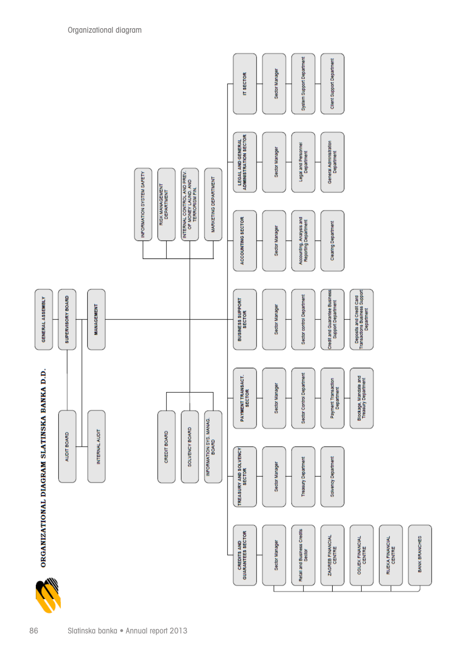

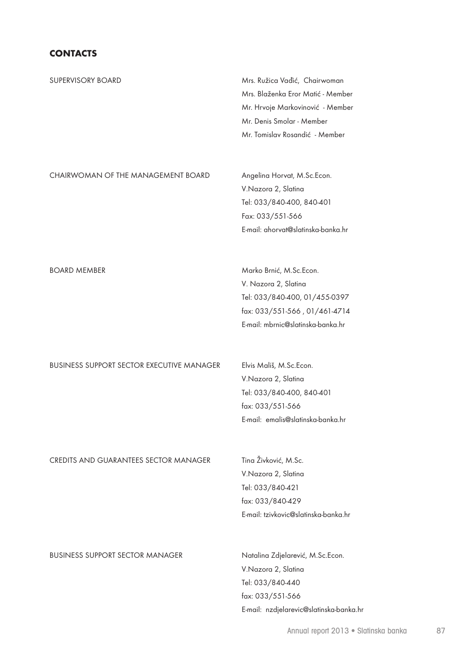# **CONTACTS**

| SUPERVISORY BOARD                                | Mrs. Ružica Vađić, Chairwoman        |  |  |
|--------------------------------------------------|--------------------------------------|--|--|
|                                                  | Mrs. Blaženka Eror Matić - Member    |  |  |
|                                                  | Mr. Hrvoje Markovinović - Member     |  |  |
|                                                  | Mr. Denis Smolar - Member            |  |  |
|                                                  | Mr. Tomislav Rosandić - Member       |  |  |
| CHAIRWOMAN OF THE MANAGEMENT BOARD               | Angelina Horvat, M.Sc.Econ.          |  |  |
|                                                  | V.Nazora 2, Slatina                  |  |  |
|                                                  | Tel: 033/840-400, 840-401            |  |  |
|                                                  | Fax: 033/551-566                     |  |  |
|                                                  | E-mail: ahorvat@slatinska-banka.hr   |  |  |
|                                                  |                                      |  |  |
| <b>BOARD MEMBER</b>                              | Marko Brnić, M.Sc.Econ.              |  |  |
|                                                  | V. Nazora 2, Slatina                 |  |  |
|                                                  | Tel: 033/840-400, 01/455-0397        |  |  |
|                                                  | fax: 033/551-566, 01/461-4714        |  |  |
|                                                  | E-mail: mbrnic@slatinska-banka.hr    |  |  |
|                                                  |                                      |  |  |
| <b>BUSINESS SUPPORT SECTOR EXECUTIVE MANAGER</b> | Elvis Mališ, M.Sc.Econ.              |  |  |
|                                                  | V.Nazora 2, Slatina                  |  |  |
|                                                  | Tel: 033/840-400, 840-401            |  |  |
|                                                  | fax: 033/551-566                     |  |  |
|                                                  | E-mail: emalis@slatinska-banka.hr    |  |  |
| CREDITS AND GUARANTEES SECTOR MANAGER            | Tina Živković, M.Sc.                 |  |  |
|                                                  | V.Nazora 2, Slatina                  |  |  |
|                                                  | Tel: 033/840-421                     |  |  |
|                                                  | fax: 033/840-429                     |  |  |
|                                                  | E-mail: tzivkovic@slatinska-banka.hr |  |  |
|                                                  |                                      |  |  |
| <b>BUSINESS SUPPORT SECTOR MANAGER</b>           | Natalina Zdjelarević, M.Sc.Econ.     |  |  |
|                                                  | V.Nazora 2, Slatina                  |  |  |
|                                                  | Tel: 033/840-440                     |  |  |
|                                                  | fax: 033/551-566                     |  |  |

Annual report 2013 · Slatinska banka 87

E-mail: nzdjelarevic@slatinska-banka.hr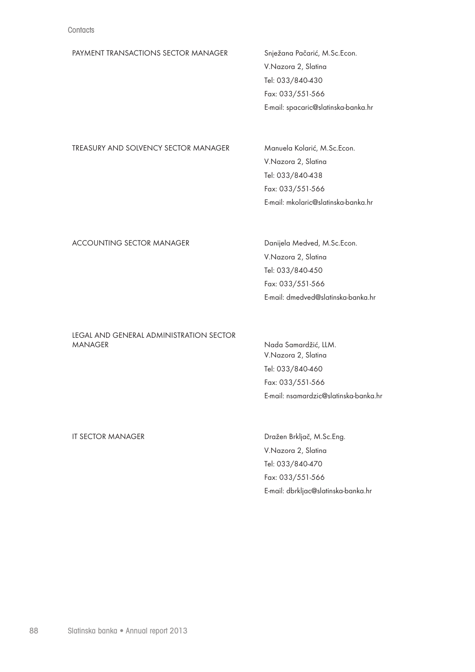| PAYMENT TRANSACTIONS SECTOR MANAGER  | Snježana Pačarić, M.Sc.Econ.        |
|--------------------------------------|-------------------------------------|
|                                      | V.Nazora 2, Slatina                 |
|                                      | Tel: 033/840-430                    |
|                                      | Fax: 033/551-566                    |
|                                      | E-mail: spacaric@slatinska-banka.hr |
|                                      |                                     |
|                                      |                                     |
| TREASURY AND SOLVENCY SECTOR MANAGER | Manuela Kolarić, M.Sc.Econ.         |
|                                      | V.Nazora 2, Slatina                 |
|                                      | Tel: 033/840-438                    |

### ACCOUNTING SECTOR MANAGER Danijela Medved, M.Sc.Econ.

V.Nazora 2, Slatina Tel: 033/840-450 Fax: 033/551-566 E-mail: dmedved@slatinska-banka.hr

E-mail: mkolaric@slatinska-banka.hr

Fax: 033/551-566

### LEGAL AND GENERAL ADMINISTRATION SECTOR MANAGER Nada Samardžić, LLM.

V.Nazora 2, Slatina Tel: 033/840-460 Fax: 033/551-566 E-mail: nsamardzic@slatinska-banka.hr

IT SECTOR MANAGER DRAJ Dražen Brkljač, M.Sc.Eng. V.Nazora 2, Slatina Tel: 033/840-470 Fax: 033/551-566 E-mail: dbrkljac@slatinska-banka.hr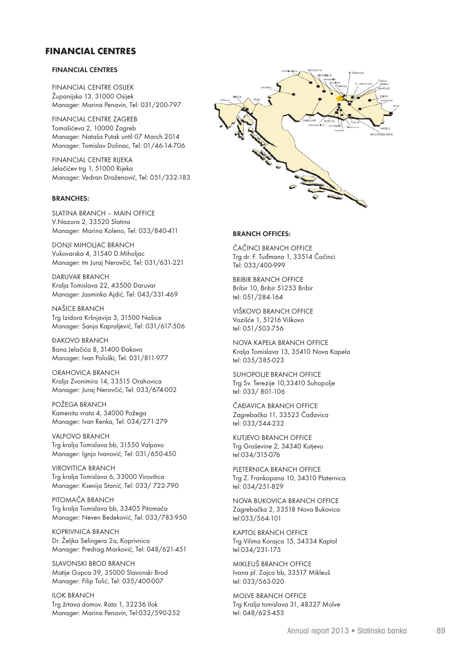### **FINANCIAL CENTRES**

### **FINANCIAL CENTRES**

FINANCIAL CENTRE OSIJEK Županijska 13, 31000 Osijek Manager: Marina Penavin, Tel: 031/200-797

FINANCIAL CENTRE ZAGREB Tomašićeva 2, 10000 Zagreb Manager: Nataša Putak until 07 March 2014 Manager: Tomislav Dolinac, Tel: 01/46-14-706

FINANCIAL CENTRE RIJEKA Jelačićev trg 1, 51000 Rijeka Manager: Vedran Draženović, Tel: 051/332-183

#### **BRANCHES:**

SLATINA BRANCH – MAIN OFFICE V.Nazora 2, 33520 Slatina Manager: Marina Koleno, Tel: 033/840-411

DONJI MIHOLJAC BRANCH Vukovarska 4, 31540 D.Miholjac<br>Ing dr. F. Tuđmana 1, 33514 Čačinci Manager: tm Juraj Nerovčić, Tel: 031/631-221

DARUVAR BRANCH<br>UNIX II. DE SAN SERVIS BROGRESS BRIBIR BRANCH OFFICE Kralja Tomislava 22, 43500 Daruvar Manager: Jasminka Ajdić, Tel: 043/331-469

NAŠICE BRANCH Trg Izidora Kršnjavija 3, 31500 Našice Manager: Sanja Kapraljević, Tel: 031/617-506

 $\blacksquare$ DAKOVO BRANCH SUHOPOLJE BRANCH OFFICE Manager: Ivan Pološki, Tel: 031/811-977

ORAHOVICA BRANCH EXAMPLE SUHOPOLJE BRANCH OFFICE Kralja Zvonimira 14, 33515 Orahovica Manager: Juraj Nerovčić, Tel: 033/674-002

POŽEGA BRANCH KUTJEVO BRANCH OFFICE ČAĐAVICA BRANCH OFFICE Kamenita vrata 4, 34000 Požega Manager: Ivan Renka, Tel: 034/271-279

VALPOVO BRANCH DIE ERRETERNICA BRANCH OFFICE Trg kralja Tomislava bb, 31550 Valpovo Manager: Ignjo Ivanović, Tel: 031/650-450

VIROVITICA BRANCH NOVA BUKOVICA BRANCH OFFICE PLETERNICA BRANCH OFFICE Trg kralja Tomislava 6, 33000 Virovitica Zagrebačka 2, 33518 Nova Bukovica Trg Z. Frankopana 10, 34310 Platernica Manager: Ksenija Stanić, Tel: 033/722-790

PITOMAČA BRANCH KAPTOL BRANCH OFFICE NOVA BUKOVICA BRANCH OFFICE Trg kralja Tomislava bb, 33405 Pitomača Manager: Neven Bedeković, Tel: 033/783-950

KOPRIVNICA BRANCH MIKLEUŠ BRANCH OFFICE Dr. Željka Selingera 2a, Koprivnica Ivana pl. Zajca bb, 33517 Mikleuš Trg Vilima Korajca 15, 34334 Kaptol Manager: Predrag Marković, Tel: 048/621-451

SLAVONSKI BROD BRANCH MOLVE BRANCH OFFICE MIKLEUŠ BRANCH OFFICE Matije Gupca 39, 35000 Slavonski Brod Manager: Filip Tolić, Tel: 035/400-007

ILOK BRANCH Trg žrtava domov. Rata 1, 32236 Ilok Manager: Marina Penavin, Tel:032/590-252



#### **BRANCH OFFICES:**

ČAČINCI BRANCH OFFICE Tel: 033/400-999

Bribir 10, Bribir 51253 Bribir tel: 051/284-164

VIŠKOVO BRANCH OFFICE Vozišće 1, 51216 Viškovo tel: 051/503-756

Bana Jelačića 8, 31400 Đakovo Trg Sv. Terezije 10,33410 Suhopolje Kralja Tomislava 13, 35410 Nova Kapela tel: 035/385-023

> Trg Sv. Terezije 10,33410 Suhopolje tel: 033/ 801-106

Zagrebačka 11, 33523 Čađavica tel: 033/544-232

Trg Graševine 2, 34340 Kutjevo tel:034/315-076

tel: 034/251-829

Zagrebačka 2, 33518 Nova Bukovica tel:033/564-101

tel:034/231-175

Ivana pl. Zajca bb, 33517 Mikleuš tel: 033/563-020

MOLVE BRANCH OFFICE Trg Kralja tomislava 31, 48327 Molve tel: 048/625-453